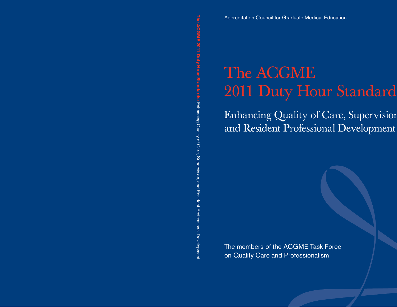**The ACGME 2011 Duty Hour Standards: Lite** 

Accreditation Council for Graduate Medical Education

# The ACGME<br>
Enhancing Quality of Care, Supervision<br>
and Resident Professional Development<br>
Frame ACGME 2011<br>
The members of the ACGME Task Force<br>
on Quality Care and Professionalism

 $\mathbf{I}_1$ and Resident Professional Development

The members of the ACGME Task Force on Quality Care and Professionalism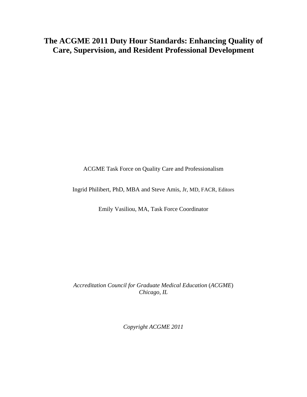## **The ACGME 2011 Duty Hour Standards: Enhancing Quality of Care, Supervision, and Resident Professional Development**

ACGME Task Force on Quality Care and Professionalism

Ingrid Philibert, PhD, MBA and Steve Amis, Jr, MD, FACR, Editors

Emily Vasiliou, MA, Task Force Coordinator

*Accreditation Council for Graduate Medical Education* (*ACGME*) *Chicago, IL* 

*Copyright ACGME 2011*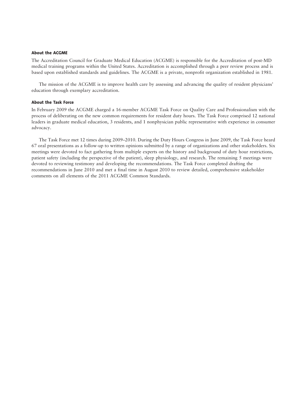### About the ACGME

The Accreditation Council for Graduate Medical Education (ACGME) is responsible for the Accreditation of post-MD medical training programs within the United States. Accreditation is accomplished through a peer review process and is based upon established standards and guidelines. The ACGME is a private, nonprofit organization established in 1981.

The mission of the ACGME is to improve health care by assessing and advancing the quality of resident physicians' education through exemplary accreditation.

### About the Task Force

In February 2009 the ACGME charged a 16-member ACGME Task Force on Quality Care and Professionalism with the process of deliberating on the new common requirements for resident duty hours. The Task Force comprised 12 national leaders in graduate medical education, 3 residents, and 1 nonphysician public representative with experience in consumer advocacy.

The Task Force met 12 times during 2009–2010. During the Duty Hours Congress in June 2009, the Task Force heard 67 oral presentations as a follow-up to written opinions submitted by a range of organizations and other stakeholders. Six meetings were devoted to fact gathering from multiple experts on the history and background of duty hour restrictions, patient safety (including the perspective of the patient), sleep physiology, and research. The remaining 5 meetings were devoted to reviewing testimony and developing the recommendations. The Task Force completed drafting the recommendations in June 2010 and met a final time in August 2010 to review detailed, comprehensive stakeholder comments on all elements of the 2011 ACGME Common Standards.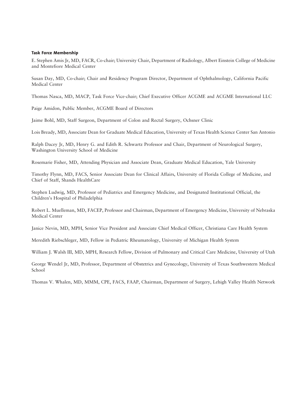### Task Force Membership

E. Stephen Amis Jr, MD, FACR, Co-chair; University Chair, Department of Radiology, Albert Einstein College of Medicine and Montefiore Medical Center

Susan Day, MD, Co-chair; Chair and Residency Program Director, Department of Ophthalmology, California Pacific Medical Center

Thomas Nasca, MD, MACP, Task Force Vice-chair; Chief Executive Officer ACGME and ACGME International LLC

Paige Amidon, Public Member, ACGME Board of Directors

Jaime Bohl, MD, Staff Surgeon, Department of Colon and Rectal Surgery, Ochsner Clinic

Lois Bready, MD, Associate Dean for Graduate Medical Education, University of Texas Health Science Center San Antonio

Ralph Dacey Jr, MD, Henry G. and Edith R. Schwartz Professor and Chair, Department of Neurological Surgery, Washington University School of Medicine

Rosemarie Fisher, MD, Attending Physician and Associate Dean, Graduate Medical Education, Yale University

Timothy Flynn, MD, FACS, Senior Associate Dean for Clinical Affairs, University of Florida College of Medicine, and Chief of Staff, Shands HealthCare

Stephen Ludwig, MD, Professor of Pediatrics and Emergency Medicine, and Designated Institutional Official, the Children's Hospital of Philadelphia

Robert L. Muelleman, MD, FACEP, Professor and Chairman, Department of Emergency Medicine, University of Nebraska Medical Center

Janice Nevin, MD, MPH, Senior Vice President and Associate Chief Medical Officer, Christiana Care Health System

Meredith Riebschleger, MD, Fellow in Pediatric Rheumatology, University of Michigan Health System

William J. Walsh III, MD, MPH, Research Fellow, Division of Pulmonary and Critical Care Medicine, University of Utah

George Wendel Jr, MD, Professor, Department of Obstetrics and Gynecology, University of Texas Southwestern Medical School

Thomas V. Whalen, MD, MMM, CPE, FACS, FAAP, Chairman, Department of Surgery, Lehigh Valley Health Network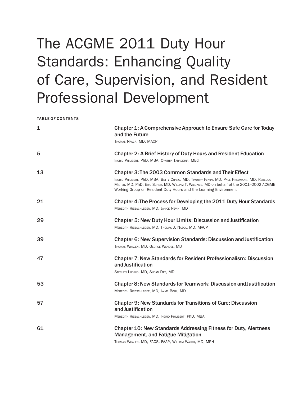# The ACGME 2011 Duty Hour Standards: Enhancing Quality of Care, Supervision, and Resident Professional Development

|  | <b>TABLE OF CONTENTS</b> |
|--|--------------------------|
|  |                          |

| 1  | Chapter 1: A Comprehensive Approach to Ensure Safe Care for Today<br>and the Future<br>THOMAS NASCA, MD, MACP                                                                                                                                                                                                                 |
|----|-------------------------------------------------------------------------------------------------------------------------------------------------------------------------------------------------------------------------------------------------------------------------------------------------------------------------------|
| 5  | <b>Chapter 2: A Brief History of Duty Hours and Resident Education</b><br>INGRID PHILIBERT, PhD, MBA, CYNTHIA TARADEJNA, MEd                                                                                                                                                                                                  |
| 13 | <b>Chapter 3: The 2003 Common Standards and Their Effect</b><br>INGRID PHILIBERT, PhD, MBA, BETTY CHANG, MD, TIMOTHY FLYNN, MD, PAUL FRIEDMANN, MD, REBECCA<br>MINTER, MD, PhD, ERIC SCHER, MD, WILLIAM T. WILLIAMS, MD on behalf of the 2001–2002 ACGME<br>Working Group on Resident Duty Hours and the Learning Environment |
| 21 | Chapter 4: The Process for Developing the 2011 Duty Hour Standards<br>MEREDITH RIEBSCHLEGER, MD, JANICE NEVIN, MD                                                                                                                                                                                                             |
| 29 | <b>Chapter 5: New Duty Hour Limits: Discussion and Justification</b><br>MEREDITH RIEBSCHLEGER, MD, THOMAS J. NASCA, MD, MACP                                                                                                                                                                                                  |
| 39 | Chapter 6: New Supervision Standards: Discussion and Justification<br>THOMAS WHALEN, MD, GEORGE WENDEL, MD                                                                                                                                                                                                                    |
| 47 | <b>Chapter 7: New Standards for Resident Professionalism: Discussion</b><br>and Justification<br>STEPHEN LUDWIG, MD, SUSAN DAY, MD                                                                                                                                                                                            |
| 53 | Chapter 8: New Standards for Teamwork: Discussion and Justification<br>MEREDITH RIEBSCHLEGER, MD, JAIME BOHL, MD                                                                                                                                                                                                              |
| 57 | <b>Chapter 9: New Standards for Transitions of Care: Discussion</b><br>and Justification<br>MEREDITH RIEBSCHLEGER, MD, INGRID PHILIBERT, PhD, MBA                                                                                                                                                                             |
| 61 | <b>Chapter 10: New Standards Addressing Fitness for Duty, Alertness</b><br><b>Management, and Fatigue Mitigation</b><br>THOMAS WHALEN, MD, FACS, FAAP, WILLIAM WALSH, MD, MPH                                                                                                                                                 |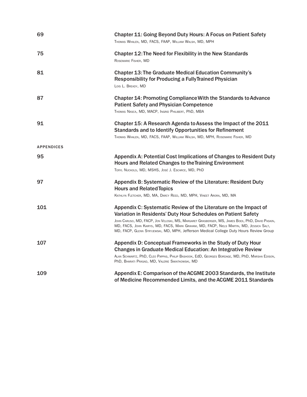| 69                | <b>Chapter 11: Going Beyond Duty Hours: A Focus on Patient Safety</b><br>THOMAS WHALEN, MD, FACS, FAAP, WILLIAM WALSH, MD, MPH                                                                                                                                                           |
|-------------------|------------------------------------------------------------------------------------------------------------------------------------------------------------------------------------------------------------------------------------------------------------------------------------------|
| 75                | Chapter 12: The Need for Flexibility in the New Standards<br>ROSEMARIE FISHER, MD                                                                                                                                                                                                        |
| 81                | <b>Chapter 13: The Graduate Medical Education Community's</b><br><b>Responsibility for Producing a Fully Trained Physician</b><br>LOIS L. BREADY, MD                                                                                                                                     |
| 87                | Chapter 14: Promoting Compliance With the Standards to Advance<br><b>Patient Safety and Physician Competence</b><br>THOMAS NASCA, MD, MACP, INGRID PHILIBERT, PhD, MBA                                                                                                                   |
| 91                | Chapter 15: A Research Agenda to Assess the Impact of the 2011<br><b>Standards and to Identify Opportunities for Refinement</b><br>THOMAS WHALEN, MD, FACS, FAAP, WILLIAM WALSH, MD, MPH, ROSEMARIE FISHER, MD                                                                           |
| <b>APPENDICES</b> |                                                                                                                                                                                                                                                                                          |
| 95                | Appendix A: Potential Cost Implications of Changes to Resident Duty<br>Hours and Related Changes to the Training Environment<br>TERYL NUCKOLS, MD, MSHS, JOSÉ J. ESCARCE, MD, PhD                                                                                                        |
| 97                | Appendix B: Systematic Review of the Literature: Resident Duty<br><b>Hours and Related Topics</b>                                                                                                                                                                                        |
|                   | KATHLYN FLETCHER, MD, MA, DARCY REED, MD, MPH, VINEET ARORA, MD, MA                                                                                                                                                                                                                      |
| 101               | Appendix C: Systematic Review of the Literature on the Impact of<br>Variation in Residents' Duty Hour Schedules on Patient Safety                                                                                                                                                        |
|                   | JOHN CARUSO, MD, FACP, JON VELOSKI, MS, MARGARET GRASBERGER, MS, JAMES BOEX, PhD, DAVID PASKIN,<br>MD, FACS, JOHN KAIRYS, MD, FACS, MARK GRAHAM, MD, FACP, NIELS MARTIN, MD, JESSICA SALT,<br>MD, FACP, GLENN STRYJEWSKI, MD, MPH, Jefferson Medical College Duty Hours Review Group     |
| 107               | Appendix D: Conceptual Frameworks in the Study of Duty Hour<br><b>Changes in Graduate Medical Education: An Integrative Review</b><br>ALAN SCHWARTZ, PhD, CLEO PAPPAS, PHILIP BASHOOK, EdD, GEORGES BORDAGE, MD, PhD, MARSHA EDISON,<br>PhD, BHARATI PRASAD, MD, VALERIE SWIATKOWSKI, MD |
| 109               | Appendix E: Comparison of the ACGME 2003 Standards, the Institute<br>of Medicine Recommended Limits, and the ACGME 2011 Standards                                                                                                                                                        |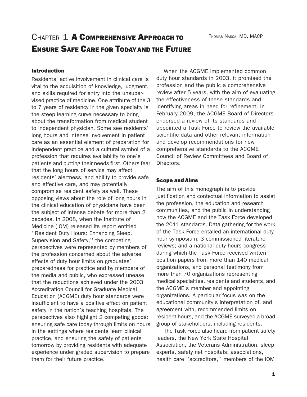# CHAPTER 1 A COMPREHENSIVE APPROACH TO ENSURE SAFE CARE FOR TODAY AND THE FUTURE

### Introduction

Residents' active involvement in clinical care is vital to the acquisition of knowledge, judgment, and skills required for entry into the unsupervised practice of medicine. One attribute of the 3 to 7 years of residency in the given specialty is the steep learning curve necessary to bring about the transformation from medical student to independent physician. Some see residents' long hours and intense involvement in patient care as an essential element of preparation for independent practice and a cultural symbol of a profession that requires availability to one's patients and putting their needs first. Others fear that the long hours of service may affect residents' alertness, and ability to provide safe and effective care, and may potentially compromise resident safety as well. These opposing views about the role of long hours in the clinical education of physicians have been the subject of intense debate for more than 2 decades. In 2008, when the Institute of Medicine (IOM) released its report entitled ''Resident Duty Hours: Enhancing Sleep, Supervision and Safety,'' the competing perspectives were represented by members of the profession concerned about the adverse effects of duty hour limits on graduates' preparedness for practice and by members of the media and public, who expressed unease that the reductions achieved under the 2003 Accreditation Council for Graduate Medical Education (ACGME) duty hour standards were insufficient to have a positive effect on patient safety in the nation's teaching hospitals. The perspectives also highlight 2 competing goods: ensuring safe care today through limits on hours in the settings where residents learn clinical practice, and ensuring the safety of patients tomorrow by providing residents with adequate experience under graded supervision to prepare them for their future practice.

When the ACGME implemented common duty hour standards in 2003, it promised the profession and the public a comprehensive review after 5 years, with the aim of evaluating the effectiveness of these standards and identifying areas in need for refinement. In February 2009, the ACGME Board of Directors endorsed a review of its standards and appointed a Task Force to review the available scientific data and other relevant information and develop recommendations for new comprehensive standards to the ACGME Council of Review Committees and Board of Directors.

### Scope and Aims

The aim of this monograph is to provide justification and contextual information to assist the profession, the education and research communities, and the public in understanding how the ACGME and the Task Force developed the 2011 standards. Data gathering for the work of the Task Force entailed an international duty hour symposium; 3 commissioned literature reviews; and a national duty hours congress during which the Task Force received written position papers from more than 140 medical organizations, and personal testimony from more than 70 organizations representing medical specialties, residents and students, and the ACGME's member and appointing organizations. A particular focus was on the educational community's interpretation of, and agreement with, recommended limits on resident hours, and the ACGME surveyed a broad group of stakeholders, including residents.

The Task Force also heard from patient safety leaders, the New York State Hospital Association, the Veterans Administration, sleep experts, safety net hospitals, associations, health care ''accreditors,'' members of the IOM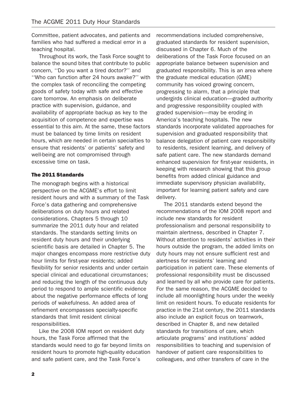Committee, patient advocates, and patients and families who had suffered a medical error in a teaching hospital.

Throughout its work, the Task Force sought to balance the sound bites that contribute to public concern, ''Do you want a tired doctor?'' and ''Who can function after 24 hours awake?'' with the complex task of reconciling the competing goods of safety today with safe and effective care tomorrow. An emphasis on deliberate practice with supervision, guidance, and availability of appropriate backup as key to the acquisition of competence and expertise was essential to this aim. At the same, these factors must be balanced by time limits on resident hours, which are needed in certain specialties to ensure that residents' or patients' safety and well-being are not compromised through excessive time on task.

### The 2011 Standards

The monograph begins with a historical perspective on the ACGME's effort to limit resident hours and with a summary of the Task Force's data gathering and comprehensive deliberations on duty hours and related considerations. Chapters 5 through 10 summarize the 2011 duty hour and related standards. The standards setting limits on resident duty hours and their underlying scientific basis are detailed in Chapter 5. The major changes encompass more restrictive duty hour limits for first-year residents; added flexibility for senior residents and under certain special clinical and educational circumstances; and reducing the length of the continuous duty period to respond to ample scientific evidence about the negative performance effects of long periods of wakefulness. An added area of refinement encompasses specialty-specific standards that limit resident clinical responsibilities.

Like the 2008 IOM report on resident duty hours, the Task Force affirmed that the standards would need to go far beyond limits on resident hours to promote high-quality education and safe patient care, and the Task Force's

recommendations included comprehensive, graduated standards for resident supervision, discussed in Chapter 6. Much of the deliberations of the Task Force focused on an appropriate balance between supervision and graduated responsibility. This is an area where the graduate medical education (GME) community has voiced growing concern, progressing to alarm, that a principle that undergirds clinical education—graded authority and progressive responsibility coupled with graded supervision—may be eroding in America's teaching hospitals. The new standards incorporate validated approaches for supervision and graduated responsibility that balance delegation of patient care responsibility to residents, resident learning, and delivery of safe patient care. The new standards demand enhanced supervision for first-year residents, in keeping with research showing that this group benefits from added clinical guidance and immediate supervisory physician availability, important for learning patient safety and care delivery.

The 2011 standards extend beyond the recommendations of the IOM 2008 report and include new standards for resident professionalism and personal responsibility to maintain alertness, described in Chapter 7. Without attention to residents' activities in their hours outside the program, the added limits on duty hours may not ensure sufficient rest and alertness for residents' learning and participation in patient care. These elements of professional responsibility must be discussed and learned by all who provide care for patients. For the same reason, the ACGME decided to include all moonlighting hours under the weekly limit on resident hours. To educate residents for practice in the 21st century, the 2011 standards also include an explicit focus on teamwork, described in Chapter 8, and new detailed standards for transitions of care, which articulate programs' and institutions' added responsibilities to teaching and supervision of handover of patient care responsibilities to colleagues, and other transfers of care in the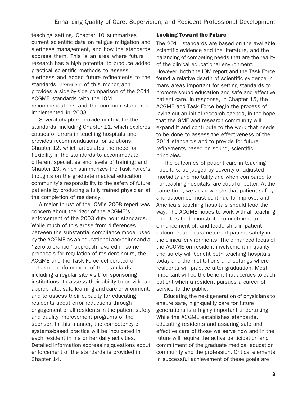teaching setting. Chapter 10 summarizes current scientific data on fatigue mitigation and alertness management, and how the standards address them. This is an area where future research has a high potential to produce added practical scientific methods to assess alertness and added future refinements to the standards. APPENDIX E of this monograph provides a side-by-side comparison of the 2011 ACGME standards with the IOM recommendations and the common standards implemented in 2003.

Several chapters provide context for the standards, including Chapter 11, which explores causes of errors in teaching hospitals and provides recommendations for solutions; Chapter 12, which articulates the need for flexibility in the standards to accommodate different specialties and levels of training; and Chapter 13, which summarizes the Task Force's thoughts on the graduate medical education community's responsibility to the safety of future patients by producing a fully trained physician at the completion of residency.

A major thrust of the IOM's 2008 report was concern about the rigor of the ACGME's enforcement of the 2003 duty hour standards. While much of this arose from differences between the substantial compliance model used by the ACGME as an educational accreditor and a ''zero-tolerance'' approach favored in some proposals for regulation of resident hours, the ACGME and the Task Force deliberated on enhanced enforcement of the standards, including a regular site visit for sponsoring institutions, to assess their ability to provide an appropriate, safe learning and care environment, and to assess their capacity for educating residents about error reductions through engagement of all residents in the patient safety and quality improvement programs of the sponsor. In this manner, the competency of systems-based practice will be inculcated in each resident in his or her daily activities. Detailed information addressing questions about enforcement of the standards is provided in Chapter 14.

### Looking Toward the Future

The 2011 standards are based on the available scientific evidence and the literature, and the balancing of competing needs that are the reality of the clinical educational environment. However, both the IOM report and the Task Force found a relative dearth of scientific evidence in many areas important for setting standards to promote sound education and safe and effective patient care. In response, in Chapter 15, the ACGME and Task Force begin the process of laying out an initial research agenda, in the hope that the GME and research community will expand it and contribute to the work that needs to be done to assess the effectiveness of the 2011 standards and to provide for future refinements based on sound, scientific principles.

The outcomes of patient care in teaching hospitals, as judged by severity of adjusted morbidity and mortality and when compared to nonteaching hospitals, are equal or better. At the same time, we acknowledge that patient safety and outcomes must continue to improve, and America's teaching hospitals should lead the way. The ACGME hopes to work with all teaching hospitals to demonstrate commitment to, enhancement of, and leadership in patient outcomes and parameters of patient safety in the clinical environments. The enhanced focus of the ACGME on resident involvement in quality and safety will benefit both teaching hospitals today and the institutions and settings where residents will practice after graduation. Most important will be the benefit that accrues to each patient when a resident pursues a career of service to the public.

Educating the next generation of physicians to ensure safe, high-quality care for future generations is a highly important undertaking. While the ACGME establishes standards, educating residents and assuring safe and effective care of those we serve now and in the future will require the active participation and commitment of the graduate medical education community and the profession. Critical elements in successful achievement of these goals are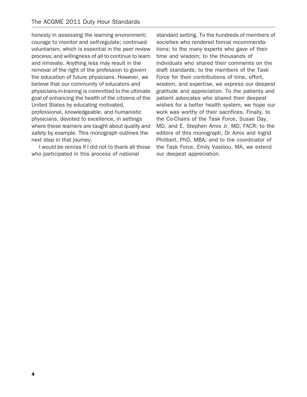honesty in assessing the learning environment; courage to monitor and self-regulate; continued voluntarism, which is essential in the peer review process; and willingness of all to continue to learn and innovate. Anything less may result in the removal of the right of the profession to govern the education of future physicians. However, we believe that our community of educators and physicians-in-training is committed to the ultimate goal of enhancing the health of the citizens of the United States by educating motivated, professional, knowledgeable, and humanistic physicians, devoted to excellence, in settings where these learners are taught about quality and safety by example. This monograph outlines the next step in that journey.

I would be remiss if I did not to thank all those who participated in this process of national

standard setting. To the hundreds of members of societies who rendered formal recommendations; to the many experts who gave of their time and wisdom; to the thousands of individuals who shared their comments on the draft standards; to the members of the Task Force for their contributions of time, effort, wisdom, and expertise, we express our deepest gratitude and appreciation. To the patients and patient advocates who shared their deepest wishes for a better health system, we hope our work was worthy of their sacrifices. Finally, to the Co-Chairs of the Task Force, Susan Day, MD, and E. Stephen Amis Jr, MD, FACR; to the editors of this monograph, Dr Amis and Ingrid Philibert, PhD, MBA; and to the coordinator of the Task Force, Emily Vasiliou, MA, we extend our deepest appreciation.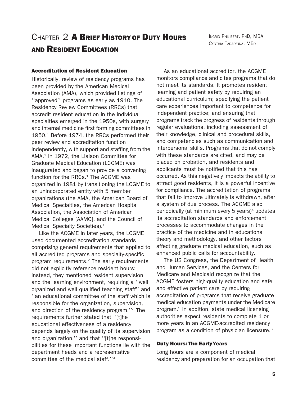# CHAPTER 2 A BRIEF HISTORY OF DUTY HOURS AND RESIDENT EDUCATION

INGRID PHILIBERT, PHD, MBA CYNTHIA TARADEJNA, MED

### Accreditation of Resident Education

Historically, review of residency programs has been provided by the American Medical Association (AMA), which provided listings of ''approved'' programs as early as 1910. The Residency Review Committees (RRCs) that accredit resident education in the individual specialties emerged in the 1950s, with surgery and internal medicine first forming committees in 1950.<sup>1</sup> Before 1974, the RRCs performed their peer review and accreditation function independently, with support and staffing from the AMA.<sup>1</sup> In 1972, the Liaison Committee for Graduate Medical Education (LCGME) was inaugurated and began to provide a convening function for the RRCs. $<sup>1</sup>$  The ACGME was</sup> organized in 1981 by transitioning the LCGME to an unincorporated entity with 5 member organizations (the AMA, the American Board of Medical Specialties, the American Hospital Association, the Association of American Medical Colleges [AAMC], and the Council of Medical Specialty Societies).<sup>1</sup>

Like the ACGME in later years, the LCGME used documented accreditation standards comprising general requirements that applied to all accredited programs and specialty-specific program requirements.2 The early requirements did not explicitly reference resident hours; instead, they mentioned resident supervision and the learning environment, requiring a ''well organized and well qualified teaching staff'' and ''an educational committee of the staff which is responsible for the organization, supervision, and direction of the residency program.''3 The requirements further stated that ''[t]he educational effectiveness of a residency depends largely on the quality of its supervision and organization,'' and that ''[t]he responsibilities for these important functions lie with the department heads and a representative committee of the medical staff.''3

As an educational accreditor, the ACGME monitors compliance and cites programs that do not meet its standards. It promotes resident learning and patient safety by requiring an educational curriculum; specifying the patient care experiences important to competence for independent practice; and ensuring that programs track the progress of residents through regular evaluations, including assessment of their knowledge, clinical and procedural skills, and competencies such as communication and interpersonal skills. Programs that do not comply with these standards are cited, and may be placed on probation, and residents and applicants must be notified that this has occurred. As this negatively impacts the ability to attract good residents, it is a powerful incentive for compliance. The accreditation of programs that fail to improve ultimately is withdrawn, after a system of due process. The ACGME also periodically (at minimum every  $5$  years) $4$  updates its accreditation standards and enforcement processes to accommodate changes in the practice of the medicine and in educational theory and methodology, and other factors affecting graduate medical education, such as enhanced public calls for accountability.

The US Congress, the Department of Health and Human Services, and the Centers for Medicare and Medicaid recognize that the ACGME fosters high-quality education and safe and effective patient care by requiring accreditation of programs that receive graduate medical education payments under the Medicare program.5 In addition, state medical licensing authorities expect residents to complete 1 or more years in an ACGME-accredited residency program as a condition of physician licensure.<sup>6</sup>

### Duty Hours: The EarlyYears

Long hours are a component of medical residency and preparation for an occupation that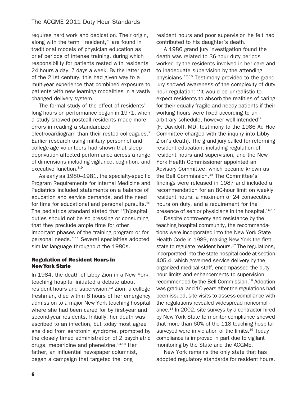requires hard work and dedication. Their origin, along with the term ''resident,'' are found in traditional models of physician education as brief periods of intense training, during which responsibility for patients rested with residents 24 hours a day, 7 days a week. By the latter part of the 21st century, this had given way to a multiyear experience that combined exposure to patients with new learning modalities in a vastly changed delivery system.

The formal study of the effect of residents' long hours on performance began in 1971, when a study showed postcall residents made more errors in reading a standardized electrocardiogram than their rested colleagues.<sup>7</sup> Earlier research using military personnel and college-age volunteers had shown that sleep deprivation affected performance across a range of dimensions including vigilance, cognition, and executive function.<sup>8,9</sup>

As early as 1980–1981, the specialty-specific Program Requirements for Internal Medicine and Pediatrics included statements on a balance of education and service demands, and the need for time for educational and personal pursuits.<sup>10</sup> The pediatrics standard stated that ''[h]ospital duties should not be so pressing or consuming that they preclude ample time for other important phases of the training program or for personal needs.''11 Several specialties adopted similar language throughout the 1980s.

### Regulation of Resident Hours in NewYork State

In 1984, the death of Libby Zion in a New York teaching hospital initiated a debate about resident hours and supervision.<sup>12</sup> Zion, a college freshman, died within 8 hours of her emergency admission to a major New York teaching hospital where she had been cared for by first-year and second-year residents. Initially, her death was ascribed to an infection, but today most agree she died from serotonin syndrome, prompted by the closely timed administration of 2 psychiatric drugs, meperidine and phenelzine. $13,14$  Her father, an influential newspaper columnist, began a campaign that targeted the long

resident hours and poor supervision he felt had contributed to his daughter's death.

A 1986 grand jury investigation found the death was related to 36-hour duty periods worked by the residents involved in her care and to inadequate supervision by the attending physicians.12,15 Testimony provided to the grand jury showed awareness of the complexity of duty hour regulation: ''It would be unrealistic to expect residents to absorb the realities of caring for their equally fragile and needy patients if their working hours were fixed according to an arbitrary schedule, however well-intended'' (F. Davidoff, MD, testimony to the 1986 Ad Hoc Committee charged with the inquiry into Libby Zion's death). The grand jury called for reforming resident education, including regulation of resident hours and supervision, and the New York Health Commissioner appointed an Advisory Committee, which became known as the Bell Commission.<sup>15</sup> The Committee's findings were released in 1987 and included a recommendation for an 80-hour limit on weekly resident hours, a maximum of 24 consecutive hours on duty, and a requirement for the presence of senior physicians in the hospital.<sup>16,17</sup>

Despite controversy and resistance by the teaching hospital community, the recommendations were incorporated into the New York State Health Code in 1989, making New York the first state to regulate resident hours. $17$  The regulations, incorporated into the state hospital code at section 405.4, which governed service delivery by the organized medical staff, encompassed the duty hour limits and enhancements to supervision recommended by the Bell Commission.<sup>18</sup> Adoption was gradual and 10 years after the regulations had been issued, site visits to assess compliance with the regulations revealed widespread noncompliance.18 In 2002, site surveys by a contractor hired by New York State to monitor compliance showed that more than 60% of the 118 teaching hospital surveyed were in violation of the limits.<sup>19</sup> Today compliance is improved in part due to vigilant monitoring by the State and the ACGME.

New York remains the only state that has adopted regulatory standards for resident hours.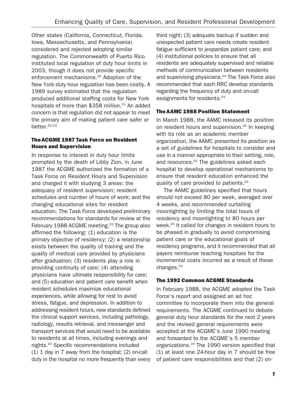Other states (California, Connecticut, Florida, Iowa, Massachusetts, and Pennsylvania) considered and rejected adopting similar regulation. The Commonwealth of Puerto Rico instituted local regulation of duty hour limits in 2003, though it does not provide specific enforcement mechanisms.20 Adoption of the New York duty hour regulation has been costly. A 1989 survey estimated that the regulation produced additional staffing costs for New York hospitals of more than  $$358$  million.<sup>21</sup> An added concern is that regulation did not appear to meet the primary aim of making patient care safer or better.22,23

### The ACGME 1987 Task Force on Resident Hours and Supervision

In response to interest in duty hour limits prompted by the death of Libby Zion, in June 1987 the ACGME authorized the formation of a Task Force on Resident Hours and Supervision and charged it with studying 3 areas: the adequacy of resident supervision; resident schedules and number of hours of work; and the changing educational sites for resident education. The Task Force developed preliminary recommendations for standards for review at the February 1988 ACGME meeting.<sup>23</sup> The group also affirmed the following: (1) education is the primary objective of residency; (2) a relationship exists between the quality of training and the quality of medical care provided by physicians after graduation; (3) residents play a role in providing continuity of care; (4) attending physicians have ultimate responsibility for care; and (5) education and patient care benefit when resident schedules maximize educational experiences, while allowing for rest to avoid stress, fatigue, and depression. In addition to addressing resident hours, new standards defined the clinical support services, including pathology, radiology, results retrieval, and messenger and transport services that would need to be available to residents at all times, including evenings and nights.24 Specific recommendations included (1) 1 day in 7 away from the hospital; (2) on-call duty in the hospital no more frequently than every third night; (3) adequate backup if sudden and unexpected patient care needs create resident fatigue sufficient to jeopardize patient care; and (4) institutional policies to ensure that all residents are adequately supervised and reliable methods of communication between residents and supervising physicians.<sup>24</sup> The Task Force also recommended that each RRC develop standards regarding the frequency of duty and on-call assignments for residents.<sup>24</sup>

### The AAMC 1988 Position Statement

In March 1988, the AAMC released its position on resident hours and supervision.25 In keeping with its role as an academic member organization, the AAMC presented its position as a set of guidelines for hospitals to consider and use in a manner appropriate to their setting, role, and resources.<sup>25</sup> The guidelines asked each hospital to develop operational mechanisms to ensure that resident education enhanced the quality of care provided to patients.25

The AAMC guidelines specified that hours should not exceed 80 per week, averaged over 4 weeks, and recommended curtailing moonlighting by limiting the total hours of residency and moonlighting to 80 hours per week.<sup>25</sup> It called for changes in resident hours to be phased in gradually to avoid compromising patient care or the educational goals of residency programs, and it recommended that all payers reimburse teaching hospitals for the incremental costs incurred as a result of these changes.25

### The 1992 Common ACGME Standards

In February 1988, the ACGME adopted the Task Force's report and assigned an ad hoc committee to incorporate them into the general requirements. The ACGME continued to debate general duty hour standards for the next 2 years and the revised general requirements were accepted at the ACGME's June 1990 meeting and forwarded to the ACGME's 5 member organizations.26 The 1990 version specified that (1) at least one 24-hour day in 7 should be free of patient care responsibilities and that (2) on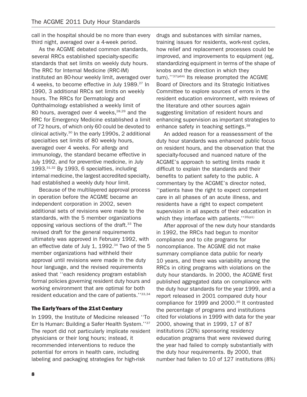call in the hospital should be no more than every third night, averaged over a 4-week period.

As the ACGME debated common standards, several RRCs established specialty-specific standards that set limits on weekly duty hours. The RRC for Internal Medicine (RRC-IM) instituted an 80-hour weekly limit, averaged over 4 weeks, to become effective in July 1989.<sup>27</sup> In 1990, 3 additional RRCs set limits on weekly hours. The RRCs for Dermatology and Ophthalmology established a weekly limit of 80 hours, averaged over 4 weeks,<sup>28,29</sup> and the RRC for Emergency Medicine established a limit of 72 hours, of which only 60 could be devoted to clinical activity. $30$  In the early 1990s, 2 additional specialties set limits of 80 weekly hours, averaged over 4 weeks. For allergy and immunology, the standard became effective in July 1992, and for preventive medicine, in July 1993.<sup>31,32</sup> By 1993, 6 specialties, including internal medicine, the largest accredited specialty, had established a weekly duty hour limit.

Because of the multilayered approval process in operation before the ACGME became an independent corporation in 2002, seven additional sets of revisions were made to the standards, with the 5 member organizations opposing various sections of the draft.<sup>33</sup> The revised draft for the general requirements ultimately was approved in February 1992, with an effective date of July 1, 1992.<sup>34</sup> Two of the 5 member organizations had withheld their approval until revisions were made in the duty hour language, and the revised requirements asked that ''each residency program establish formal policies governing resident duty hours and working environment that are optimal for both resident education and the care of patients."33,34

### The EarlyYears of the 21st Century

In 1999, the Institute of Medicine released ''To Err Is Human: Building a Safer Health System.''37 The report did not particularly implicate resident physicians or their long hours; instead, it recommended interventions to reduce the potential for errors in health care, including labeling and packaging strategies for high-risk

drugs and substances with similar names, training issues for residents, work-rest cycles, how relief and replacement processes could be improved, and improvements to equipment (eg, standardizing equipment in terms of the shape of knobs and the direction in which they turn).''37(p64) Its release prompted the ACGME Board of Directors and its Strategic Initiatives Committee to explore sources of errors in the resident education environment, with reviews of the literature and other sources again suggesting limitation of resident hours and enhancing supervision as important strategies to enhance safety in teaching settings.<sup>38</sup>

An added reason for a reassessment of the duty hour standards was enhanced public focus on resident hours, and the observation that the specialty-focused and nuanced nature of the ACGME's approach to setting limits made it difficult to explain the standards and their benefits to patient safety to the public. A commentary by the ACGME's director noted, ''patients have the right to expect competent care in all phases of an acute illness, and residents have a right to expect competent supervision in all aspects of their education in which they interface with patients." $35(p1)$ 

After approval of the new duty hour standards in 1992, the RRCs had begun to monitor compliance and to cite programs for noncompliance. The ACGME did not make summary compliance data public for nearly 10 years, and there was variability among the RRCs in citing programs with violations on the duty hour standards. In 2000, the ACGME first published aggregated data on compliance with the duty hour standards for the year 1999, and a report released in 2001 compared duty hour compliance for 1999 and 2000.<sup>35</sup> It contrasted the percentage of programs and institutions cited for violations in 1999 with data for the year 2000, showing that in 1999, 17 of 87 institutions (20%) sponsoring residency education programs that were reviewed during the year had failed to comply substantially with the duty hour requirements. By 2000, that number had fallen to 10 of 127 institutions (8%)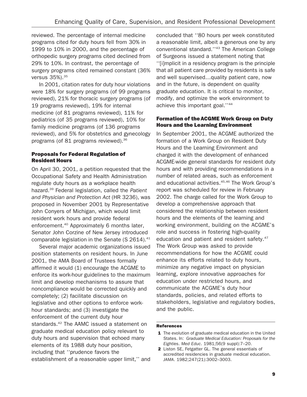reviewed. The percentage of internal medicine programs cited for duty hours fell from 30% in 1999 to 10% in 2000, and the percentage of orthopedic surgery programs cited declined from 29% to 10%. In contrast, the percentage of surgery programs cited remained constant (36% versus 35%).<sup>35</sup>

In 2001, citation rates for duty hour violations were 18% for surgery programs (of 99 programs reviewed), 21% for thoracic surgery programs (of 19 programs reviewed), 19% for internal medicine (of 81 programs reviewed), 11% for pediatrics (of 35 programs reviewed), 10% for family medicine programs (of 136 programs reviewed), and 5% for obstetrics and gynecology programs (of 81 programs reviewed).36

### Proposals for Federal Regulation of Resident Hours

On April 30, 2001, a petition requested that the Occupational Safety and Health Administration regulate duty hours as a workplace health hazard.<sup>39</sup> Federal legislation, called the Patient and Physician and Protection Act (HR 3236), was proposed in November 2001 by Representative John Conyers of Michigan, which would limit resident work hours and provide federal enforcement.40 Approximately 6 months later, Senator John Corzine of New Jersey introduced comparable legislation in the Senate (S 2614).<sup>41</sup>

Several major academic organizations issued position statements on resident hours. In June 2001, the AMA Board of Trustees formally affirmed it would (1) encourage the ACGME to enforce its work-hour guidelines to the maximum limit and develop mechanisms to assure that noncompliance would be corrected quickly and completely; (2) facilitate discussion on legislative and other options to enforce workhour standards; and (3) investigate the enforcement of the current duty hour standards.<sup>42</sup> The AAMC issued a statement on graduate medical education policy relevant to duty hours and supervision that echoed many elements of its 1988 duty hour position, including that ''prudence favors the establishment of a reasonable upper limit,'' and

concluded that ''80 hours per week constituted a reasonable limit, albeit a generous one by any conventional standard.''43 The American College of Surgeons issued a statement noting that ''[i]mplicit in a residency program is the principle that all patient care provided by residents is safe and well supervised…quality patient care, now and in the future, is dependent on quality graduate education. It is critical to monitor, modify, and optimize the work environment to achieve this important goal.''44

### Formation of the ACGME Work Group on Duty Hours and the Learning Environment

In September 2001, the ACGME authorized the formation of a Work Group on Resident Duty Hours and the Learning Environment and charged it with the development of enhanced ACGME-wide general standards for resident duty hours and with providing recommendations in a number of related areas, such as enforcement and educational activities.<sup>45,46</sup> The Work Group's report was scheduled for review in February 2002. The charge called for the Work Group to develop a comprehensive approach that considered the relationship between resident hours and the elements of the learning and working environment, building on the ACGME's role and success in fostering high-quality education and patient and resident safety.<sup>47</sup> The Work Group was asked to provide recommendations for how the ACGME could enhance its efforts related to duty hours, minimize any negative impact on physician learning, explore innovative approaches for education under restricted hours, and communicate the ACGME's duty hour standards, policies, and related efforts to stakeholders, legislative and regulatory bodies, and the public.

### References

- 1 The evolution of graduate medical education in the United States. In: Graduate Medical Education: Proposals for the Eighties. Med Educ. 1981;56(9 suppl):7–20.
- 2 Liston SE, Fetgatter GL. The general essentials of accredited residencies in graduate medical education. JAMA. 1982;247(21):3002–3003.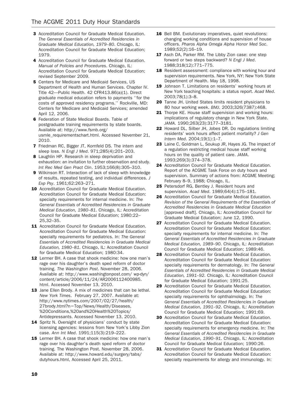- 3 Accreditation Council for Graduate Medical Education. The General Essentials of Accredited Residencies in Graduate Medical Education, 1979–80. Chicago, IL: Accreditation Council for Graduate Medical Education; 1979.
- 4 Accreditation Council for Graduate Medical Education. Manual of Policies and Procedures. Chicago, IL: Accreditation Council for Graduate Medical Education; revised September 2009.
- **5** Centers for Medicare and Medicaid Services, US Department of Health and Human Services. Chapter IV. Title 42—Public Health. 42 CFR413.86(a)(1). Direct graduate medical education refers to payments ''for the costs of approved residency programs.'' Rockville, MD: Centers for Medicare and Medicaid Services; amended April 12, 2006.
- **6** Federation of State Medical Boards. Table of postgraduate training requirements by state boards. Available at: http://www.fsmb.org/ usmle\_requirementschart.html. Accessed November 21, 2010.
- 7 Friedman RC, Bigger JT, Kornfeld DS. The intern and sleep loss. N Engl J Med. 971;285(4):201–203.
- 8 Laughlin HP. Research in sleep deprivation and exhaustion: an invitation to further observation and study. Int Rec Med Gen Pract Clin. 1953;166(8):305–310.
- 9 Wilkinson RT. Interaction of lack of sleep with knowledge of results, repeated testing, and individual differences. J Exp Psy. 1961;62:263–271.
- 10 Accreditation Council for Graduate Medical Education. Accreditation Council for Graduate Medical Education: specialty requirements for internal medicine. In: The General Essentials of Accredited Residencies in Graduate Medical Education, 1980–81. Chicago, IL: Accreditation Council for Graduate Medical Education; 1980:22– 25,32–35.
- 11 Accreditation Council for Graduate Medical Education. Accreditation Council for Graduate Medical Education: specialty requirements for pediatrics. In: The General Essentials of Accredited Residencies in Graduate Medical Education, 1980–81. Chicago, IL: Accreditation Council for Graduate Medical Education; 1980:34.
- 12 Lermer BH. A case that shook medicine: how one man's rage over his daughter's death sped reform of doctor training. The Washington Post. November 28, 2006. Available at: http://www.washingtonpost.com/ wp-dyn/ content/article/2006/11/24/AR2006112400985. html. Accessed November 13, 2010.
- 13 Jane Ellen Brody. A mix of medicines that can be lethal. New York Times. February 27, 2007. Available at: http://www.nytimes.com/2007/02/27/health/ 27brody.html?n=Top/News/Health/Diseases, %20Conditions,%20and%20Health%20Topics/ Antidepressants. Accessed November 13, 2010.
- 14 Spritz N. Oversight of physicians' conduct by state licensing agencies: lessons from New York's Libby Zion case. Ann Int Med. 1991;115(3):219–222.
- 15 Lermer BH. A case that shook medicine: how one man's rage over his daughter's death sped reform of doctor training. The Washington Post. November 28, 2006. Available at: http://www.howard.edu/surgery/tabs/ dutyhours.html, Accessed April 25, 2011.
- 16 Bell BM. Evolutionary imperatives, quiet revolutions: changing working conditions and supervision of house officers. Pharos Alpha Omega Alpha Honor Med Soc. 1989;52(2):16–19.
- 17 Asch DA, Parker RM. The Libby Zion case: one step forward or two steps backward? N Engl J Med. 1988;318(12):771–775.
- 18 Resident assessment: compliance with working hour and supervision requirements. New York, NY: New York State Department of Health. May 18, 1998.
- 19 Johnson T. Limitations on residents' working hours at New York teaching hospitals: a status report. Acad Med. 2003;78(1):3–8.
- 20 Tanne JH. United States limits resident physicians to 80 hour working week. BMJ. 2003;326(7387):468.
- 21 Thorpe KE. House staff supervision and working hours: implications of regulatory change in New York State. JAMA. 1990;263(23):3177–3181.
- 22 Howard DL, Silber JH, Jobes DR. Do regulations limiting residents' work hours affect patient mortality? J Gen Intern Med. 2004;19(1):1–7.
- 23 Laine C, Goldman L, Soukup JR, Hayes JG. The impact of a regulation restricting medical house staff working hours on the quality of patient care. JAMA. 1993;269(3):374–378.
- 24 Accreditation Council for Graduate Medical Education. Report of the ACGME Task Force on duty hours and supervision. Summary of actions from: ACGME Meeting; February 8–9, 1988; Chicago, IL.
- 25 Petersdorf RG, Bentley J. Resident hours and supervision. Acad Med. 1989;64(4):175–181.
- 26 Accreditation Council for Graduate Medical Education. Revision of the General Requirements of the Essentials of Accredited Residencies in Graduate Medical Education [approved draft]. Chicago, IL: Accreditation Council for Graduate Medical Education; June 12, 1990.
- 27 Accreditation Council for Graduate Medical Education. Accreditation Council for Graduate Medical Education: specialty requirements for internal medicine. In: The General Essentials of Accredited Residencies in Graduate Medical Education, 1989–90. Chicago, IL: Accreditation Council for Graduate Medical Education; 1989:46.
- 28 Accreditation Council for Graduate Medical Education. Accreditation Council for Graduate Medical Education: specialty requirements for dermatology. In: The General Essentials of Accredited Residencies in Graduate Medical Education, 1991–92. Chicago, IL: Accreditation Council for Graduate Medical Education; 1991:25.
- 29 Accreditation Council for Graduate Medical Education. Accreditation Council for Graduate Medical Education: specialty requirements for ophthalmology. In: The General Essentials of Accredited Residencies in Graduate Medical Education, 1991–92. Chicago, IL: Accreditation Council for Graduate Medical Education; 1991:69.
- 30 Accreditation Council for Graduate Medical Education. Accreditation Council for Graduate Medical Education: specialty requirements for emergency medicine. In: The General Essentials of Accredited Residencies in Graduate Medical Education, 1990–91. Chicago, IL: Accreditation Council for Graduate Medical Education; 1990:26.
- **31** Accreditation Council for Graduate Medical Education. Accreditation Council for Graduate Medical Education: specialty requirements for allergy and immunology. In: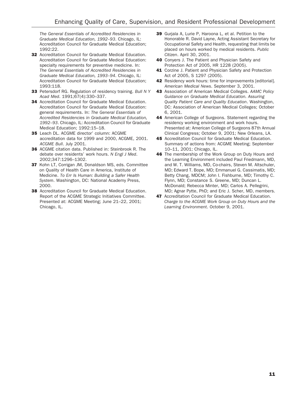The General Essentials of Accredited Residencies in Graduate Medical Education, 1992–93. Chicago, IL: Accreditation Council for Graduate Medical Education; 1992:22.

- 32 Accreditation Council for Graduate Medical Education. Accreditation Council for Graduate Medical Education: specialty requirements for preventive medicine. In: The General Essentials of Accredited Residencies in Graduate Medical Education, 1993–94. Chicago, IL: Accreditation Council for Graduate Medical Education; 1993:118.
- 33 Petersdorf RG. Regulation of residency training. Bull N Y Acad Med. 1991;67(4):330–337.
- 34 Accreditation Council for Graduate Medical Education. Accreditation Council for Graduate Medical Education: general requirements. In: The General Essentials of Accredited Residencies in Graduate Medical Education, 1992–93. Chicago, IL: Accreditation Council for Graduate Medical Education; 1992:15–18.
- 35 Leach DL. ACGME director' column: ACGME accreditation data for 1999 and 2000, ACGME, 2001. ACGME Bull. July 2001.
- 36 ACGME citation data. Published in: Steinbrook R. The debate over residents' work hours. N Engl J Med. 2002;347:1296–1302.
- 37 Kohn LT, Corrigan JM, Donaldson MS, eds. Committee on Quality of Health Care in America, Institute of Medicine. To Err Is Human: Building a Safer Health System. Washington, DC: National Academy Press, 2000.
- 38 Accreditation Council for Graduate Medical Education. Report of the ACGME Strategic Initiatives Committee. Presented at: ACGME Meeting; June 21–22, 2001; Chicago, IL.
- 39 Gurjala A, Lurie P, Haroona L, et al. Petition to the Honorable R. David Layne, Acting Assistant Secretary for Occupational Safety and Health, requesting that limits be placed on hours worked by medical residents. Public Citizen. April 30, 2001.
- **40** Conyers J. The Patient and Physician Safety and Protection Act of 2005, HR 1228 (2005).
- 41 Corzine J. Patient and Physician Safety and Protection Act of 2005, S 1297 (2005).
- 42 Residency work hours: time for improvements [editorial]. American Medical News. September 3, 2001.
- 43 Association of American Medical Colleges. AAMC Policy Guidance on Graduate Medical Education. Assuring Quality Patient Care and Quality Education. Washington, DC: Association of American Medical Colleges; October 6, 2001.
- 44 American College of Surgeons. Statement regarding the residency working environment and work hours. Presented at: American College of Surgeons 87th Annual Clinical Congress; October 9, 2001; New Orleans, LA.
- 45 Accreditation Council for Graduate Medical Education. Summary of actions from: ACGME Meeting; September 10–11, 2001; Chicago, IL.
- **46** The membership of the Work Group on Duty Hours and the Learning Environment included Paul Friedmann, MD, and W. T. Williams, MD, Co-chairs, Steven M. Altschuler, MD; Edward T. Bope, MD; Emmanuel G. Cassimatis, MD; Betty Chang, MDCM; John I. Fishburne, MD; Timothy C. Flynn, MD; Constance S. Greene, MD; Duncan L. McDonald; Rebecca Minter, MD; Carlos A. Pellegrini, MD; Agnar Pytte, PhD; and Eric J. Scher, MD, members.
- 47 Accreditation Council for Graduate Medical Education. Charge to the ACGME Work Group on Duty Hours and the Learning Environment. October 9, 2001.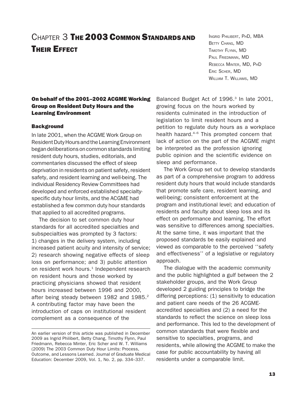# CHAPTER 3 THE 2003 COMMON STANDARDS AND **THEIR EFFECT**

### On behalf of the 2001-2002 ACGME Working Group on Resident Duty Hours and the Learning Environment

### **Background**

In late 2001, when the ACGME Work Group on Resident Duty Hours and the Learning Environment began deliberations on common standards limiting resident duty hours, studies, editorials, and commentaries discussed the effect of sleep deprivation in residents on patient safety, resident safety, and resident learning and well-being. The individual Residency Review Committees had developed and enforced established specialtyspecific duty hour limits, and the ACGME had established a few common duty hour standards that applied to all accredited programs.

The decision to set common duty hour standards for all accredited specialties and subspecialties was prompted by 3 factors: 1) changes in the delivery system, including increased patient acuity and intensity of service; 2) research showing negative effects of sleep loss on performance; and 3) public attention on resident work hours.<sup>1</sup> Independent research on resident hours and those worked by practicing physicians showed that resident hours increased between 1996 and 2000, after being steady between 1982 and 1985.<sup>2</sup> A contributing factor may have been the introduction of caps on institutional resident complement as a consequence of the

INGRID PHILIBERT, PHD, MBA BETTY CHANG, MD TIMOTHY FLYNN, MD PAUL FRIEDMANN, MD REBECCA MINTER, MD, PHD ERIC SCHER, MD WILLIAM T. WILLIAMS, MD

Balanced Budget Act of 1996.<sup>3</sup> In late 2001, growing focus on the hours worked by residents culminated in the introduction of legislation to limit resident hours and a petition to regulate duty hours as a workplace health hazard.<sup>4–6</sup> This prompted concern that lack of action on the part of the ACGME might be interpreted as the profession ignoring public opinion and the scientific evidence on sleep and performance.

The Work Group set out to develop standards as part of a comprehensive program to address resident duty hours that would include standards that promote safe care, resident learning, and well-being; consistent enforcement at the program and institutional level; and education of residents and faculty about sleep loss and its effect on performance and learning. The effort was sensitive to differences among specialties. At the same time, it was important that the proposed standards be easily explained and viewed as comparable to the perceived ''safety and effectiveness'' of a legislative or regulatory approach.

The dialogue with the academic community and the public highlighted a gulf between the 2 stakeholder groups, and the Work Group developed 2 guiding principles to bridge the differing perceptions: (1) sensitivity to education and patient care needs of the 26 ACGMEaccredited specialties and (2) a need for the standards to reflect the science on sleep loss and performance. This led to the development of common standards that were flexible and sensitive to specialties, programs, and residents, while allowing the ACGME to make the case for public accountability by having all residents under a comparable limit.

An earlier version of this article was published in December 2009 as Ingrid Philibert, Betty Chang, Timothy Flynn, Paul Friedmann, Rebecca Minter, Eric Scher and W. T. Williams (2009) The 2003 Common Duty Hour Limits: Process, Outcome, and Lessons Learned. Journal of Graduate Medical Education: December 2009, Vol. 1, No. 2, pp. 334–337.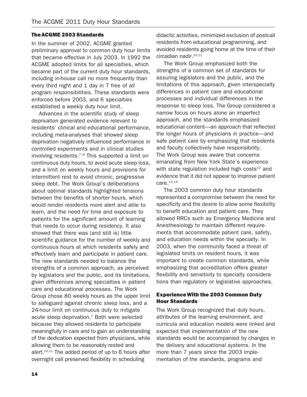### The ACGME 2003 Standards

In the summer of 2002, ACGME granted preliminary approval to common duty hour limits that became effective in July 2003. In 1992 the ACGME adopted limits for all specialties, which became part of the current duty hour standards, including in-house call no more frequently than every third night and 1 day in 7 free of all program responsibilities. These standards were enforced before 2003, and 6 specialties established a weekly duty hour limit.

Advances in the scientific study of sleep deprivation generated evidence relevant to residents' clinical and educational performance, including meta-analyses that showed sleep deprivation negatively influenced performance in controlled experiments and in clinical studies involving residents. $7-9$  This supported a limit on continuous duty hours, to avoid acute sleep loss, and a limit on weekly hours and provisions for intermittent rest to avoid chronic, progressive sleep debt. The Work Group's deliberations about optimal standards highlighted tensions between the benefits of shorter hours, which would render residents more alert and able to learn, and the need for time and exposure to patients for the significant amount of learning that needs to occur during residency. It also showed that there was (and still is) little scientific guidance for the number of weekly and continuous hours at which residents safely and effectively learn and participate in patient care. The new standards needed to balance the strengths of a common approach, as perceived by legislators and the public, and its limitations, given differences among specialties in patient care and educational processes. The Work Group chose 80 weekly hours as the upper limit to safeguard against chronic sleep loss, and a 24-hour limit on continuous duty to mitigate acute sleep deprivation.<sup>1</sup> Both were selected because they allowed residents to participate meaningfully in care and to gain an understanding of the dedication expected from physicians, while allowing them to be reasonably rested and alert. $10,11$  The added period of up to 6 hours after overnight call preserved flexibility in scheduling

didactic activities, minimized exclusion of postcall residents from educational programming, and avoided residents going home at the time of their circadian nadir.10,11

The Work Group emphasized both the strengths of a common set of standards for assuring legislators and the public, and the limitations of this approach, given interspecialty differences in patient care and educational processes and individual differences in the response to sleep loss. The Group considered a narrow focus on hours alone an imperfect approach, and the standards emphasized educational content—an approach that reflected the longer hours of physicians in practice—and safe patient care by emphasizing that residents and faculty collectively have responsibility. The Work Group was aware that concerns emanating from New York State's experience with state regulation included high costs $12$  and evidence that it did not appear to improve patient  $care.<sup>13,14</sup>$ 

The 2003 common duty hour standards represented a compromise between the need for specificity and the desire to allow some flexibility to benefit education and patient care. They allowed RRCs such as Emergency Medicine and Anesthesiology to maintain different requirements that accommodate patient care, safety, and education needs within the specialty. In 2003, when the community faced a threat of legislated limits on resident hours, it was important to create common standards, while emphasizing that accreditation offers greater flexibility and sensitivity to specialty considerations than regulatory or legislative approaches.

### ExperienceWith the 2003 Common Duty Hour Standards

The Work Group recognized that duty hours, attributes of the learning environment, and curricula and education models were linked and expected that implementation of the new standards would be accompanied by changes in the delivery and educational systems. In the more than 7 years since the 2003 implementation of the standards, programs and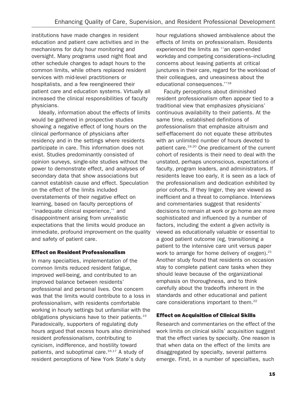institutions have made changes in resident education and patient care activities and in the mechanisms for duty hour monitoring and oversight. Many programs used night float and other schedule changes to adapt hours to the common limits, while others replaced resident services with mid-level practitioners or hospitalists, and a few reengineered their patient care and education systems. Virtually all increased the clinical responsibilities of faculty physicians.

Ideally, information about the effects of limits would be gathered in prospective studies showing a negative effect of long hours on the clinical performance of physicians after residency and in the settings where residents participate in care. This information does not exist. Studies predominantly consisted of opinion surveys, single-site studies without the power to demonstrate effect, and analyses of secondary data that show associations but cannot establish cause and effect. Speculation on the effect of the limits included overstatements of their negative effect on learning, based on faculty perceptions of ''inadequate clinical experience,'' and disappointment arising from unrealistic expectations that the limits would produce an immediate, profound improvement on the quality and safety of patient care.

### Effect on Resident Professionalism

In many specialties, implementation of the common limits reduced resident fatigue, improved well-being, and contributed to an improved balance between residents' professional and personal lives. One concern was that the limits would contribute to a loss in professionalism, with residents comfortable working in hourly settings but unfamiliar with the obligations physicians have to their patients.<sup>15</sup> Paradoxically, supporters of regulating duty hours argued that excess hours also diminished resident professionalism, contributing to cynicism, indifference, and hostility toward patients, and suboptimal care. $16,17$  A study of resident perceptions of New York State's duty

hour regulations showed ambivalence about the effects of limits on professionalism. Residents experienced the limits as ''an open-ended workday and competing considerations–including concerns about leaving patients at critical junctures in their care, regard for the workload of their colleagues, and uneasiness about the educational consequences.''18

Faculty perceptions about diminished resident professionalism often appear tied to a traditional view that emphasizes physicians' continuous availability to their patients. At the same time, established definitions of professionalism that emphasize altruism and self-effacement do not equate these attributes with an unlimited number of hours devoted to patient care.<sup>19,20</sup> One predicament of the current cohort of residents is their need to deal with the unstated, perhaps unconscious, expectations of faculty, program leaders, and administrators. If residents leave too early, it is seen as a lack of the professionalism and dedication exhibited by prior cohorts. If they linger, they are viewed as inefficient and a threat to compliance. Interviews and commentaries suggest that residents' decisions to remain at work or go home are more sophisticated and influenced by a number of factors, including the extent a given activity is viewed as educationally valuable or essential to a good patient outcome (eg, transitioning a patient to the intensive care unit versus paper work to arrange for home delivery of oxygen).<sup>21</sup> Another study found that residents on occasion stay to complete patient care tasks when they should leave because of the organizational emphasis on thoroughness, and to think carefully about the tradeoffs inherent in the standards and other educational and patient care considerations important to them.<sup>22</sup>

### Effect on Acquisition of Clinical Skills

Research and commentaries on the effect of the work limits on clinical skills' acquisition suggest that the effect varies by specialty. One reason is that when data on the effect of the limits are disaggregated by specialty, several patterns emerge. First, in a number of specialties, such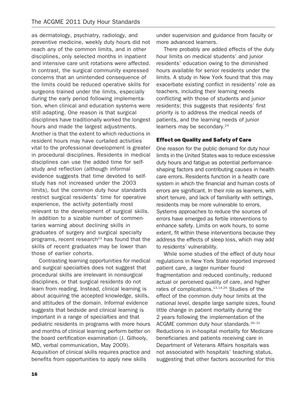as dermatology, psychiatry, radiology, and preventive medicine, weekly duty hours did not reach any of the common limits, and in other disciplines, only selected months in inpatient and intensive care unit rotations were affected. In contrast, the surgical community expressed concerns that an unintended consequence of the limits could be reduced operative skills for surgeons trained under the limits, especially during the early period following implementation, when clinical and education systems were still adapting. One reason is that surgical disciplines have traditionally worked the longest hours and made the largest adjustments. Another is that the extent to which reductions in resident hours may have curtailed activities vital to the professional development is greater in procedural disciplines. Residents in medical disciplines can use the added time for selfstudy and reflection (although informal evidence suggests that time devoted to selfstudy has not increased under the 2003 limits), but the common duty hour standards restrict surgical residents' time for operative experience, the activity potentially most relevant to the development of surgical skills. In addition to a sizable number of commentaries warning about declining skills in graduates of surgery and surgical specialty programs, recent research<sup>23</sup> has found that the skills of recent graduates may be lower than those of earlier cohorts.

Contrasting learning opportunities for medical and surgical specialties does not suggest that procedural skills are irrelevant in nonsurgical disciplines, or that surgical residents do not learn from reading. Instead, clinical learning is about acquiring the accepted knowledge, skills, and attitudes of the domain. Informal evidence suggests that bedside and clinical learning is important in a range of specialties and that pediatric residents in programs with more hours and months of clinical learning perform better on the board certification examination (J. Gilhooly, MD, verbal communication, May 2009). Acquisition of clinical skills requires practice and benefits from opportunities to apply new skills

under supervision and guidance from faculty or more advanced learners.

There probably are added effects of the duty hour limits on medical students' and junior residents' education owing to the diminished hours available for senior residents under the limits. A study in New York found that this may exacerbate existing conflict in residents' role as teachers, including their learning needs conflicting with those of students and junior residents; this suggests that residents' first priority is to address the medical needs of patients, and the learning needs of junior learners may be secondary.<sup>24</sup>

### Effect on Quality and Safety of Care

One reason for the public demand for duty hour limits in the United States was to reduce excessive duty hours and fatigue as potential performanceshaping factors and contributing causes in health care errors. Residents function in a health care system in which the financial and human costs of errors are significant. In their role as learners, with short tenure, and lack of familiarity with settings, residents may be more vulnerable to errors. Systems approaches to reduce the sources of errors have emerged as fertile interventions to enhance safety. Limits on work hours, to some extent, fit within these interventions because they address the effects of sleep loss, which may add to residents' vulnerability.

While some studies of the effect of duty hour regulations in New York State reported improved patient care, a larger number found fragmentation and reduced continuity, reduced actual or perceived quality of care, and higher rates of complications.<sup>13,14,25</sup> Studies of the effect of the common duty hour limits at the national level, despite large sample sizes, found little change in patient mortality during the 2 years following the implementation of the ACGME common duty hour standards.<sup>26-31</sup> Reductions in in-hospital mortality for Medicare beneficiaries and patients receiving care in Department of Veterans Affairs hospitals was not associated with hospitals' teaching status, suggesting that other factors accounted for this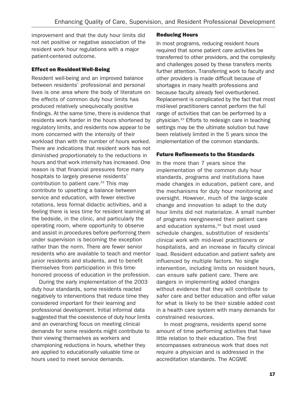improvement and that the duty hour limits did not net positive or negative association of the resident work hour regulations with a major patient-centered outcome.

### Effect on ResidentWell-Being

Resident well-being and an improved balance between residents' professional and personal lives is one area where the body of literature on the effects of common duty hour limits has produced relatively unequivocally positive findings. At the same time, there is evidence that residents work harder in the hours shortened by regulatory limits, and residents now appear to be more concerned with the intensity of their workload than with the number of hours worked. There are indications that resident work has not diminished proportionately to the reductions in hours and that work intensity has increased. One reason is that financial pressures force many hospitals to largely preserve residents' contribution to patient care.<sup>32</sup> This may contribute to upsetting a balance between service and education, with fewer elective rotations, less formal didactic activities, and a feeling there is less time for resident learning at the bedside, in the clinic, and particularly the operating room, where opportunity to observe and assist in procedures before performing them under supervision is becoming the exception rather than the norm. There are fewer senior residents who are available to teach and mentor junior residents and students, and to benefit themselves from participation in this timehonored process of education in the profession.

During the early implementation of the 2003 duty hour standards, some residents reacted negatively to interventions that reduce time they considered important for their learning and professional development. Initial informal data suggested that the coexistence of duty hour limits and an overarching focus on meeting clinical demands for some residents might contribute to their viewing themselves as workers and championing reductions in hours, whether they are applied to educationally valuable time or hours used to meet service demands.

### Reducing Hours

In most programs, reducing resident hours required that some patient care activities be transferred to other providers, and the complexity and challenges posed by these transfers merits further attention. Transferring work to faculty and other providers is made difficult because of shortages in many health professions and because faculty already feel overburdened. Replacement is complicated by the fact that most mid-level practitioners cannot perform the full range of activities that can be performed by a physician.33 Efforts to redesign care in teaching settings may be the ultimate solution but have been relatively limited in the 5 years since the implementation of the common standards.

### Future Refinements to the Standards

In the more than 7 years since the implementation of the common duty hour standards, programs and institutions have made changes in education, patient care, and the mechanisms for duty hour monitoring and oversight. However, much of the large-scale change and innovation to adapt to the duty hour limits did not materialize. A small number of programs reengineered their patient care and education systems, $34$  but most used schedule changes, substitution of residents' clinical work with mid-level practitioners or hospitalists, and an increase in faculty clinical load. Resident education and patient safety are influenced by multiple factors. No single intervention, including limits on resident hours, can ensure safe patient care. There are dangers in implementing added changes without evidence that they will contribute to safer care and better education and offer value for what is likely to be their sizable added cost in a health care system with many demands for constrained resources.

In most programs, residents spend some amount of time performing activities that have little relation to their education. The first encompasses extraneous work that does not require a physician and is addressed in the accreditation standards. The ACGME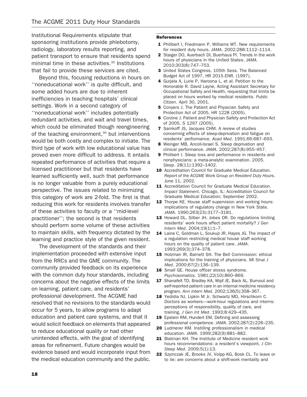Institutional Requirements stipulate that sponsoring institutions provide phlebotomy, radiology, laboratory results reporting, and patient transport to ensure that residents spend minimal time in these activities.<sup>35</sup> Institutions that fail to provide these services are cited.

Beyond this, focusing reductions in hours on ''noneducational work'' is quite difficult, and some added hours are due to inherent inefficiencies in teaching hospitals' clinical settings. Work in a second category of ''noneducational work'' includes potentially redundant activities, and wait and travel times, which could be eliminated though reengineering of the teaching environment, $36$  but interventions would be both costly and complex to initiate. The third type of work with low educational value has proved even more difficult to address. It entails repeated performance of activities that require a licensed practitioner but that residents have learned sufficiently well, such that performance is no longer valuable from a purely educational perspective. The issues related to minimizing this category of work are 2-fold. The first is that reducing this work for residents involves transfer of these activities to faculty or a ''mid-level practitioner''; the second is that residents should perform some volume of these activities to maintain skills, with frequency dictated by the learning and practice style of the given resident.

The development of the standards and their implementation proceeded with extensive input from the RRCs and the GME community. The community provided feedback on its experience with the common duty hour standards, including concerns about the negative effects of the limits on learning, patient care, and residents' professional development. The ACGME had resolved that no revisions to the standards would occur for 5 years, to allow programs to adapt education and patient care systems, and that it would solicit feedback on elements that appeared to reduce educational quality or had other unintended effects, with the goal of identifying areas for refinement. Future changes would be evidence based and would incorporate input from the medical education community and the public.

### **References**

- 1 Philibert I, Friedmann P, Williams WT. New requirements for resident duty hours. JAMA. 2002;288:1112–1114.
- 2 Staiger DO, Auerbach DI, Buerhaus PI. Trends in the work hours of physicians in the United States. JAMA. 2010;303(8):747–753.
- 3 United States Congress, 105th Sess. The Balanced Budget Act of 1997, HR 2015.ENR. (1997).
- 4 Gurjala A, Lurie P, Haroona L, et al. Petition to the Honorable R. David Layne, Acting Assistant Secretary for Occupational Safety and Health, requesting that limits be placed on hours worked by medical residents. Public Citizen. April 30, 2001.
- **5** Conyers J. The Patient and Physician Safety and Protection Act of 2005, HR 1228 (2005).
- 6 Corzine J. Patient and Physician Safety and Protection Act of 2005. S 1297 (2005).
- 7 Samkoff JS, Jacques CHM. A review of studies concerning effects of sleep-deprivation and fatigue on residents' performance. Acad Med. 1991;66:687–693.
- 8 Weinger MB, Ancoli-Israel S. Sleep deprivation and clinical performance. JAMA. 2002;287(8):955–957.
- 9 Philibert I. Sleep loss and performance in residents and nonphysicians: a meta-analytic examination. 2005. Sleep. 28(11):1392–1402.
- 10 Accreditation Council for Graduate Medical Education. Report of the ACGME Work Group on Resident Duty Hours. June 11, 2002.
- 11 Accreditation Council for Graduate Medical Education. Impact Statement. Chicago, IL: Accreditation Council for Graduate Medical Education; September 2002.
- 12 Thorpe KE. House staff supervision and working hours: implications of regulatory change in New York State. JAMA. 1990;263(23):3177–3181.
- 13 Howard DL, Silber JH, Jobes DR. Do regulations limiting residents' work hours affect patient mortality? J Gen Intern Med. 2004;19(1):1–7.
- 14 Laine C, Goldman L, Soukup JR, Hayes JG. The impact of a regulation restricting medical house staff working hours on the quality of patient care. JAMA. 1993;269(3):374–378.
- 15 Holzman IR, Barnett SH. The Bell Commission: ethical implications for the training of physicians. Mt Sinai J Med. 2000;67(2):136–139.
- 16 Small GE. House officer stress syndrome. Psychosomatics. 1981;22(10):860–869.
- 17 Shanafelt TD, Bradley KA, Wipf JE, Back AL. Burnout and self-reported patient care in an internal medicine residency program. Ann Intern Med. 2002;136(5):358–367.
- 18 Yedidia NJ, Lipkin M Jr, Schwartz MD, Hirschkorn C. Doctors as workers—work-hour regulations and interns: perceptions of responsibility, quality of care, and training. J Gen Int Med. 1993;8:429–435.
- 19 Epstein RM, Hundert EM. Defining and assessing professional competence. JAMA. 2002;287(2):226–235.
- 20 Ludmerer KM. Instilling professionalism in medical education. JAMA. 1999;282(9):881–882.
- 21 Blatman KH. The Institute of Medicine resident work hours recommendations: a resident's viewpoint. J Clin Sleep Med. 2009;5(1):13.
- 22 Szymczak JE, Brooks JV, Volpp KG, Bosk CL. To leave or to lie: are concerns about a shift-work mentality and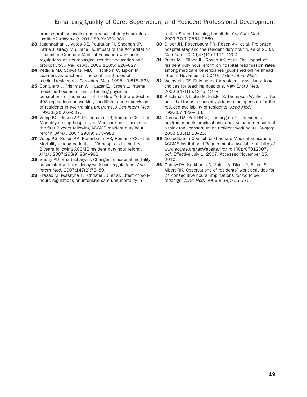eroding professionalism as a result of duty-hour rules justified? Milbank Q. 2010;88(3):350–381.

- 23 Jagannathan J, Vates GE, Pouratian N, Sheehan JP, Patrie J, Grady MS, Jane JA. Impact of the Accreditation Council for Graduate Medical Education work-hour regulations on neurosurgical resident education and productivity. J Neurosurg. 2009;110(5):820–827.
- 24 Yedidia MJ, Schwartz, MD, Hirschkorn C, Lipkin M. Learners as teachers—the conflicting roles of medical residents. J Gen Intern Med. 1995;10:615–623.
- 25 Conigliaro J, Frishman WH, Lazar EJ, Croen L. Internal medicine housestaff and attending physician perceptions of the impact of the New York State Section 405 regulations on working conditions and supervision of residents in two training programs. J Gen Intern Med. 1993;8(9):502–507.
- 26 Volpp KG, Rosen AK, Rosenbaum PR, Romano PS, et al. Mortality among hospitalized Medicare beneficiaries in the first 2 years following ACGME resident duty hour reform. JAMA. 2007;298(9):975–983.
- 27 Volpp KG, Rosen AK, Rosenbaum PR, Romano PS, et al. Mortality among patients in VA hospitals in the first 2 years following ACGME resident duty hour reform. JAMA. 2007;298(9):984–992.
- 28 Shetty KD, Bhattacharya J. Changes in hospital mortality associated with residency work-hour regulations. Ann Intern Med. 2007;147(2):73–80.
- 29 Prasad M, Iwashyna TJ, Christie JD, et al. Effect of workhours regulations on intensive care unit mortality in

United States teaching hospitals. Crit Care Med. 2009;37(9):2564–2569.

- 30 Silber JH, Rosenbaum PR, Rosen AK, et al. Prolonged hospital stay and the resident duty hour rules of 2003. Med Care. 2009;47(12):1191–1200.
- 31 Press MJ, Silber JH, Rosen AK, et al. The impact of resident duty hour reform on hospital readmission rates among medicare beneficiaries [published online ahead of print November 6, 2010]. J Gen Intern Med.
- 32 Weinstein DF. Duty hours for resident physicians: tough choices for teaching hospitals. New Engl J Med. 2002;347(16):1275–1278.
- 33 Knickman J, Lipkin M, Finkler S, Thompson W, Kiel J. The potential for using non-physicians to compensate for the reduced availability of residents. Acad Med. 1992;67:429–438.
- 34 Darosa DA, Bell RH Jr, Dunnington GL. Residency program models, implications, and evaluation: results of a think tank consortium on resident work hours. Surgery. 2003;133(1):13–23.
- 35 Accreditation Council for Graduate Medical Education. ACGME Institutional Requirements. Available at: http:// www.acgme.org/acWebsite/irc/irc\_IRCpr07012007. pdf. Effective July 1, 2007. Accessed November 25, 2010.
- 36 Gabow PA, Karkhanis A, Knight A, Dixon P, Eisert S, Albert RK. Observations of residents' work activities for 24 consecutive hours: implications for workflow redesign. Acad Med. 2006;81(8):766–775.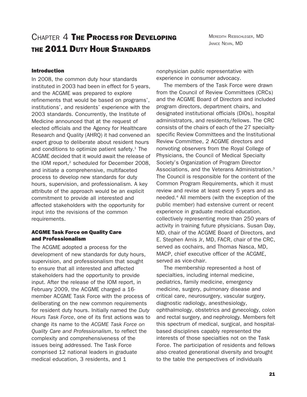# CHAPTER 4 THE PROCESS FOR DEVELOPING THE 2011 DUTY HOUR STANDARDS

### Introduction

In 2008, the common duty hour standards instituted in 2003 had been in effect for 5 years, and the ACGME was prepared to explore refinements that would be based on programs', institutions', and residents' experience with the 2003 standards. Concurrently, the Institute of Medicine announced that at the request of elected officials and the Agency for Healthcare Research and Quality (AHRQ) it had convened an expert group to deliberate about resident hours and conditions to optimize patient safety. $1$  The ACGME decided that it would await the release of the IOM report, $2$  scheduled for December 2008, and initiate a comprehensive, multifaceted process to develop new standards for duty hours, supervision, and professionalism. A key attribute of the approach would be an explicit commitment to provide all interested and affected stakeholders with the opportunity for input into the revisions of the common requirements.

### ACGME Task Force on Quality Care and Professionalism

The ACGME adopted a process for the development of new standards for duty hours, supervision, and professionalism that sought to ensure that all interested and affected stakeholders had the opportunity to provide input. After the release of the IOM report, in February 2009, the ACGME charged a 16 member ACGME Task Force with the process of deliberating on the new common requirements for resident duty hours. Initially named the Duty Hours Task Force, one of its first actions was to change its name to the ACGME Task Force on Quality Care and Professionalism, to reflect the complexity and comprehensiveness of the issues being addressed. The Task Force comprised 12 national leaders in graduate medical education, 3 residents, and 1

nonphysician public representative with experience in consumer advocacy.

The members of the Task Force were drawn from the Council of Review Committees (CRCs) and the ACGME Board of Directors and included program directors, department chairs, and designated institutional officials (DIOs), hospital administrators, and residents/fellows. The CRC consists of the chairs of each of the 27 specialtyspecific Review Committees and the Institutional Review Committee, 2 ACGME directors and nonvoting observers from the Royal College of Physicians, the Council of Medical Specialty Society's Organization of Program Director Associations, and the Veterans Administration.3 The Council is responsible for the content of the Common Program Requirements, which it must review and revise at least every 5 years and as needed.4 All members (with the exception of the public member) had extensive current or recent experience in graduate medical education, collectively representing more than 250 years of activity in training future physicians. Susan Day, MD, chair of the ACGME Board of Directors, and E. Stephen Amis Jr, MD, FACR, chair of the CRC, served as cochairs, and Thomas Nasca, MD, MACP, chief executive officer of the ACGME, served as vice-chair.

The membership represented a host of specialties, including internal medicine, pediatrics, family medicine, emergency medicine, surgery, pulmonary disease and critical care, neurosurgery, vascular surgery, diagnostic radiology, anesthesiology, ophthalmology, obstetrics and gynecology, colon and rectal surgery, and nephrology. Members felt this spectrum of medical, surgical, and hospitalbased disciplines capably represented the interests of those specialties not on the Task Force. The participation of residents and fellows also created generational diversity and brought to the table the perspectives of individuals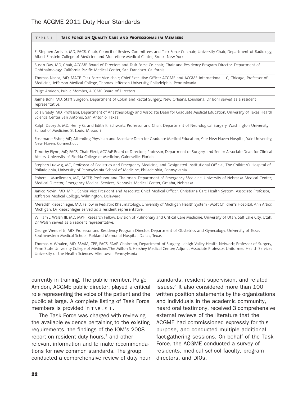### TABLE 1 Task Force on Quality Care and Professionalism Members

E. Stephen Amis Jr, MD, FACR, Chair, Council of Review Committees and Task Force Co-chair; University Chair, Department of Radiology, Albert Einstein College of Medicine and Montefiore Medical Center, Bronx, New York

Susan Day, MD, Chair, ACGME Board of Directors and Task Force Co-chair; Chair and Residency Program Director, Department of Ophthalmology, California Pacific Medical Center, San Francisco, California

Thomas Nasca, MD, MACP, Task Force Vice-chair; Chief Executive Officer ACGME and ACGME International LLC, Chicago; Professor of Medicine, Jefferson Medical College, Thomas Jefferson University, Philadelphia, Pennsylvania

Paige Amidon, Public Member, ACGME Board of Directors

Jaime Bohl, MD, Staff Surgeon, Department of Colon and Rectal Surgery, New Orleans, Louisiana. Dr Bohl served as a resident representative.

Lois Bready, MD, Professor, Department of Anesthesiology and Associate Dean for Graduate Medical Education, University of Texas Health Science Center San Antonio, San Antonio, Texas

Ralph Dacey Jr, MD, Henry G. and Edith R. Schwartz Professor and Chair, Department of Neurological Surgery, Washington University School of Medicine, St Louis, Missouri

Rosemarie Fisher, MD, Attending Physician and Associate Dean for Graduate Medical Education, Yale-New Haven Hospital, Yale University, New Haven, Connecticut

Timothy Flynn, MD, FACS, Chair-Elect, ACGME Board of Directors; Professor, Department of Surgery, and Senior Associate Dean for Clinical Affairs, University of Florida College of Medicine, Gainesville, Florida

Stephen Ludwig, MD, Professor of Pediatrics and Emergency Medicine, and Designated Institutional Official, The Children's Hospital of Philadelphia, University of Pennsylvania School of Medicine, Philadelphia, Pennsylvania

Robert L. Muelleman, MD, FACEP, Professor and Chairman, Department of Emergency Medicine, University of Nebraska Medical Center; Medical Director, Emergency Medical Services, Nebraska Medical Center, Omaha, Nebraska

Janice Nevin, MD, MPH, Senior Vice President and Associate Chief Medical Officer, Christiana Care Health System; Associate Professor, Jefferson Medical College, Wilmington, Delaware

Meredith Riebschleger, MD, Fellow in Pediatric Rheumatology, University of Michigan Health System - Mott Children's Hospital, Ann Arbor, Michigan. Dr Riebschleger served as a resident representative.

William J. Walsh III, MD, MPH, Research Fellow, Division of Pulmonary and Critical Care Medicine, University of Utah, Salt Lake City, Utah. Dr Walsh served as a resident representative.

George Wendel Jr, MD, Professor and Residency Program Director, Department of Obstetrics and Gynecology, University of Texas Southwestern Medical School, Parkland Memorial Hospital, Dallas, Texas

Thomas V. Whalen, MD, MMM, CPE, FACS, FAAP, Chairman, Department of Surgery, Lehigh Valley Health Network; Professor of Surgery, Penn State University College of Medicine/The Milton S. Hershey Medical Center; Adjunct Associate Professor, Uniformed Health Services University of the Health Sciences, Allentown, Pennsylvania

currently in training. The public member, Paige Amidon, ACGME public director, played a critical role representing the voice of the patient and the public at large. A complete listing of Task Force members is provided in TABLE 1 .

The Task Force was charged with reviewing the available evidence pertaining to the existing requirements, the findings of the IOM's 2008 report on resident duty hours,<sup>2</sup> and other relevant information and to make recommendations for new common standards. The group conducted a comprehensive review of duty hour

standards, resident supervision, and related issues.<sup>5</sup> It also considered more than 100 written position statements by the organizations and individuals in the academic community, heard oral testimony, received 3 comprehensive external reviews of the literature that the ACGME had commissioned expressly for this purpose, and conducted multiple additional fact-gathering sessions. On behalf of the Task Force, the ACGME conducted a survey of residents, medical school faculty, program directors, and DIOs.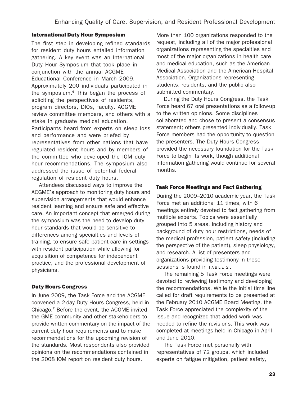### International Duty Hour Symposium

The first step in developing refined standards for resident duty hours entailed information gathering. A key event was an International Duty Hour Symposium that took place in conjunction with the annual ACGME Educational Conference in March 2009. Approximately 200 individuals participated in the symposium.6 This began the process of soliciting the perspectives of residents, program directors, DIOs, faculty, ACGME review committee members, and others with a stake in graduate medical education. Participants heard from experts on sleep loss and performance and were briefed by representatives from other nations that have regulated resident hours and by members of the committee who developed the IOM duty hour recommendations. The symposium also addressed the issue of potential federal regulation of resident duty hours.

Attendees discussed ways to improve the ACGME's approach to monitoring duty hours and supervision arrangements that would enhance resident learning and ensure safe and effective care. An important concept that emerged during the symposium was the need to develop duty hour standards that would be sensitive to differences among specialties and levels of training, to ensure safe patient care in settings with resident participation while allowing for acquisition of competence for independent practice, and the professional development of physicians.

### Duty Hours Congress

In June 2009, the Task Force and the ACGME convened a 2-day Duty Hours Congress, held in Chicago.7 Before the event, the ACGME invited the GME community and other stakeholders to provide written commentary on the impact of the current duty hour requirements and to make recommendations for the upcoming revision of the standards. Most respondents also provided opinions on the recommendations contained in the 2008 IOM report on resident duty hours.

More than 100 organizations responded to the request, including all of the major professional organizations representing the specialties and most of the major organizations in health care and medical education, such as the American Medical Association and the American Hospital Association. Organizations representing students, residents, and the public also submitted commentary.

During the Duty Hours Congress, the Task Force heard 67 oral presentations as a follow-up to the written opinions. Some disciplines collaborated and chose to present a consensus statement; others presented individually. Task Force members had the opportunity to question the presenters. The Duty Hours Congress provided the necessary foundation for the Task Force to begin its work, though additional information gathering would continue for several months.

### Task Force Meetings and Fact Gathering

During the 2009–2010 academic year, the Task Force met an additional 11 times, with 6 meetings entirely devoted to fact gathering from multiple experts. Topics were essentially grouped into 5 areas, including history and background of duty hour restrictions, needs of the medical profession, patient safety (including the perspective of the patient), sleep physiology, and research. A list of presenters and organizations providing testimony in these sessions is found in TABLE 2 .

The remaining 5 Task Force meetings were devoted to reviewing testimony and developing the recommendations. While the initial time line called for draft requirements to be presented at the February 2010 ACGME Board Meeting, the Task Force appreciated the complexity of the issue and recognized that added work was needed to refine the revisions. This work was completed at meetings held in Chicago in April and June 2010.

The Task Force met personally with representatives of 72 groups, which included experts on fatigue mitigation, patient safety,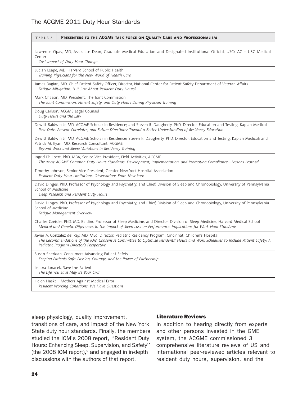| TABLE 2            | PRESENTERS TO THE ACGME TASK FORCE ON QUALITY CARE AND PROFESSIONALISM                                                                                                                                                                                                                    |
|--------------------|-------------------------------------------------------------------------------------------------------------------------------------------------------------------------------------------------------------------------------------------------------------------------------------------|
| Center             | Lawrence Opas, MD, Associate Dean, Graduate Medical Education and Designated Institutional Official, USC/LAC + USC Medical<br>Cost Impact of Duty Hour Change                                                                                                                             |
|                    | Lucian Leape, MD, Harvard School of Public Health<br>Training Physicians for the New World of Health Care                                                                                                                                                                                 |
|                    | James Bagian, MD, Chief Patient Safety Officer, Director, National Center for Patient Safety Department of Veteran Affairs<br>Fatique Mitigation: Is It Just About Resident Duty Hours?                                                                                                   |
|                    | Mark Chassin, MD, President, The Joint Commission<br>The Joint Commission, Patient Safety, and Duty Hours During Physician Training                                                                                                                                                       |
|                    | Doug Carlson, ACGME Legal Counsel<br>Duty Hours and the Law                                                                                                                                                                                                                               |
|                    | Dewitt Baldwin Jr, MD, ACGME Scholar in Residence; and Steven R. Daugherty, PhD, Director, Education and Testing, Kaplan Medical<br>Past Date, Present Correlates, and Future Directions: Toward a Better Understanding of Residency Education                                            |
|                    | Dewitt Baldwin Jr, MD, ACGME Scholar in Residence; Steven R. Daugherty, PhD, Director, Education and Testing, Kaplan Medical; and<br>Patrick M. Ryan, MD, Research Consultant, ACGME<br>Beyond Work and Sleep: Variations in Residency Training                                           |
|                    | Ingrid Philibert, PhD, MBA, Senior Vice President, Field Activities, ACGME<br>The 2003 ACGME Common Duty Hours Standards: Development, Implementation, and Promoting Compliance—Lessons Learned                                                                                           |
|                    | Timothy Johnson, Senior Vice President, Greater New York Hospital Association<br>Resident Duty Hour Limitations: Observations From New York                                                                                                                                               |
| School of Medicine | David Dinges, PhD, Professor of Psychology and Psychiatry, and Chief, Division of Sleep and Chronobiology, University of Pennsylvania<br>Sleep Research and Resident Duty Hours                                                                                                           |
| School of Medicine | David Dinges, PhD, Professor of Psychology and Psychiatry, and Chief, Division of Sleep and Chronobiology, University of Pennsylvania<br>Fatigue Management Overview                                                                                                                      |
|                    | Charles Czeisler, PhD, MD, Baldino Professor of Sleep Medicine, and Director, Division of Sleep Medicine, Harvard Medical School<br>Medical and Genetic Differences in the Impact of Sleep Loss on Performance: Implications for Work Hour Standards                                      |
|                    | Javier A. Gonzalez del Rey, MD, MEd, Director, Pediatric Residency Program, Cincinnati Children's Hospital<br>The Recommendations of the IOM Consensus Committee to Optimize Residents' Hours and Work Schedules to Include Patient Safety: A<br>Pediatric Program Director's Perspective |
|                    | Susan Sheridan, Consumers Advancing Patient Safety<br>Keeping Patients Safe: Passion, Courage, and the Power of Partnership                                                                                                                                                               |
|                    | Lenora Janacek, Save the Patient<br>The Life You Save May Be Your Own                                                                                                                                                                                                                     |
|                    | Helen Haskell, Mothers Against Medical Error<br>Resident Working Conditions: We Have Questions                                                                                                                                                                                            |

sleep physiology, quality improvement,

transitions of care, and impact of the New York State duty hour standards. Finally, the members studied the IOM's 2008 report, ''Resident Duty Hours: Enhancing Sleep, Supervision, and Safety'' (the 2008 IOM report), $2$  and engaged in in-depth discussions with the authors of that report.

### Literature Reviews

In addition to hearing directly from experts and other persons invested in the GME system, the ACGME commissioned 3 comprehensive literature reviews of US and international peer-reviewed articles relevant to resident duty hours, supervision, and the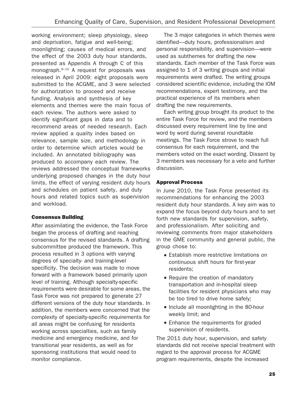working environment; sleep physiology, sleep and deprivation, fatigue and well-being; moonlighting; causes of medical errors, and the effect of the 2003 duty hour standards, presented as Appendix A through C of this monograph.<sup>8-10</sup> A request for proposals was released in April 2009: eight proposals were submitted to the ACGME, and 3 were selected for authorization to proceed and receive funding. Analysis and synthesis of key elements and themes were the main focus of each review. The authors were asked to identify significant gaps in data and to recommend areas of needed research. Each review applied a quality index based on relevance, sample size, and methodology in order to determine which articles would be included. An annotated bibliography was produced to accompany each review. The reviews addressed the conceptual frameworks underlying proposed changes in the duty hour limits, the effect of varying resident duty hours and schedules on patient safety, and duty hours and related topics such as supervision and workload.

### Consensus Building

After assimilating the evidence, the Task Force began the process of drafting and reaching consensus for the revised standards. A drafting subcommittee produced the framework. This process resulted in 3 options with varying degrees of specialty- and training-level specificity. The decision was made to move forward with a framework based primarily upon level of training. Although specialty-specific requirements were desirable for some areas, the Task Force was not prepared to generate 27 different versions of the duty hour standards. In addition, the members were concerned that the complexity of specialty-specific requirements for all areas might be confusing for residents working across specialties, such as family medicine and emergency medicine, and for transitional year residents, as well as for sponsoring institutions that would need to monitor compliance.

The 3 major categories in which themes were identified—duty hours, professionalism and personal responsibility, and supervision—were used as subthemes for drafting the new standards. Each member of the Task Force was assigned to 1 of 3 writing groups and initial requirements were drafted. The writing groups considered scientific evidence, including the IOM recommendations, expert testimony, and the practical experience of its members when drafting the new requirements.

Each writing group brought its product to the entire Task Force for review, and the members discussed every requirement line by line and word by word during several roundtable meetings. The Task Force strove to reach full consensus for each requirement, and the members voted on the exact wording. Dissent by 3 members was necessary for a veto and further discussion.

### Approval Process

In June 2010, the Task Force presented its recommendations for enhancing the 2003 resident duty hour standards. A key aim was to expand the focus beyond duty hours and to set forth new standards for supervision, safety, and professionalism. After soliciting and reviewing comments from major stakeholders in the GME community and general public, the group chose to:

- Establish more restrictive limitations on continuous shift hours for first-year residents;
- $\blacksquare$  Require the creation of mandatory transportation and in-hospital sleep facilities for resident physicians who may be too tired to drive home safely;
- **Include all moonlighting in the 80-hour** weekly limit; and
- **Enhance the requirements for graded** supervision of residents.

The 2011 duty hour, supervision, and safety standards did not receive special treatment with regard to the approval process for ACGME program requirements, despite the increased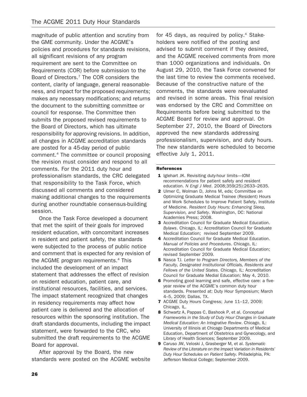magnitude of public attention and scrutiny from the GME community. Under the ACGME's policies and procedures for standards revisions, all significant revisions of any program requirement are sent to the Committee on Requirements (COR) before submission to the Board of Directors.<sup>7</sup> The COR considers the content, clarity of language, general reasonableness, and impact for the proposed requirements; makes any necessary modifications; and returns the document to the submitting committee or council for response. The Committee then submits the proposed revised requirements to the Board of Directors, which has ultimate responsibility for approving revisions. In addition, all changes in ACGME accreditation standards are posted for a 45-day period of public comment.4 The committee or council proposing the revision must consider and respond to all comments. For the 2011 duty hour and professionalism standards, the CRC delegated that responsibility to the Task Force, which discussed all comments and considered making additional changes to the requirements during another roundtable consensus-building session.

Once the Task Force developed a document that met the spirit of their goals for improved resident education, with concomitant increases in resident and patient safety, the standards were subjected to the process of public notice and comment that is expected for any revision of the ACGME program requirements.<sup>4</sup> This included the development of an impact statement that addresses the effect of revision on resident education, patient care, and institutional resources, facilities, and services. The impact statement recognized that changes in residency requirements may affect how patient care is delivered and the allocation of resources within the sponsoring institution. The draft standards documents, including the impact statement, were forwarded to the CRC, who submitted the draft requirements to the ACGME Board for approval.

After approval by the Board, the new standards were posted on the ACGME website for 45 days, as required by policy.<sup>4</sup> Stakeholders were notified of the posting and advised to submit comment if they desired, and the ACGME received comments from more than 1000 organizations and individuals. On August 29, 2010, the Task Force convened for the last time to review the comments received. Because of the constructive nature of the comments, the standards were reevaluated and revised in some areas. This final revision was endorsed by the CRC and Committee on Requirements before being submitted to the ACGME Board for review and approval. On September 27, 2010, the Board of Directors approved the new standards addressing professionalism, supervision, and duty hours. The new standards were scheduled to become effective July 1, 2011.

### References

- 1 Iglehart JK. Revisiting duty-hour limits-IOM recommendations for patient safety and resident education. N Engl J Med. 2008;359(25):2633–2635.
- 2 Ulmer C, Wolman D, Johns M, eds; Committee on Optimizing Graduate Medical Trainee (Resident) Hours and Work Schedules to Improve Patient Safety, Institute of Medicine. Resident Duty Hours: Enhancing Sleep, Supervision, and Safety. Washington, DC: National Academies Press; 2008.
- 3 Accreditation Council for Graduate Medical Education. Bylaws. Chicago, IL: Accreditation Council for Graduate Medical Education; revised September 2009.
- 4 Accreditation Council for Graduate Medical Education. Manual of Policies and Procedures. Chicago, IL: Accreditation Council for Graduate Medical Education; revised September 2009.
- 5 Nasca TJ. Letter to Program Directors, Members of the Faculty, Designated Institutional Officials, Residents and Fellows of the United States. Chicago, IL: Accreditation Council for Graduate Medial Education; May 4, 2010.
- 6 Promoting good learning and safe, effective care: a fiveyear review of the ACGME's common duty hour standards. Presented at: Duty Hour Symposium; March 4–5, 2009; Dallas, TX.
- 7 ACGME Duty Hours Congress; June 11–12, 2009; Chicago, IL.
- 8 Schwartz A, Pappas C, Bashook P, et al. Conceptual Frameworks in the Study of Duty Hour Changes in Graduate Medical Education: An Integrative Review. Chicago, IL: University of Illinois at Chicago Departments of Medical Education, Department of Obstetrics and Gynecology, and Library of Health Sciences; September 2009.
- 9 Caruso JW, Veloski J, Grasberger M, et al. Systematic Review of the Literature on the Impact Variation in Residents' Duty Hour Schedules on Patient Safety. Philadelphia, PA: Jefferson Medical College; September 2009.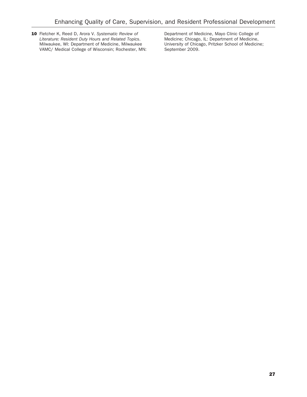10 Fletcher K, Reed D, Arora V. Systematic Review of Literature: Resident Duty Hours and Related Topics. Milwaukee, WI: Department of Medicine, Milwaukee VAMC/ Medical College of Wisconsin; Rochester, MN: Department of Medicine, Mayo Clinic College of Medicine; Chicago, IL: Department of Medicine, University of Chicago, Pritzker School of Medicine; September 2009.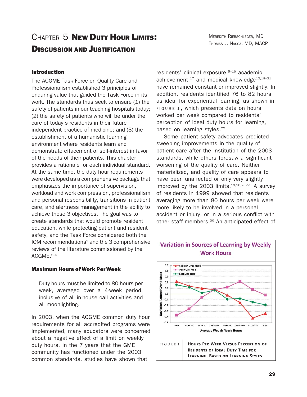# CHAPTER 5 NEW DUTY HOUR LIMITS! DISCUSSION AND JUSTIFICATION

### Introduction

The ACGME Task Force on Quality Care and Professionalism established 3 principles of enduring value that guided the Task Force in its work. The standards thus seek to ensure (1) the safety of patients in our teaching hospitals today; (2) the safety of patients who will be under the care of today's residents in their future independent practice of medicine; and (3) the establishment of a humanistic learning environment where residents learn and demonstrate effacement of self-interest in favor of the needs of their patients. This chapter provides a rationale for each individual standard. At the same time, the duty hour requirements were developed as a comprehensive package that emphasizes the importance of supervision, workload and work compression, professionalism and personal responsibility, transitions in patient care, and alertness management in the ability to achieve these 3 objectives. The goal was to create standards that would promote resident education, while protecting patient and resident safety, and the Task Force considered both the IOM recommendations $1$  and the 3 comprehensive reviews of the literature commissioned by the ACGME.2–4

### Maximum Hours ofWork PerWeek

Duty hours must be limited to 80 hours per week, averaged over a 4-week period, inclusive of all in-house call activities and all moonlighting.

In 2003, when the ACGME common duty hour requirements for all accredited programs were implemented, many educators were concerned about a negative effect of a limit on weekly duty hours. In the 7 years that the GME community has functioned under the 2003 common standards, studies have shown that

residents' clinical exposure.<sup>5-16</sup> academic achievement, $17$  and medical knowledge $12,18-21$ have remained constant or improved slightly. In addition, residents identified 76 to 82 hours as ideal for experiential learning, as shown in FIGURE 1 , which presents data on hours worked per week compared to residents' perception of ideal duty hours for learning, based on learning styles.<sup>22</sup>

Some patient safety advocates predicted sweeping improvements in the quality of patient care after the institution of the 2003 standards, while others foresaw a significant worsening of the quality of care. Neither materialized, and quality of care appears to have been unaffected or only very slightly improved by the 2003 limits. $19,20,23-29$  A survey of residents in 1999 showed that residents averaging more than 80 hours per week were more likely to be involved in a personal accident or injury, or in a serious conflict with other staff members.<sup>30</sup> An anticipated effect of

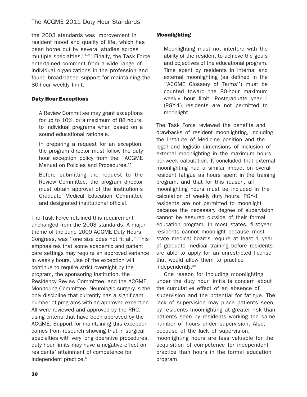the 2003 standards was improvement in resident mood and quality of life, which has been borne out by several studies across multiple specialties.<sup>31-37</sup> Finally, the Task Force entertained comment from a wide range of individual organizations in the profession and found broad-based support for maintaining the 80-hour weekly limit.

### Duty Hour Exceptions

A Review Committee may grant exceptions for up to 10%, or a maximum of 88 hours, to individual programs when based on a sound educational rationale.

In preparing a request for an exception, the program director must follow the duty hour exception policy from the ''ACGME Manual on Policies and Procedures.''

Before submitting the request to the Review Committee, the program director must obtain approval of the institution's Graduate Medical Education Committee and designated institutional official.

The Task Force retained this requirement unchanged from the 2003 standards. A major theme of the June 2009 ACGME Duty Hours Congress, was ''one size does not fit all.'' This emphasizes that some academic and patient care settings may require an approved variance in weekly hours. Use of the exception will continue to require strict oversight by the program, the sponsoring institution, the Residency Review Committee, and the ACGME Monitoring Committee. Neurologic surgery is the only discipline that currently has a significant number of programs with an approved exception. All were reviewed and approved by the RRC, using criteria that have been approved by the ACGME. Support for maintaining this exception comes from research showing that in surgical specialties with very long operative procedures, duty hour limits may have a negative effect on residents' attainment of competence for independent practice.<sup>6</sup>

### Moonlighting

Moonlighting must not interfere with the ability of the resident to achieve the goals and objectives of the educational program. Time spent by residents in internal and external moonlighting (as defined in the ''ACGME Glossary of Terms'') must be counted toward the 80-hour maximum weekly hour limit. Postgraduate year–1 (PGY-1) residents are not permitted to moonlight.

The Task Force reviewed the benefits and drawbacks of resident moonlighting, including the Institute of Medicine position and the legal and logistic dimensions of inclusion of external moonlighting in the maximum hoursper-week calculation. It concluded that external moonlighting had a similar impact on overall resident fatigue as hours spent in the training program, and that for this reason, all moonlighting hours must be included in the calculation of weekly duty hours. PGY-1 residents are not permitted to moonlight because the necessary degree of supervision cannot be assured outside of their formal education program. In most states, first-year residents cannot moonlight because most state medical boards require at least 1 year of graduate medical training before residents are able to apply for an unrestricted license that would allow them to practice independently.38

One reason for including moonlighting under the duty hour limits is concern about the cumulative effect of an absence of supervision and the potential for fatigue. The lack of supervision may place patients seen by residents moonlighting at greater risk than patients seen by residents working the same number of hours under supervision. Also, because of the lack of supervision, moonlighting hours are less valuable for the acquisition of competence for independent practice than hours in the formal education program.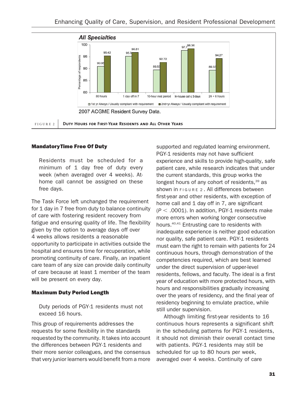

### MandatoryTime Free Of Duty

Residents must be scheduled for a minimum of 1 day free of duty every week (when averaged over 4 weeks). Athome call cannot be assigned on these free days.

The Task Force left unchanged the requirement for 1 day in 7 free from duty to balance continuity of care with fostering resident recovery from fatigue and ensuring quality of life. The flexibility given by the option to average days off over 4 weeks allows residents a reasonable opportunity to participate in activities outside the hospital and ensures time for recuperation, while promoting continuity of care. Finally, an inpatient care team of any size can provide daily continuity of care because at least 1 member of the team will be present on every day.

### Maximum Duty Period Length

Duty periods of PGY-1 residents must not exceed 16 hours.

This group of requirements addresses the requests for some flexibility in the standards requested by the community. It takes into account the differences between PGY-1 residents and their more senior colleagues, and the consensus that very junior learners would benefit from a more

supported and regulated learning environment. PGY-1 residents may not have sufficient experience and skills to provide high-quality, safe patient care, while research indicates that under the current standards, this group works the longest hours of any cohort of residents,<sup>39</sup> as shown in FIGURE 2 . All differences between first-year and other residents, with exception of home call and 1 day off in 7, are significant  $(P < .0001)$ . In addition, PGY-1 residents make more errors when working longer consecutive hours.40,41 Entrusting care to residents with inadequate experience is neither good education nor quality, safe patient care. PGY-1 residents must earn the right to remain with patients for 24 continuous hours, through demonstration of the competencies required, which are best learned under the direct supervision of upper-level residents, fellows, and faculty. The ideal is a first year of education with more protected hours, with hours and responsibilities gradually increasing over the years of residency, and the final year of residency beginning to emulate practice, while still under supervision.

Although limiting first-year residents to 16 continuous hours represents a significant shift in the scheduling patterns for PGY-1 residents, it should not diminish their overall contact time with patients. PGY-1 residents may still be scheduled for up to 80 hours per week, averaged over 4 weeks. Continuity of care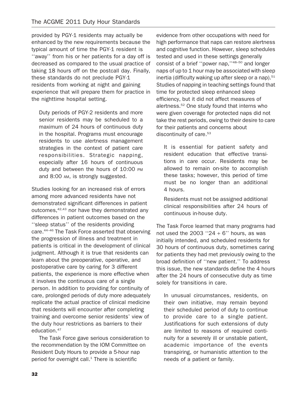provided by PGY-1 residents may actually be enhanced by the new requirements because the typical amount of time the PGY-1 resident is ''away'' from his or her patients for a day off is decreased as compared to the usual practice of taking 18 hours off on the postcall day. Finally, these standards do not preclude PGY-1 residents from working at night and gaining experience that will prepare them for practice in the nighttime hospital setting.

Duty periods of PGY-2 residents and more senior residents may be scheduled to a maximum of 24 hours of continuous duty in the hospital. Programs must encourage residents to use alertness management strategies in the context of patient care responsibilities. Strategic napping, especially after 16 hours of continuous duty and between the hours of 10:00 PM and 8:00 AM, is strongly suggested.

Studies looking for an increased risk of errors among more advanced residents have not demonstrated significant differences in patient outcomes, <sup>42,43</sup> nor have they demonstrated any differences in patient outcomes based on the ''sleep status'' of the residents providing care.44–46 The Task Force asserted that observing the progression of illness and treatment in patients is critical in the development of clinical judgment. Although it is true that residents can learn about the preoperative, operative, and postoperative care by caring for 3 different patients, the experience is more effective when it involves the continuous care of a single person. In addition to providing for continuity of care, prolonged periods of duty more adequately replicate the actual practice of clinical medicine that residents will encounter after completing training and overcome senior residents' view of the duty hour restrictions as barriers to their education.<sup>47</sup>

The Task Force gave serious consideration to the recommendation by the IOM Committee on Resident Duty Hours to provide a 5-hour nap period for overnight call. $1$  There is scientific

evidence from other occupations with need for high performance that naps can restore alertness and cognitive function. However, sleep schedules tested and used in these settings generally consist of a brief ''power nap,''48–50 and longer naps of up to 1 hour may be associated with sleep inertia (difficulty waking up after sleep or a nap). $51$ Studies of napping in teaching settings found that time for protected sleep enhanced sleep efficiency, but it did not affect measures of alertness.52 One study found that interns who were given coverage for protected naps did not take the rest periods, owing to their desire to care for their patients and concerns about discontinuity of care.<sup>53</sup>

It is essential for patient safety and resident education that effective transitions in care occur. Residents may be allowed to remain on-site to accomplish these tasks; however, this period of time must be no longer than an additional 4 hours.

Residents must not be assigned additional clinical responsibilities after 24 hours of continuous in-house duty.

The Task Force learned that many programs had not used the 2003 " $24 + 6$ " hours, as was initially intended, and scheduled residents for 30 hours of continuous duty, sometimes caring for patients they had met previously owing to the broad definition of ''new patient.'' To address this issue, the new standards define the 4 hours after the 24 hours of consecutive duty as time solely for transitions in care.

In unusual circumstances, residents, on their own initiative, may remain beyond their scheduled period of duty to continue to provide care to a single patient. Justifications for such extensions of duty are limited to reasons of required continuity for a severely ill or unstable patient, academic importance of the events transpiring, or humanistic attention to the needs of a patient or family.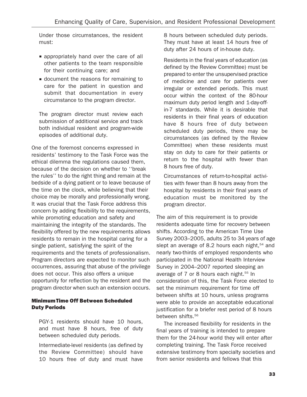Under those circumstances, the resident must:

- **E** appropriately hand over the care of all other patients to the team responsible for their continuing care; and
- & document the reasons for remaining to care for the patient in question and submit that documentation in every circumstance to the program director.

The program director must review each submission of additional service and track both individual resident and program-wide episodes of additional duty.

One of the foremost concerns expressed in residents' testimony to the Task Force was the ethical dilemma the regulations caused them, because of the decision on whether to ''break the rules'' to do the right thing and remain at the bedside of a dying patient or to leave because of the time on the clock, while believing that their choice may be morally and professionally wrong. It was crucial that the Task Force address this concern by adding flexibility to the requirements, while promoting education and safety and maintaining the integrity of the standards. The flexibility offered by the new requirements allows residents to remain in the hospital caring for a single patient, satisfying the spirit of the requirements and the tenets of professionalism. Program directors are expected to monitor such occurrences, assuring that abuse of the privilege does not occur. This also offers a unique opportunity for reflection by the resident and the program director when such an extension occurs.

## MinimumTime Off Between Scheduled Duty Periods

PGY-1 residents should have 10 hours, and must have 8 hours, free of duty between scheduled duty periods.

Intermediate-level residents (as defined by the Review Committee) should have 10 hours free of duty and must have 8 hours between scheduled duty periods. They must have at least 14 hours free of duty after 24 hours of in-house duty.

Residents in the final years of education (as defined by the Review Committee) must be prepared to enter the unsupervised practice of medicine and care for patients over irregular or extended periods. This must occur within the context of the 80-hour maximum duty period length and 1-day-offin-7 standards. While it is desirable that residents in their final years of education have 8 hours free of duty between scheduled duty periods, there may be circumstances (as defined by the Review Committee) when these residents must stay on duty to care for their patients or return to the hospital with fewer than 8 hours free of duty.

Circumstances of return-to-hospital activities with fewer than 8 hours away from the hospital by residents in their final years of education must be monitored by the program director.

The aim of this requirement is to provide residents adequate time for recovery between shifts. According to the American Time Use Survey 2003–2005, adults 25 to 34 years of age slept an average of 8.2 hours each night,<sup>54</sup> and nearly two-thirds of employed respondents who participated in the National Health Interview Survey in 2004–2007 reported sleeping an average of 7 or 8 hours each night.<sup>55</sup> In consideration of this, the Task Force elected to set the minimum requirement for time off between shifts at 10 hours, unless programs were able to provide an acceptable educational justification for a briefer rest period of 8 hours between shifts.<sup>56</sup>

The increased flexibility for residents in the final years of training is intended to prepare them for the 24-hour world they will enter after completing training. The Task Force received extensive testimony from specialty societies and from senior residents and fellows that this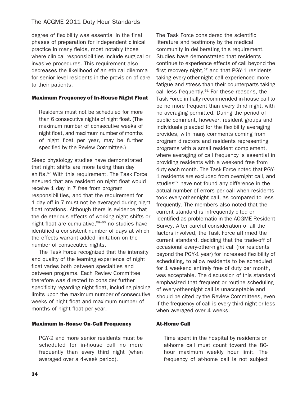degree of flexibility was essential in the final phases of preparation for independent clinical practice in many fields, most notably those where clinical responsibilities include surgical or invasive procedures. This requirement also decreases the likelihood of an ethical dilemma for senior level residents in the provision of care to their patients.

### Maximum Frequency of In-House Night Float

Residents must not be scheduled for more than 6 consecutive nights of night float. (The maximum number of consecutive weeks of night float, and maximum number of months of night float per year, may be further specified by the Review Committee.)

Sleep physiology studies have demonstrated that night shifts are more taxing than day shifts.<sup>57</sup> With this requirement, The Task Force ensured that any resident on night float would receive 1 day in 7 free from program responsibilities, and that the requirement for 1 day off in 7 must not be averaged during night float rotations. Although there is evidence that the deleterious effects of working night shifts or night float are cumulative,<sup>58-60</sup> no studies have identified a consistent number of days at which the effects warrant added limitation on the number of consecutive nights.

The Task Force recognized that the intensity and quality of the learning experience of night float varies both between specialties and between programs. Each Review Committee therefore was directed to consider further specificity regarding night float, including placing limits upon the maximum number of consecutive weeks of night float and maximum number of months of night float per year.

## Maximum In-House On-Call Frequency

PGY-2 and more senior residents must be scheduled for in-house call no more frequently than every third night (when averaged over a 4-week period).

The Task Force considered the scientific literature and testimony by the medical community in deliberating this requirement. Studies have demonstrated that residents continue to experience effects of call beyond the first recovery night, $57$  and that PGY-1 residents taking every-other-night call experienced more fatigue and stress than their counterparts taking call less frequently.<sup>61</sup> For these reasons, the Task Force initially recommended in-house call to be no more frequent than every third night, with no averaging permitted. During the period of public comment, however, resident groups and individuals pleaded for the flexibility averaging provides, with many comments coming from program directors and residents representing programs with a small resident complement, where averaging of call frequency is essential in providing residents with a weekend free from duty each month. The Task Force noted that PGY-1 residents are excluded from overnight call, and studies<sup>62</sup> have not found any difference in the actual number of errors per call when residents took every-other-night call, as compared to less frequently. The members also noted that the current standard is infrequently cited or identified as problematic in the ACGME Resident Survey. After careful consideration of all the factors involved, the Task Force affirmed the current standard, deciding that the trade-off of occasional every-other-night call (for residents beyond the PGY-1 year) for increased flexibility of scheduling, to allow residents to be scheduled for 1 weekend entirely free of duty per month, was acceptable. The discussion of this standard emphasized that frequent or routine scheduling of every-other-night call is unacceptable and should be cited by the Review Committees, even if the frequency of call is every third night or less when averaged over 4 weeks.

## At-Home Call

Time spent in the hospital by residents on at-home call must count toward the 80 hour maximum weekly hour limit. The frequency of at-home call is not subject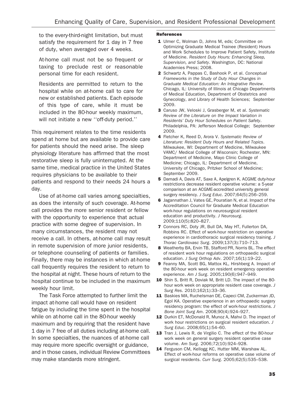to the every-third-night limitation, but must satisfy the requirement for 1 day in 7 free of duty, when averaged over 4 weeks.

At-home call must not be so frequent or taxing to preclude rest or reasonable personal time for each resident.

Residents are permitted to return to the hospital while on at-home call to care for new or established patients. Each episode of this type of care, while it must be included in the 80-hour weekly maximum, will not initiate a new ''off-duty period.''

This requirement relates to the time residents spend at home but are available to provide care for patients should the need arise. The sleep physiology literature has affirmed that the most restorative sleep is fully uninterrupted. At the same time, medical practice in the United States requires physicians to be available to their patients and respond to their needs 24 hours a day.

Use of at-home call varies among specialties, as does the intensity of such coverage. At-home call provides the more senior resident or fellow with the opportunity to experience that actual practice with some degree of supervision. In many circumstances, the resident may not receive a call. In others, at-home call may result in remote supervision of more junior residents, or telephone counseling of patients or families. Finally, there may be instances in which at-home call frequently requires the resident to return to the hospital at night. These hours of return to the hospital continue to be included in the maximum weekly hour limit.

The Task Force attempted to further limit the impact at-home call would have on resident fatigue by including the time spent in the hospital while on at-home call in the 80-hour weekly maximum and by requiring that the resident have 1 day in 7 free of all duties including at-home call. In some specialties, the nuances of at-home call may require more specific oversight or guidance, and in those cases, individual Review Committees may make standards more stringent.

#### References

- 1 Ulmer C, Wolman D, Johns M, eds; Committee on Optimizing Graduate Medical Trainee (Resident) Hours and Work Schedules to Improve Patient Safety, Institute of Medicine. Resident Duty Hours: Enhancing Sleep, Supervision, and Safety. Washington, DC: National Academies Press; 2008.
- 2 Schwartz A, Pappas C, Bashook P, et al. Conceptual Frameworks in the Study of Duty Hour Changes in Graduate Medical Education: An Integrative Review. Chicago, IL: University of Illinois at Chicago Departments of Medical Education, Department of Obstetrics and Gynecology, and Library of Health Sciences; September 2009.
- 3 Caruso JW, Veloski J, Grasberger M, et al. Systematic Review of the Literature on the Impact Variation in Residents' Duty Hour Schedules on Patient Safety. Philadelphia, PA: Jefferson Medical College; September 2009.
- 4 Fletcher K, Reed D, Arora V. Systematic Review of Literature: Resident Duty Hours and Related Topics. Milwaukee, WI: Department of Medicine, Milwaukee VAMC/ Medical College of Wisconsin; Rochester, MN: Department of Medicine, Mayo Clinic College of Medicine; Chicago, IL: Department of Medicine, University of Chicago, Pritzker School of Medicine; September 2009.
- 5 Damadi A, Davis AT, Saxe A, Apelgren K. ACGME duty-hour restrictions decrease resident operative volume: a 5-year comparison at an ACGME-accredited university general surgery residency. J Surg Educ. 2007;64(5):256–259.
- 6 Jagannathan J, Vates GE, Pouratian N, et al. Impact of the Accreditation Council for Graduate Medical Education work-hour regulations on neurosurgical resident education and productivity. J Neurosurg. 2009;110(5):820–827.
- 7 Connors RC, Doty JR, Bull DA, May HT, Fullerton DA, Robbins RC. Effect of work-hour restriction on operative experience in cardiothoracic surgical residency training. J Thorac Cardiovasc Surg. 2009;137(3):710–713.
- 8 Weatherby BA, Ervin TB, Stafford PR, Norris BL. The effect of resident work hour regulations on orthopaedic surgical education. J Surg Orthop Adv. 2007;16(1):19–22.
- 9 Feanny MA, Scott BG, Mattox KL, Hirshberg A. Impact of the 80-hour work week on resident emergency operative experience. Am J Surg. 2005;190(6):947–949.
- 10 Shin S, Britt R, Doviak M, Britt LD. The impact of the 80hour work week on appropriate resident case coverage. J Surg Res. 2010;162(1):33–36.
- 11 Baskies MA, Ruchelsman DE, Capeci CM, Zuckerman JD, Egol KA. Operative experience in an orthopaedic surgery residency program: the effect of work-hour restrictions. J Bone Joint Surg Am. 2008;90(4):924–927.
- 12 Durkin ET, McDonald R, Munoz A, Mahvi D. The impact of work hour restrictions on surgical resident education. J Surg Educ. 2008;65(1):54–60.
- 13 Tran J, Lewis R, de Virgilio C. The effect of the 80-hour work week on general surgery resident operative case volume. Am Surg. 2006;72(10):924–928.
- 14 Ferguson CM, Kellogg KC, Hutter MM, Warshaw AL. Effect of work-hour reforms on operative case volume of surgical residents. Curr Surg. 2005;62(5):535–538.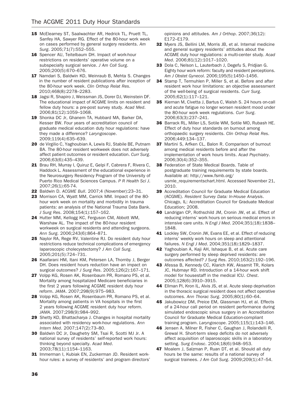- 15 McElearney ST, Saalwachter AR, Hedrick TL, Pruett TL, Sanfey HA, Sawyer RG. Effect of the 80-hour work week on cases performed by general surgery residents. Am Surg. 2005;71(7):552–555.
- 16 Spencer AU, Teitelbaum DH. Impact of work-hour restrictions on residents' operative volume on a subspecialty surgical service. J Am Coll Surg. 2005;200(5):670–676.
- 17 Namdari S, Baldwin KD, Weinraub B, Mehta S. Changes in the number of resident publications after inception of the 80-hour work week. Clin Orthop Relat Res. 2010;468(8):2278–2283.
- 18 Jagsi R, Shapiro J, Weissman JS, Dorer DJ, Weinstein DF. The educational impact of ACGME limits on resident and fellow duty hours: a pre-post survey study. Acad Med. 2006;81(12):1059–1068.
- 19 Shonka DC Jr, Ghanem TA, Hubbard MA, Barker DA, Kesser BW. Four years of accreditation council of graduate medical education duty hour regulations: have they made a difference? Laryngoscope. 2009;119(4):635–639.
- 20 de Virgilio C, Yaghoubian A, Lewis RJ, Stabile BE, Putnam BA. The 80-hour resident workweek does not adversely affect patient outcomes or resident education. Curr Surg. 2006;63(6):435–439.
- 21 Brau RH, Murray I, Quiruz E, Gelpi F, Cabrera F, Rivera C, Haddock L. Assessment of the educational experience in the Neurosurgery Residency Program of the University of Puerto Rico Medical Sciences Campus. P R Health Sci J. 2007;26(1):65-74.
- 22 Baldwin D. ACGME Bull. 2007;4 (November):23–31.
- 23 Morrison CA, Wyatt MM, Carrick MM. Impact of the 80 hour work week on mortality and morbidity in trauma patients: an analysis of the National Trauma Data Bank. J Surg Res. 2008;154(1):157–162.
- 24 Hutter MM, Kellogg KC, Ferguson CM, Abbott WM, Warshaw AL. The impact of the 80-hour resident workweek on surgical residents and attending surgeons. Ann Surg. 2006;243(6):864–871.
- 25 Naylor RA, Rege RV, Valentine RJ. Do resident duty hour restrictions reduce technical complications of emergency laparoscopic cholecystectomy? J Am Coll Surg. 2005;201(5):724–731.
- 26 Kaafarani HM, Itani KM, Petersen LA, Thornby J, Berger DH. Does resident hours reduction have an impact on surgical outcomes? J Surg Res. 2005;126(2):167–171.
- 27 Volpp KG, Rosen AK, Rosenbaum PR, Romano PS, et al. Mortality among hospitalized Medicare beneficiaries in the first 2 years following ACGME resident duty hour reform. JAMA. 2007;298(9):975–983.
- 28 Volpp KG, Rosen AK, Rosenbaum PR, Romano PS, et al. Mortality among patients in VA hospitals in the first 2 years following ACGME resident duty hour reform. JAMA. 2007;298(9):984–992.
- 29 Shetty KD, Bhattacharya J. Changes in hospital mortality associated with residency work-hour regulations. Ann Intern Med. 2007;147(2):73–80.
- 30 Baldwin DC Jr, Daughetry SM, Tsai R, Scotti MJ Jr. A national survey of residents' self-reported work hours: thinking beyond specialty. Acad Med. 2003;78(11):1154–1163.
- 31 Immerman I, Kubiak EN, Zuckerman JD. Resident workhour rules: a survey of residents' and program directors'

opinions and attitudes. Am J Orthop. 2007;36(12): E172–E179.

- 32 Myers JS, Bellini LM, Morris JB, et al. Internal medicine and general surgery residents' attitudes about the ACGME duty hour regulations: a multi-center study. Acad Med. 2006;81(12):1017–1020.
- 33 Dola C, Nelson L, Lauterbach J, Degefu S, Pridjian G. Eighty hour work reform: faculty and resident perceptions. Am J Obstet Gynecol. 2006;195(5):1450–1456.
- 34 Stamp T, Termuhlen P, Miller S, et al. Before and after resident work hour limitations: an objective assessment of the well-being of surgical residents. Curr Surg. 2005;62(1):117–121.
- 35 Kiernan M, Civetta J, Bartus C, Walsh S. 24 hours on-call and acute fatigue no longer worsen resident mood under the 80-hour work week regulations. Curr Surg. 2006;63(3):237–241.
- 36 Barrack RL, Miller LS, Sotile WM, Sotile MO, Rubash HE. Effect of duty hour standards on burnout among orthopaedic surgery residents. Clin Orthop Relat Res. 2006;449:134–137.
- 37 Martini S, Arfken CL, Balon R. Comparison of burnout among medical residents before and after the implementation of work hours limits. Acad Psychiatry. 2006;30(4):352–355.
- 38 Federation of State Medical Boards. Table of postgraduate training requirements by state boards. Available at: http://www.fsmb.org/ usmle\_requirementschart.html. Accessed November 21, 2010.
- 39 Accreditation Council for Graduate Medical Education (ACGME). Resident Survey Data: In-House Analysis. Chicago, IL: Accreditation Council for Graduate Medical Education; 2008.
- 40 Landrigan CP, Rothschild JM, Cronin JW, et al. Effect of reducing interns' work hours on serious medical errors in intensive care units. N Engl J Med. 2004;351(18):1838– 1848.
- 41 Lockley SW, Cronin JW, Evans EE, et al. Effect of reducing interns' weekly work hours on sleep and attentional failures. N Engl J Med. 2004;351(18):1829–1837.
- 42 Yaghoubian A, Kaji AH, Ishaque B, et al. Acute care surgery performed by sleep deprived residents: are outcomes affected? J Surg Res. 2010;163(2):192–196.
- 43 Afessa B, Kennedy CC, Klarich KW, Aksamit TR, Kolars JC, Hubmayr RD. Introduction of a 14-hour work shift model for housestaff in the medical ICU. Chest. 2005;128(6):3910–3915.
- 44 Ellman PI, Kron IL, Alvis JS, et al. Acute sleep deprivation in the thoracic surgical resident does not affect operative outcomes. Ann Thorac Surg. 2005;80(1):60–64.
- 45 Jakubowicz DM, Preice EM, Glassman HJ, et al. Effects of a 24-hour call period on resident performance during simulated endoscopic sinus surgery in an Accreditation Council for Graduate Medical Education-compliant training program. Laryngoscope. 2005;115(1):143–146.
- 46 Jensen A, Milner R, Fisher C, Gaughan J, Rolandelli R, Grewal H. Short-term sleep deficits do not adversely affect acquisition of laparoscopic skills in a laboratory setting. Surg Endosc. 2004;18(6):948–953.
- 47 Moalem J, Salzman P, Ruan DT, et al. Should all duty hours be the same: results of a national survey of surgical trainees. J Am Coll Surg. 2009;209(1):47–54.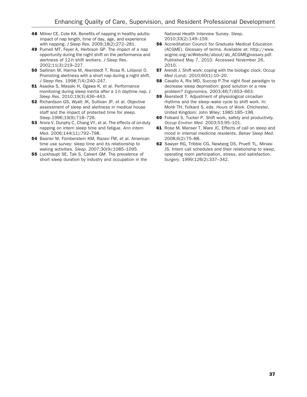- 48 Milner CE, Cote KA. Benefits of napping in healthy adults: impact of nap length, time of day, age, and experience with napping. J Sleep Res. 2009;18(2):272–281.
- 49 Purnell MT, Feyer A, Herbison GP. The impact of a nap opportunity during the night shift on the performance and alertness of 12-h shift workers. J Sleep Res. 2002;11(3):219–227.
- 50 Sallinen M, Harma M, Akerstedt T, Rosa R, Lillqvist O. Promoting alertness with a short nap during a night shift. J Sleep Res. 1998;7(4):240–247.
- **51** Asaoka S, Masaki H, Ogawa K, et al. Performance monitoring during sleep inertia after a 1-h daytime nap. J Sleep Res. 2010;19(3):436–443.
- 52 Richardson GS, Wyatt JK, Sullivan JP, et al. Objective assessment of sleep and alertness in medical house staff and the impact of protected time for sleep. Sleep.1996;19(9):718–726.
- 53 Arora V, Dunphy C, Chang VY, et al. The effects of on-duty napping on intern sleep time and fatigue. Ann Intern Med. 2006;144(11):792–798.
- **54** Basner M, Fomberstein KM, Razavi FM, et al. American time use survey: sleep time and its relationship to waking activities. Sleep. 2007;30(9):1085–1095.
- **55** Luckhaupt SE, Tak S, Calvert GM. The prevalence of short sleep duration by industry and occupation in the

National Health Interview Survey. Sleep. 2010;33(2):149–159.

- **56** Accreditation Council for Graduate Medical Education (ACGME). Glossary of terms. Available at: http://www. acgme.org/acWebsite/about/ab\_ACGMEglossary.pdf. Published May 7, 2010. Accessed November 26, 2010.
- **57** Arendt J. Shift work: coping with the biologic clock. Occup Med (Lond). 2010;60(1):10–20.
- **58** Cavallo A, Ris MD, Succop P. The night float paradigm to decrease sleep deprivation: good solution or a new problem? Ergonomics. 2003;46(7):653–663.
- 59 Åkerstedt T. Adjustment of physiological circadian rhythms and the sleep–wake cycle to shift work. In: Monk TH, Folkard S, eds. Hours of Work. Chichester, United Kingdom: John Wiley; 1985:185–198.
- 60 Folkard S, Tucker P. Shift work, safety and productivity. Occup Environ Med. 2003;53:95–101.
- 61 Rose M, Manser T, Ware JC. Effects of call on sleep and mood in internal medicine residents. Behav Sleep Med. 2008;6(2):75–88.
- 62 Sawyer RG, Tribble CG, Newberg DS, Pruett TL, Minasi JS. Intern call schedules and their relationship to sleep, operating room participation, stress, and satisfaction. Surgery. 1999;126(2):337–342.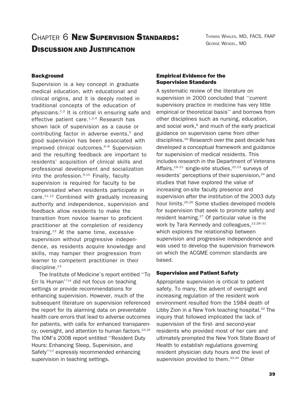## CHAPTER 6 NEW SUPERVISION STANDARDS!

THOMAS WHALEN, MD, FACS, FAAP GEORGE WENDEL, MD

## DISCUSSION AND JUSTIFICATION

## **Background**

Supervision is a key concept in graduate medical education, with educational and clinical origins, and it is deeply rooted in traditional concepts of the education of physicians. $1,2$  It is critical in ensuring safe and effective patient care. $1,3,4$  Research has shown lack of supervision as a cause or contributing factor in adverse events,<sup>5</sup> and good supervision has been associated with improved clinical outcomes.<sup>6-8</sup> Supervision and the resulting feedback are important to residents' acquisition of clinical skills and professional development and socialization into the profession. $9,10$  Finally, faculty supervision is required for faculty to be compensated when residents participate in care.<sup>11,12</sup> Combined with gradually increasing authority and independence, supervision and feedback allow residents to make the transition from novice learner to proficient practitioner at the completion of residency training.13 At the same time, excessive supervision without progressive independence, as residents acquire knowledge and skills, may hamper their progression from learner to competent practitioner in their discipline.<sup>13</sup>

The Institute of Medicine's report entitled ''To Err Is Human"<sup>14</sup> did not focus on teaching settings or provide recommendations for enhancing supervision. However, much of the subsequent literature on supervision referenced the report for its alarming data on preventable health care errors that lead to adverse outcomes for patients, with calls for enhanced transparency, oversight, and attention to human factors.<sup>15,16</sup> The IOM's 2008 report entitled ''Resident Duty Hours: Enhancing Sleep, Supervision, and Safety"<sup>17</sup> expressly recommended enhancing supervision in teaching settings.

## Empirical Evidence for the Supervision Standards

A systematic review of the literature on supervision in 2000 concluded that ''current supervisory practice in medicine has very little empirical or theoretical basis'' and borrows from other disciplines such as nursing, education, and social work, $9$  and much of the early practical guidance on supervision came from other disciplines.18 Research over the past decade has developed a conceptual framework and guidance for supervision of medical residents. This includes research in the Department of Veterans Affairs, $19-21$  single-site studies, $22,23$  surveys of residents' perceptions of their supervision, $24$  and studies that have explored the value of increasing on-site faculty presence and supervision after the institution of the 2003 duty hour limits.<sup>25,26</sup> Some studies developed models for supervision that seek to promote safety and resident learning.<sup>27</sup> Of particular value is the work by Tara Kennedy and colleagues, 13,28-31 which explores the relationship between supervision and progressive independence and was used to develop the supervision framework on which the ACGME common standards are based.

## Supervision and Patient Safety

Appropriate supervision is critical to patient safety. To many, the advent of oversight and increasing regulation of the resident work environment resulted from the 1984 death of Libby Zion in a New York teaching hospital. $32$  The inquiry that followed implicated the lack of supervision of the first- and second-year residents who provided most of her care and ultimately prompted the New York State Board of Health to establish regulations governing resident physician duty hours and the level of supervision provided to them.<sup>33,34</sup> Other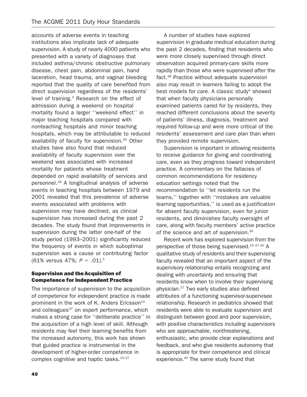accounts of adverse events in teaching institutions also implicate lack of adequate supervision. A study of nearly 4000 patients who presented with a variety of diagnoses that included asthma/chronic obstructive pulmonary disease, chest pain, abdominal pain, hand laceration, head trauma, and vaginal bleeding reported that the quality of care benefited from direct supervision regardless of the residents' level of training.3 Research on the effect of admission during a weekend on hospital mortality found a larger ''weekend effect'' in major teaching hospitals compared with nonteaching hospitals and minor teaching hospitals, which may be attributable to reduced availability of faculty for supervision.<sup>35</sup> Other studies have also found that reduced availability of faculty supervision over the weekend was associated with increased mortality for patients whose treatment depended on rapid availability of services and personnel.36 A longitudinal analysis of adverse events in teaching hospitals between 1979 and 2001 revealed that this prevalence of adverse events associated with problems with supervision may have declined, as clinical supervision has increased during the past 2 decades. The study found that improvements in supervision during the latter one-half of the study period (1993–2001) significantly reduced the frequency of events in which suboptimal supervision was a cause or contributing factor (61% versus 47%;  $P = .01$ ).<sup>5</sup>

#### Supervision and the Acquisition of Competence for Independent Practice

The importance of supervision to the acquisition of competence for independent practice is made prominent in the work of K. Anders Ericsson<sup>10</sup> and colleagues $37$  on expert performance, which makes a strong case for ''deliberate practice'' in the acquisition of a high level of skill. Although residents may feel their learning benefits from the increased autonomy, this work has shown that guided practice is instrumental in the development of higher-order competence in complex cognitive and haptic tasks.<sup>10,37</sup>

A number of studies have explored supervision in graduate medical education during the past 2 decades, finding that residents who were more closely supervised through direct observation acquired primary-care skills more rapidly than those who were supervised after the fact.<sup>38</sup> Practice without adequate supervision also may result in learners failing to adopt the best models for care. A classic study $4$  showed that when faculty physicians personally examined patients cared for by residents, they reached different conclusions about the severity of patients' illness, diagnosis, treatment and required follow-up and were more critical of the residents' assessment and care plan than when they provided remote supervision.

Supervision is important in allowing residents to receive guidance for giving and coordinating care, even as they progress toward independent practice. A commentary on the fallacies of common recommendations for residency education settings noted that the recommendation to ''let residents run the teams,'' together with ''mistakes are valuable learning opportunities,'' is used as a justification for absent faculty supervision, even for junior residents, and diminishes faculty oversight of care, along with faculty members' active practice of the science and art of supervision.39

Recent work has explored supervision from the perspective of those being supervised.<sup>22–27,40</sup> A qualitative study of residents and their supervising faculty revealed that an important aspect of the supervisory relationship entails recognizing and dealing with uncertainty and ensuring that residents know when to involve their supervising physician.27 Two early studies also defined attributes of a functioning supervisor-supervisee relationship. Research in pediatrics showed that residents were able to evaluate supervision and distinguish between good and poor supervision, with positive characteristics including supervisors who are approachable, nonthreatening, enthusiastic, who provide clear explanations and feedback, and who give residents autonomy that is appropriate for their competence and clinical experience.40 The same study found that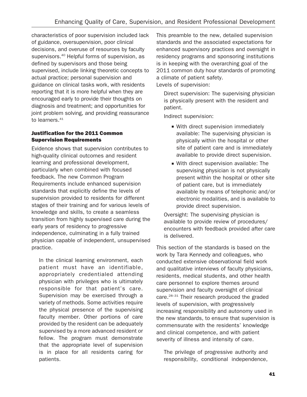characteristics of poor supervision included lack of guidance, oversupervision, poor clinical decisions, and overuse of resources by faculty supervisors.<sup>40</sup> Helpful forms of supervision, as defined by supervisors and those being supervised, include linking theoretic concepts to actual practice; personal supervision and guidance on clinical tasks work, with residents reporting that it is more helpful when they are encouraged early to provide their thoughts on diagnosis and treatment; and opportunities for joint problem solving, and providing reassurance to learners.<sup>41</sup>

## Justification for the 2011 Common Supervision Requirements

Evidence shows that supervision contributes to high-quality clinical outcomes and resident learning and professional development, particularly when combined with focused feedback. The new Common Program Requirements include enhanced supervision standards that explicitly define the levels of supervision provided to residents for different stages of their training and for various levels of knowledge and skills, to create a seamless transition from highly supervised care during the early years of residency to progressive independence, culminating in a fully trained physician capable of independent, unsupervised practice.

In the clinical learning environment, each patient must have an identifiable, appropriately credentialed attending physician with privileges who is ultimately responsible for that patient's care. Supervision may be exercised through a variety of methods. Some activities require the physical presence of the supervising faculty member. Other portions of care provided by the resident can be adequately supervised by a more advanced resident or fellow. The program must demonstrate that the appropriate level of supervision is in place for all residents caring for patients.

This preamble to the new, detailed supervision standards and the associated expectations for enhanced supervisory practices and oversight in residency programs and sponsoring institutions is in keeping with the overarching goal of the 2011 common duty hour standards of promoting a climate of patient safety. Levels of supervision:

Direct supervision: The supervising physician is physically present with the resident and patient.

Indirect supervision:

- With direct supervision immediately available: The supervising physician is physically within the hospital or other site of patient care and is immediately available to provide direct supervision.
- With direct supervision available: The supervising physician is not physically present within the hospital or other site of patient care, but is immediately available by means of telephonic and/or electronic modalities, and is available to provide direct supervision.

Oversight: The supervising physician is available to provide review of procedures/ encounters with feedback provided after care is delivered.

This section of the standards is based on the work by Tara Kennedy and colleagues, who conducted extensive observational field work and qualitative interviews of faculty physicians, residents, medical students, and other health care personnel to explore themes around supervision and faculty oversight of clinical care.28–31 Their research produced the graded levels of supervision, with progressively increasing responsibility and autonomy used in the new standards, to ensure that supervision is commensurate with the residents' knowledge and clinical competence, and with patient severity of illness and intensity of care.

The privilege of progressive authority and responsibility, conditional independence,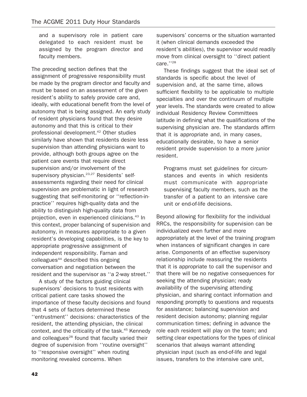and a supervisory role in patient care delegated to each resident must be assigned by the program director and faculty members.

The preceding section defines that the assignment of progressive responsibility must be made by the program director and faculty and must be based on an assessment of the given resident's ability to safely provide care and, ideally, with educational benefit from the level of autonomy that is being assigned. An early study of resident physicians found that they desire autonomy and that this is critical to their professional development.<sup>42</sup> Other studies similarly have shown that residents desire less supervision than attending physicians want to provide, although both groups agree on the patient care events that require direct supervision and/or involvement of the supervisory physician.<sup>23,27</sup> Residents' selfassessments regarding their need for clinical supervision are problematic in light of research suggesting that self-monitoring or ''reflection-inpractice'' requires high-quality data and the ability to distinguish high-quality data from projection, even in experienced clinicians.<sup>43</sup> In this context, proper balancing of supervision and autonomy, in measures appropriate to a given resident's developing capabilities, is the key to appropriate progressive assignment of independent responsibility. Farnan and colleagues<sup>44</sup> described this ongoing conversation and negotiation between the resident and the supervisor as ''a 2-way street.''

A study of the factors guiding clinical supervisors' decisions to trust residents with critical patient care tasks showed the importance of these faculty decisions and found that 4 sets of factors determined these ''entrustment'' decisions: characteristics of the resident, the attending physician, the clinical context, and the criticality of the task.45 Kennedy and colleagues<sup>28</sup> found that faculty varied their degree of supervision from ''routine oversight'' to ''responsive oversight'' when routing monitoring revealed concerns. When

supervisors' concerns or the situation warranted it (when clinical demands exceeded the resident's abilities), the supervisor would readily move from clinical oversight to ''direct patient care.''28

These findings suggest that the ideal set of standards is specific about the level of supervision and, at the same time, allows sufficient flexibility to be applicable to multiple specialties and over the continuum of multiple year levels. The standards were created to allow individual Residency Review Committees latitude in defining what the qualifications of the supervising physician are. The standards affirm that it is appropriate and, in many cases, educationally desirable, to have a senior resident provide supervision to a more junior resident.

Programs must set guidelines for circumstances and events in which residents must communicate with appropriate supervising faculty members, such as the transfer of a patient to an intensive care unit or end-of-life decisions.

Beyond allowing for flexibility for the individual RRCs, the responsibility for supervision can be individualized even further and more appropriately at the level of the training program when instances of significant changes in care arise. Components of an effective supervisory relationship include reassuring the residents that it is appropriate to call the supervisor and that there will be no negative consequences for seeking the attending physician; ready availability of the supervising attending physician, and sharing contact information and responding promptly to questions and requests for assistance; balancing supervision and resident decision autonomy; planning regular communication times; defining in advance the role each resident will play on the team; and setting clear expectations for the types of clinical scenarios that always warrant attending physician input (such as end-of-life and legal issues, transfers to the intensive care unit,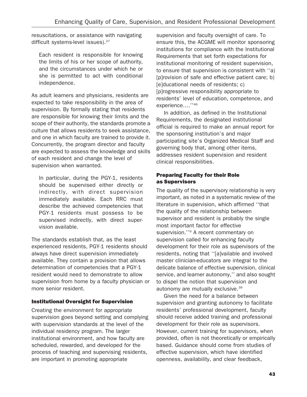resuscitations, or assistance with navigating difficult systems-level issues).<sup>27</sup>

Each resident is responsible for knowing the limits of his or her scope of authority, and the circumstances under which he or she is permitted to act with conditional independence.

As adult learners and physicians, residents are expected to take responsibility in the area of supervision. By formally stating that residents are responsible for knowing their limits and the scope of their authority, the standards promote a culture that allows residents to seek assistance, and one in which faculty are trained to provide it. Concurrently, the program director and faculty are expected to assess the knowledge and skills of each resident and change the level of supervision when warranted.

In particular, during the PGY-1, residents should be supervised either directly or indirectly, with direct supervision immediately available. Each RRC must describe the achieved competencies that PGY-1 residents must possess to be supervised indirectly, with direct supervision available.

The standards establish that, as the least experienced residents, PGY-1 residents should always have direct supervision immediately available. They contain a provision that allows determination of competencies that a PGY-1 resident would need to demonstrate to allow supervision from home by a faculty physician or more senior resident.

## Institutional Oversight for Supervision

Creating the environment for appropriate supervision goes beyond setting and complying with supervision standards at the level of the individual residency program. The larger institutional environment, and how faculty are scheduled, rewarded, and developed for the process of teaching and supervising residents, are important in promoting appropriate

supervision and faculty oversight of care. To ensure this, the ACGME will monitor sponsoring institutions for compliance with the Institutional Requirements that set forth expectations for institutional monitoring of resident supervision, to ensure that supervision is consistent with ''a) [p]rovision of safe and effective patient care; b) [e]ducational needs of residents; c) [p]rogressive responsibility appropriate to residents' level of education, competence, and experience….''46

In addition, as defined in the Institutional Requirements, the designated institutional official is required to make an annual report for the sponsoring institution's and major participating site's Organized Medical Staff and governing body that, among other items, addresses resident supervision and resident clinical responsibilities.

## Preparing Faculty for their Role as Supervisors

The quality of the supervisory relationship is very important, as noted in a systematic review of the literature in supervision, which affirmed ''that the quality of the relationship between supervisor and resident is probably the single most important factor for effective supervision."<sup>9</sup> A recent commentary on supervision called for enhancing faculty development for their role as supervisors of the residents, noting that ''[a]vailable and involved master clinician-educators are integral to the delicate balance of effective supervision, clinical service, and learner autonomy,'' and also sought to dispel the notion that supervision and autonomy are mutually exclusive.39

Given the need for a balance between supervision and granting autonomy to facilitate residents' professional development, faculty should receive added training and professional development for their role as supervisors. However, current training for supervisors, when provided, often is not theoretically or empirically based. Guidance should come from studies of effective supervision, which have identified openness, availability, and clear feedback,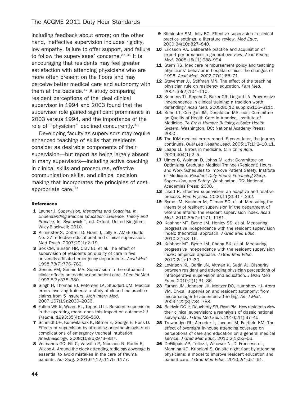including feedback about errors; on the other hand, ineffective supervision includes rigidity, low empathy, failure to offer support, and failure to follow the supervisees' concerns. $27-31$  It is encouraging that residents may feel greater satisfaction with attending physicians who are more often present on the floors and may perceive better medical care and autonomy with them at the bedside. $47$  A study comparing resident perceptions of the ideal clinical supervisor in 1994 and 2003 found that the supervisor role gained significant prominence in 2003 versus 1994, and the importance of the role of ''physician'' declined concurrently.48

Developing faculty as supervisors may require enhanced teaching of skills that residents consider as desirable components of their supervision—but report as being largely absent in many supervisors—including active coaching in clinical skills and procedures, effective communication skills, and clinical decision making that incorporates the principles of costappropriate care.39

#### References

- 1 Launer J. Supervision, Mentoring and Coaching, in Understanding Medical Education: Evidence, Theory and Practice. In: Swanwick T, ed. Oxford, United Kingdom: Wiley-Blackwell; 2010.
- 2 Kilminster S, Cottrell D, Grant J, Jolly B. AMEE Guide No. 27: effective educational and clinical supervision. Med Teach. 2007;29(1):2–19.
- 3 Sox CM, Burstin HR, Orav EJ, et al. The effect of supervision of residents on quality of care in five university-affiliated emergency departments. Acad Med. 1998;73(7):776–782.
- 4 Gennis VM, Gennis MA. Supervision in the outpatient clinic: effects on teaching and patient care. J Gen Int Med. 1993;8(7):378–380.
- 5 Singh H, Thomas EJ, Petersen LA, Studdert DM. Medical errors involving trainees: a study of closed malpractice claims from 5 insurers. Arch Intern Med. 2007;167(19):2030–2036.
- **6** Fallon WF Jr, Wears RL, Tepas JJ III. Resident supervision in the operating room: does this impact on outcome? J Trauma. 1993;35(4):556–560.
- 7 Schmidt UH, Kumwilaisak K, Bittner E, George E, Hess D. Effects of supervision by attending anesthesiologists on complications of emergency tracheal intubation. Anesthesiology. 2008;109(6):973–937.
- 8 Velmahos GC, Fili C, Vassiliu P, Nicolaou N, Radin R, Wilcox A. Around-the-clock attending radiology coverage is essential to avoid mistakes in the care of trauma patients. Am Surg. 2001;67(12):1175–1177.
- 9 Kilminster SM, Jolly BC. Effective supervision in clinical practice settings: a literature review. Med Educ. 2000;34(10):827–840.
- 10 Ericsson KA. Deliberate practice and acquisition of expert performance: a general overview. Acad Emerg Med. 2008;15(11):988–994.
- 11 Stern RS. Medicare reimbursement policy and teaching physicians' behavior in hospital clinics: the changes of 1996. Acad Med. 2002;77(1):65–71.
- 12 Stevermer JJ, Stiffman MN. The effect of the teaching physician rule on residency education. Fam Med. 2001;33(2):104–110.
- 13 Kennedy TJ, Regehr G, Baker GR, Lingard LA. Progressive independence in clinical training: a tradition worth defending? Acad Med. 2005;80(10 suppl):S106–S111.
- 14 Kohn LT, Corrigan JM, Donaldson MS, eds; Committee on Quality of Health Care in America, Institute of Medicine. To Err Is Human: Building a Safer Health System. Washington, DC: National Academy Press; 2000.
- **15** The IOM medical errors report: 5 years later, the journey continues. Qual Lett Healthc Lead. 2005;17(1):2–10,11.
- 16 Leape LL. Errors in medicine. Clin Chim Acta. 2009;404(1):2–5.
- 17 Ulmer C, Wolman D, Johns M, eds; Committee on Optimizing Graduate Medical Trainee (Resident) Hours and Work Schedules to Improve Patient Safety, Institute of Medicine. Resident Duty Hours: Enhancing Sleep, Supervision, and Safety. Washington, DC: National Academies Press; 2008.
- 18 Likert R. Effective supervision: an adaptive and relative process. Pers Psychol. 2006;11(3):317–332.
- 19 Byrne JM, Kashner M, Gilman SC, et al. Measuring the intensity of resident supervision in the department of veterans affairs: the resident supervision index. Acad Med. 2010;85(7):1171–1181.
- 20 Kashner MT, Byrne JM, Henley SS, et al. Measuring progressive independence with the resident supervision index: theoretical approach. J Grad Med Educ. 2010;2(1):8–16.
- 21 Kashner MT, Byrne JM, Chang BK, et al. Measuring progressive independence with the resident supervision index: empirical approach. J Grad Med Educ. 2010;2(1):17–30.
- 22 Levinson KL, Barlin JN, Altman K, Satin AJ. Disparity between resident and attending physician perceptions of intraoperative supervision and education. J Grad Med Educ. 2010;2(1):31–36.
- 23 Farnan JM, Johnson JK, Meltzer DO, Humphrey HJ, Arora VM. On-call supervision and resident autonomy: from micromanager to absentee attending. Am J Med. 2009;122(8):784–788.
- 24 Baldwin DC Jr, Daugherty SR, Ryan PM. How residents view their clinical supervision: a reanalysis of classic national survey data. J Grad Med Educ. 2010;2(1):37–45.
- 25 Trowbridge RL, Almeder L, Jacquet M, Fairfield KM. The effect of overnight in-house attending coverage on perceptions of care and education on a general medical service. J Grad Med Educ. 2010;2(1):53-56.
- 26 DeFilippis AP, Tellez I, Winawer N, Di Francesco L, Manning KD, Kripalani S. On-site night float by attending physicians: a model to improve resident education and patient care. J Grad Med Educ. 2010;2(1):57–61.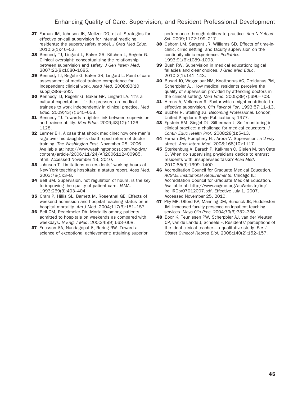- 27 Farnan JM, Johnson JK, Meltzer DO, et al. Strategies for effective on-call supervision for internal medicine residents: the superb/safety model. J Grad Med Educ. 2010;2(1):46–52.
- 28 Kennedy TJ, Lingard L, Baker GR, Kitchen L, Regehr G. Clinical oversight: conceptualizing the relationship between supervision and safety. J Gen Intern Med. 2007;22(8):1080–1085.
- 29 Kennedy TJ, Regehr G, Baker GR, Lingard L. Point-of-care assessment of medical trainee competence for independent clinical work. Acad Med. 2008;83(10 suppl):S89–S92.
- 30 Kennedy TJ, Regehr G, Baker GR, Lingard LA. 'It's a cultural expectation….': the pressure on medical trainees to work independently in clinical practice. Med Educ. 2009;43(7):645–653.
- **31** Kennedy TJ. Towards a tighter link between supervision and trainee ability. Med Educ. 2009;43(12):1126– 1128.
- 32 Lermer BH. A case that shook medicine: how one man's rage over his daughter's death sped reform of doctor training. The Washington Post. November 28, 2006. Available at: http://www.washingtonpost.com/wp-dyn/ content/article/2006/11/24/AR2006112400985. html. Accessed November 13, 2010.
- 33 Johnson T. Limitations on residents' working hours at New York teaching hospitals: a status report. Acad Med. 2003;78(1):3–8.
- 34 Bell BM. Supervision, not regulation of hours, is the key to improving the quality of patient care. JAMA. 1993;269(3):403–404.
- 35 Cram P, Hillis SL, Barnett M, Rosenthal GE. Effects of weekend admission and hospital teaching status on inhospital mortality. Am J Med. 2004;117(3):151–157.
- 36 Bell CM, Redelmeier DA. Mortality among patients admitted to hospitals on weekends as compared with weekdays. N Engl J Med. 200;345(9):663–668.
- 37 Ericsson KA, Nandagopal K, Roring RW. Toward a science of exceptional achievement: attaining superior

performance through deliberate practice. Ann N Y Acad Sci. 2009;1172:199–217.

- 38 Osborn LM, Sargent JR, Williams SD. Effects of time-inclinic, clinic setting, and faculty supervision on the continuity clinic experience. Pediatrics. 1993;91(6):1089–1093.
- 39 Bush RW. Supervision in medical education: logical fallacies and clear choices. J Grad Med Educ. 2010;2(1):141–143.
- 40 Busari JO, Weggelaar NM, Knottnerus AC, Greidanus PM, Scherpbier AJ. How medical residents perceive the quality of supervision provided by attending doctors in the clinical setting. Med Educ. 2005;39(7):696–703.
- 41 Hirons A, Velleman R. Factor which might contribute to effective supervision. Clin Psychol For. 1993;57:11–13.
- 42 Bucher R, Stelling JG. Becoming Professional. London, United Kingdom: Sage Publications; 1977.
- 43 Epstein RM, Siegel DJ, Silberman J. Self-monitoring in clinical practice: a challenge for medical educators. J Contin Educ Health Prof. 2008;28(1):5–13.
- 44 Farnan JM, Humphrey HJ, Arora V. Supervision: a 2-way street. Arch Intern Med. 2008;168(10):1117.
- 45 Sterkenburg A, Barach P, Kalkman C, Gielen M, ten Cate O. When do supervising physicians decide to entrust residents with unsupervised tasks? Acad Med. 2010;85(9):1399–1400.
- 46 Accreditation Council for Graduate Medical Education. ACGME Institutional Requirements. Chicago IL: Accreditation Council for Graduate Medical Education. Available at: http://www.acgme.org/acWebsite/irc/ irc\_IRCpr07012007.pdf. Effective July 1, 2007. Accessed November 25, 2010.
- 47 Phy MP, Offord KP, Manning DM, Bundrick JB, Huddleston JM. Increased faculty presence on inpatient teaching services. Mayo Clin Proc. 2004;79(3):332–336.
- 48 Boor K, Teunissen PW, Scherpbier AJ, van der Vleuten CP, van de Lande J, Scheele F. Residents' perceptions of the ideal clinical teacher—a qualitative study. Eur J Obstet Gynecol Reprod Biol. 2008;140(2):152–157.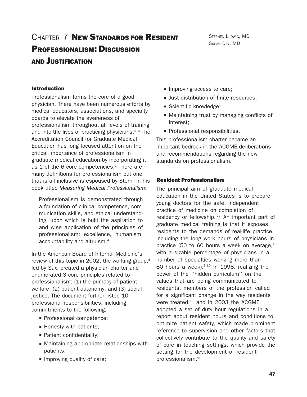# CHAPTER 7 NEW STANDARDS FOR RESIDENT PROFESSIONALISM: DISCUSSION AND JUSTIFICATION

STEPHEN LUDWIG, MD SUSAN DAY, MD

#### Introduction

Professionalism forms the core of a good physician. There have been numerous efforts by medical educators, associations, and specialty boards to elevate the awareness of professionalism throughout all levels of training and into the lives of practicing physicians. $1-3$  The Accreditation Council for Graduate Medical Education has long focused attention on the critical importance of professionalism in graduate medical education by incorporating it as 1 of the 6 core competencies. $1$  There are many definitions for professionalism but one that is all inclusive is espoused by  $Stern<sup>4</sup>$  in his book titled Measuring Medical Professionalism:

Professionalism is demonstrated through a foundation of clinical competence, communication skills, and ethical understanding, upon which is built the aspiration to and wise application of the principles of professionalism: excellence, humanism, accountability and altruism.4

In the American Board of Internal Medicine's review of this topic in 2002, the working group,<sup>5</sup> led by Sax, created a physician charter and enumerated 3 core principles related to professionalism: (1) the primacy of patient welfare, (2) patient autonomy, and (3) social justice. The document further listed 10 professional responsibilities, including commitments to the following:

- Professional competence;
- $\blacksquare$  Honesty with patients;
- Patient confidentiality;
- Maintaining appropriate relationships with patients;
- Improving quality of care;
- **Improving access to care;**
- **Just distribution of finite resources:**
- Scientific knowledge;
- & Maintaining trust by managing conflicts of interest;
- **Professional responsibilities.**

This professionalism charter became an important bedrock in the ACGME deliberations and recommendations regarding the new standards on professionalism.

#### Resident Professionalism

The principal aim of graduate medical education in the United States is to prepare young doctors for the safe, independent practice of medicine on completion of residency or fellowship.<sup>6,7</sup> An important part of graduate medical training is that it exposes residents to the demands of real-life practice, including the long work hours of physicians in practice (50 to 60 hours a week on average,<sup>8</sup> with a sizable percentage of physicians in a number of specialties working more than 80 hours a week).<sup>9,10</sup> In 1998, realizing the power of the ''hidden curriculum'' on the values that are being communicated to residents, members of the profession called for a significant change in the way residents were treated, $11$  and in 2003 the ACGME adopted a set of duty hour regulations in a report about resident hours and conditions to optimize patient safety, which made prominent reference to supervision and other factors that collectively contribute to the quality and safety of care in teaching settings, which provide the setting for the development of resident professionalism.12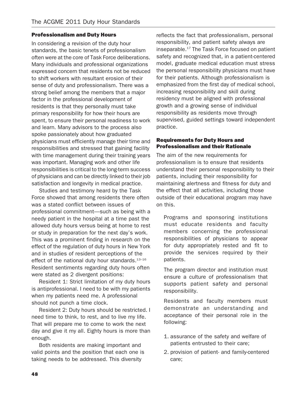#### Professionalism and Duty Hours

In considering a revision of the duty hour standards, the basic tenets of professionalism often were at the core of Task Force deliberations. Many individuals and professional organizations expressed concern that residents not be reduced to shift workers with resultant erosion of their sense of duty and professionalism. There was a strong belief among the members that a major factor in the professional development of residents is that they personally must take primary responsibility for how their hours are spent, to ensure their personal readiness to work and learn. Many advisors to the process also spoke passionately about how graduated physicians must efficiently manage their time and responsibilities and stressed that gaining facility with time management during their training years was important. Managing work and other life responsibilities is critical to the long-term success of physicians and can be directly linked to their job satisfaction and longevity in medical practice.

Studies and testimony heard by the Task Force showed that among residents there often was a stated conflict between issues of professional commitment—such as being with a needy patient in the hospital at a time past the allowed duty hours versus being at home to rest or study in preparation for the next day's work. This was a prominent finding in research on the effect of the regulation of duty hours in New York and in studies of resident perceptions of the effect of the national duty hour standards.<sup>13-16</sup> Resident sentiments regarding duty hours often were stated as 2 divergent positions:

Resident 1: Strict limitation of my duty hours is antiprofessional. I need to be with my patients when my patients need me. A professional should not punch a time clock.

Resident 2: Duty hours should be restricted. I need time to think, to rest, and to live my life. That will prepare me to come to work the next day and give it my all. Eighty hours is more than enough.

Both residents are making important and valid points and the position that each one is taking needs to be addressed. This diversity

reflects the fact that professionalism, personal responsibility, and patient safety always are inseparable.17 The Task Force focused on patient safety and recognized that, in a patient-centered model, graduate medical education must stress the personal responsibility physicians must have for their patients. Although professionalism is emphasized from the first day of medical school, increasing responsibility and skill during residency must be aligned with professional growth and a growing sense of individual responsibility as residents move through supervised, guided settings toward independent practice.

### Requirements for Duty Hours and Professionalism and their Rationale

The aim of the new requirements for professionalism is to ensure that residents understand their personal responsibility to their patients, including their responsibility for maintaining alertness and fitness for duty and the effect that all activities, including those outside of their educational program may have on this.

Programs and sponsoring institutions must educate residents and faculty members concerning the professional responsibilities of physicians to appear for duty appropriately rested and fit to provide the services required by their patients.

The program director and institution must ensure a culture of professionalism that supports patient safety and personal responsibility.

Residents and faculty members must demonstrate an understanding and acceptance of their personal role in the following:

- 1. assurance of the safety and welfare of patients entrusted to their care;
- 2. provision of patient- and family-centered care;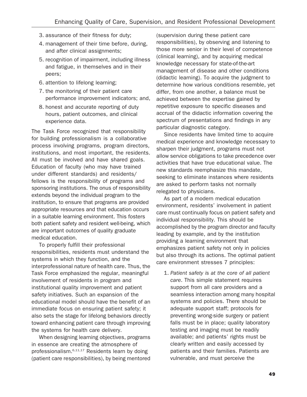- 3. assurance of their fitness for duty;
- 4. management of their time before, during, and after clinical assignments;
- 5. recognition of impairment, including illness and fatigue, in themselves and in their peers;
- 6. attention to lifelong learning;
- 7. the monitoring of their patient care performance improvement indicators; and,
- 8. honest and accurate reporting of duty hours, patient outcomes, and clinical experience data.

The Task Force recognized that responsibility for building professionalism is a collaborative process involving programs, program directors, institutions, and most important, the residents. All must be involved and have shared goals. Education of faculty (who may have trained under different standards) and residents/ fellows is the responsibility of programs and sponsoring institutions. The onus of responsibility extends beyond the individual program to the institution, to ensure that programs are provided appropriate resources and that education occurs in a suitable learning environment. This fosters both patient safety and resident well-being, which are important outcomes of quality graduate medical education.

To properly fulfill their professional responsibilities, residents must understand the systems in which they function, and the interprofessional nature of health care. Thus, the Task Force emphasized the regular, meaningful involvement of residents in program and institutional quality improvement and patient safety initiatives. Such an expansion of the educational model should have the benefit of an immediate focus on ensuring patient safety; it also sets the stage for lifelong behaviors directly toward enhancing patient care through improving the systems for health care delivery.

When designing learning objectives, programs in essence are creating the atmosphere of professionalism.<sup>6,11,17</sup> Residents learn by doing (patient care responsibilities), by being mentored (supervision during these patient care responsibilities), by observing and listening to those more senior in their level of competence (clinical learning), and by acquiring medical knowledge necessary for state-of-the-art management of disease and other conditions (didactic learning). To acquire the judgment to determine how various conditions resemble, yet differ, from one another, a balance must be achieved between the expertise gained by repetitive exposure to specific diseases and accrual of the didactic information covering the spectrum of presentations and findings in any particular diagnostic category.

Since residents have limited time to acquire medical experience and knowledge necessary to sharpen their judgment, programs must not allow service obligations to take precedence over activities that have true educational value. The new standards reemphasize this mandate, seeking to eliminate instances where residents are asked to perform tasks not normally relegated to physicians.

As part of a modern medical education environment, residents' involvement in patient care must continually focus on patient safety and individual responsibility. This should be accomplished by the program director and faculty leading by example, and by the institution providing a learning environment that emphasizes patient safety not only in policies but also through its actions. The optimal patient care environment stresses 7 principles:

1. Patient safety is at the core of all patient care. This simple statement requires support from all care providers and a seamless interaction among many hospital systems and policies. There should be adequate support staff; protocols for preventing wrong-side surgery or patient falls must be in place; quality laboratory testing and imaging must be readily available; and patients' rights must be clearly written and easily accessed by patients and their families. Patients are vulnerable, and must perceive the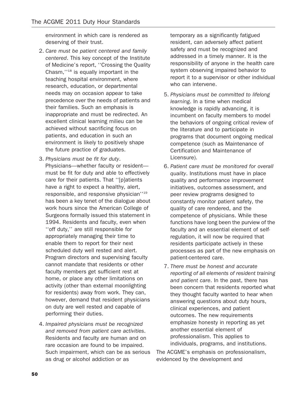environment in which care is rendered as deserving of their trust.

- 2. Care must be patient centered and family centered. This key concept of the Institute of Medicine's report, ''Crossing the Quality Chasm,''18 is equally important in the teaching hospital environment, where research, education, or departmental needs may on occasion appear to take precedence over the needs of patients and their families. Such an emphasis is inappropriate and must be redirected. An excellent clinical learning milieu can be achieved without sacrificing focus on patients, and education in such an environment is likely to positively shape the future practice of graduates.
- 3. Physicians must be fit for duty. Physicians—whether faculty or resident must be fit for duty and able to effectively care for their patients. That ''[p]atients have a right to expect a healthy, alert, responsible, and responsive physician''19 has been a key tenet of the dialogue about work hours since the American College of Surgeons formally issued this statement in 1994. Residents and faculty, even when ''off duty,'' are still responsible for appropriately managing their time to enable them to report for their next scheduled duty well rested and alert. Program directors and supervising faculty cannot mandate that residents or other faculty members get sufficient rest at home, or place any other limitations on activity (other than external moonlighting for residents) away from work. They can, however, demand that resident physicians on duty are well rested and capable of performing their duties.
- 4. Impaired physicians must be recognized and removed from patient care activities. Residents and faculty are human and on rare occasion are found to be impaired. Such impairment, which can be as serious as drug or alcohol addiction or as

temporary as a significantly fatigued resident, can adversely affect patient safety and must be recognized and addressed in a timely manner. It is the responsibility of anyone in the health care system observing impaired behavior to report it to a supervisor or other individual who can intervene.

- 5. Physicians must be committed to lifelong learning. In a time when medical knowledge is rapidly advancing, it is incumbent on faculty members to model the behaviors of ongoing critical review of the literature and to participate in programs that document ongoing medical competence (such as Maintenance of Certification and Maintenance of Licensure).
- 6. Patient care must be monitored for overall quality. Institutions must have in place quality and performance improvement initiatives, outcomes assessment, and peer review programs designed to constantly monitor patient safety, the quality of care rendered, and the competence of physicians. While these functions have long been the purview of the faculty and an essential element of selfregulation, it will now be required that residents participate actively in these processes as part of the new emphasis on patient-centered care.
- 7. There must be honest and accurate reporting of all elements of resident training and patient care. In the past, there has been concern that residents reported what they thought faculty wanted to hear when answering questions about duty hours, clinical experiences, and patient outcomes. The new requirements emphasize honesty in reporting as yet another essential element of professionalism. This applies to individuals, programs, and institutions.

The ACGME's emphasis on professionalism, evidenced by the development and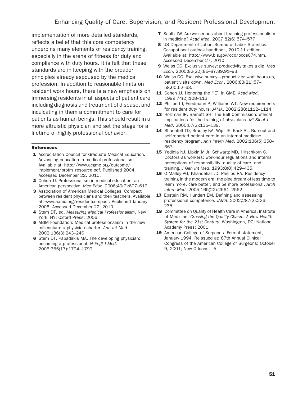implementation of more detailed standards, reflects a belief that this core competency underpins many elements of residency training, especially in the arena of fitness for duty and compliance with duty hours. It is felt that these standards are in keeping with the broader principles already espoused by the medical profession. In addition to reasonable limits on resident work hours, there is a new emphasis on immersing residents in all aspects of patient care including diagnosis and treatment of disease, and inculcating in them a commitment to care for patients as human beings. This should result in a more altruistic physician and set the stage for a lifetime of highly professional behavior.

#### References

- 1 Accreditation Council for Graduate Medical Education. Advancing education in medical professionalism. Available at: http://www.acgme.org/outcome/ implement/profm\_resource.pdf. Published 2004. Accessed December 22, 2010.
- 2 Cohen JJ. Professionalism in medical education, an American perspective. Med Educ. 2006;40(7):607–617.
- 3 Association of American Medical Colleges. Compact between resident physicians and their teachers. Available at: www.aamc.org/residentcompact. Published January 2006. Accessed December 22, 2010.
- 4 Stern DT, ed. Measuring Medical Professionalism. New York, NY: Oxford Press; 2006.
- 5 ABIM Foundation. Medical professionalism in the new millennium: a physician charter. Ann Int Med. 2002;136(3):243–246.
- **6** Stern DT, Papadakis MA. The developing physician: becoming a professional. N Engl J Med. 2006;355(17):1794–1799.
- **7** Saultz JW. Are we serious about teaching professionalism in medicine? Acad Med. 2007;82(6):574–577.
- 8 US Department of Labor, Bureau of Labor Statistics. Occupational outlook handbook, 2010-11 edition. Available at: http://www.bls.gov/oco/ocos074.htm. Accessed December 27, 2010.
- 9 Weiss GG. Exclusive survey: productivity takes a dip. Med Econ. 2005;82(22):86–87,89,91–93.
- 10 Weiss GG. Exclusive survey—productivity: work hours up, patient visits down. Med Econ. 2006;83(21):57-58,60,62–63.
- 11 Cohen JJ. Honoring the "E" in GME. Acad Med. 1999;74(2):108–113.
- 12 Philibert I, Friedmann P, Williams WT. New requirements for resident duty hours. JAMA. 2002;288:1112–1114.
- 13 Holzman IR, Barnett SH. The Bell Commission: ethical implications for the training of physicians. Mt Sinai J Med. 2000;67(2):136–139.
- 14 Shanafelt TD, Bradley KA, Wipf JE, Back AL. Burnout and self-reported patient care in an internal medicine residency program. Ann Intern Med. 2002;136(5):358– 367.
- 15 Yedidia NJ, Lipkin M Jr, Schwartz MD, Hirschkorn C. Doctors as workers: work-hour regulations and interns' perceptions of responsibility, quality of care, and training. J Gen Int Med. 1993;8(8):429–435.
- 16 O'Malley PG, Khandekar JD, Phillips RA. Residency training in the modern era: the pipe dream of less time to learn more, care better, and be more professional. Arch Intern Med. 2005;165(22):2561–2562.
- 17 Epstein RM, Hundert EM. Defining and assessing professional competence. JAMA. 2002;287(2):226– 235.
- 18 Committee on Quality of Health Care in America, Institute of Medicine. Crossing the Quality Chasm: A New Health System for the 21st Century. Washington, DC: National Academy Press; 2001.
- 19 American College of Surgeons. Formal statement, January 1994. Reissued at: 87th Annual Clinical Congress of the American College of Surgeons; October 9, 2001; New Orleans, LA.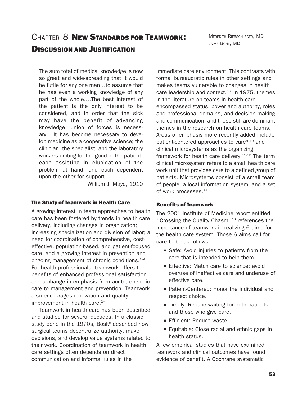MEREDITH RIEBSCHLEGER, MD JAIME BOHL, MD

## CHAPTER 8 NEW STANDARDS FOR TEAMWORK! DISCUSSION AND JUSTIFICATION

The sum total of medical knowledge is now so great and wide-spreading that it would be futile for any one man…to assume that he has even a working knowledge of any part of the whole.…The best interest of the patient is the only interest to be considered, and in order that the sick may have the benefit of advancing knowledge, union of forces is necessary.…It has become necessary to develop medicine as a cooperative science; the clinician, the specialist, and the laboratory workers uniting for the good of the patient, each assisting in elucidation of the problem at hand, and each dependent upon the other for support.

William J. Mayo, 1910

#### The Study of Teamwork in Health Care

A growing interest in team approaches to health care has been fostered by trends in health care delivery, including changes in organization; increasing specialization and division of labor; a need for coordination of comprehensive, costeffective, population-based, and patient-focused care; and a growing interest in prevention and ongoing management of chronic conditions. $1-4$ For health professionals, teamwork offers the benefits of enhanced professional satisfaction and a change in emphasis from acute, episodic care to management and prevention. Teamwork also encourages innovation and quality improvement in health care. $2-4$ 

Teamwork in health care has been described and studied for several decades. In a classic study done in the  $1970s$ . Bosk<sup>5</sup> described how surgical teams decentralize authority, make decisions, and develop value systems related to their work. Coordination of teamwork in health care settings often depends on direct communication and informal rules in the

immediate care environment. This contrasts with formal bureaucratic rules in other settings and makes teams vulnerable to changes in health care leadership and context. $6,7$  In 1975, themes in the literature on teams in health care encompassed status, power and authority, roles and professional domains, and decision making and communication; and these still are dominant themes in the research on health care teams. Areas of emphasis more recently added include patient-centered approaches to care<sup>8-10</sup> and clinical microsystems as the organizing framework for health care delivery.<sup>11,12</sup> The term clinical microsystem refers to a small health care work unit that provides care to a defined group of patients. Microsystems consist of a small team of people, a local information system, and a set of work processes.<sup>11</sup>

#### Benefits of Teamwork

The 2001 Institute of Medicine report entitled ''Crossing the Quality Chasm''13 references the importance of teamwork in realizing 6 aims for the health care system. Those 6 aims call for care to be as follows:

- Safe: Avoid injuries to patients from the care that is intended to help them.
- **Effective: Match care to science: avoid** overuse of ineffective care and underuse of effective care.
- Patient-Centered: Honor the individual and respect choice.
- Timely: Reduce waiting for both patients and those who give care.
- **Efficient: Reduce waste.**
- Equitable: Close racial and ethnic gaps in health status.

A few empirical studies that have examined teamwork and clinical outcomes have found evidence of benefit. A Cochrane systematic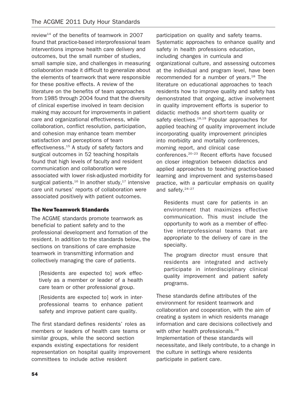review<sup>14</sup> of the benefits of teamwork in 2007 found that practice-based interprofessional team interventions improve health care delivery and outcomes, but the small number of studies, small sample size, and challenges in measuring collaboration made it difficult to generalize about the elements of teamwork that were responsible for these positive effects. A review of the literature on the benefits of team approaches from 1985 through 2004 found that the diversity of clinical expertise involved in team decision making may account for improvements in patient care and organizational effectiveness, while collaboration, conflict resolution, participation, and cohesion may enhance team member satisfaction and perceptions of team effectiveness.<sup>15</sup> A study of safety factors and surgical outcomes in 52 teaching hospitals found that high levels of faculty and resident communication and collaboration were associated with lower risk-adjusted morbidity for surgical patients. $16$  In another study, $17$  intensive care unit nurses' reports of collaboration were associated positively with patient outcomes.

## The NewTeamwork Standards

The ACGME standards promote teamwork as beneficial to patient safety and to the professional development and formation of the resident. In addition to the standards below, the sections on transitions of care emphasize teamwork in transmitting information and collectively managing the care of patients.

[Residents are expected to] work effectively as a member or leader of a health care team or other professional group.

[Residents are expected to] work in interprofessional teams to enhance patient safety and improve patient care quality.

The first standard defines residents' roles as members or leaders of health care teams or similar groups, while the second section expands existing expectations for resident representation on hospital quality improvement committees to include active resident

participation on quality and safety teams. Systematic approaches to enhance quality and safety in health professions education, including changes in curricula and organizational culture, and assessing outcomes at the individual and program level, have been recommended for a number of years.<sup>18</sup> The literature on educational approaches to teach residents how to improve quality and safety has demonstrated that ongoing, active involvement in quality improvement efforts is superior to didactic methods and short-term quality or safety electives.<sup>18,19</sup> Popular approaches for applied teaching of quality improvement include incorporating quality improvement principles into morbidity and mortality conferences, morning report, and clinical case conferences.<sup>20-23</sup> Recent efforts have focused on closer integration between didactics and applied approaches to teaching practice-based learning and improvement and systems-based practice, with a particular emphasis on quality and safety.24–27

Residents must care for patients in an environment that maximizes effective communication. This must include the opportunity to work as a member of effective interprofessional teams that are appropriate to the delivery of care in the specialty.

The program director must ensure that residents are integrated and actively participate in interdisciplinary clinical quality improvement and patient safety programs.

These standards define attributes of the environment for resident teamwork and collaboration and cooperation, with the aim of creating a system in which residents manage information and care decisions collectively and with other health professionals.<sup>28</sup> Implementation of these standards will necessitate, and likely contribute, to a change in the culture in settings where residents participate in patient care.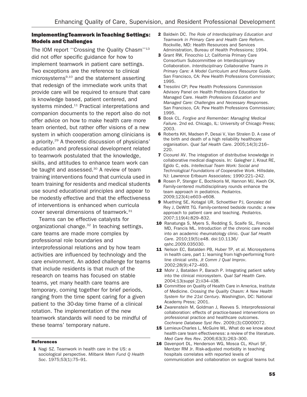## Implementing Teamwork inTeaching Settings: Models and Challenges

The IOM report ''Crossing the Quality Chasm''13 did not offer specific guidance for how to implement teamwork in patient care settings. Two exceptions are the reference to clinical microsystems $9,10$  and the statement asserting that redesign of the immediate work units that provide care will be required to ensure that care is knowledge based, patient centered, and systems minded.<sup>11</sup> Practical interpretations and companion documents to the report also do not offer advice on how to make health care more team oriented, but rather offer visions of a new system in which cooperation among clinicians is a priority.29 A theoretic discussion of physicians' education and professional development related to teamwork postulated that the knowledge, skills, and attitudes to enhance team work can be taught and assessed.<sup>30</sup> A review of team training interventions found that curricula used in team training for residents and medical students use sound educational principles and appear to be modestly effective and that the effectiveness of interventions is enhanced when curricula cover several dimensions of teamwork.<sup>31</sup>

Teams can be effective catalysts for organizational change.<sup>32</sup> In teaching settings, care teams are made more complex by professional role boundaries and interprofessional relations and by how team activities are influenced by technology and the care environment. An added challenge for teams that include residents is that much of the research on teams has focused on stable teams, yet many health care teams are temporary, coming together for brief periods, ranging from the time spent caring for a given patient to the 30-day time frame of a clinical rotation. The implementation of the new teamwork standards will need to be mindful of these teams' temporary nature.

#### References

1 Nagi SZ. Teamwork in health care in the US: a sociological perspective. Milbank Mem Fund Q Health Soc. 1975;53(1):75–91.

- 2 Baldwin DC. The Role of Interdisciplinary Education and Teamwork in Primary Care and Health Care Reform. Rockville, MD: Health Resources and Services Administration, Bureau of Health Professions; 1994.
- 3 Grant RW, Finocchio LJ; California Primary Care Consortium Subcommittee on Interdisciplinary Collaboration. Interdisciplinary Collaborative Teams in Primary Care: A Model Curriculum and Resource Guide. San Francisco, CA: Pew Health Professions Commission; 1995.
- 4 Tresolini CP; Pew Health Professions Commission Advisory Panel on Health Professions Education for Managed Care. Health Professions Education and Managed Care: Challenges and Necessary Responses. San Francisco, CA: Pew Health Professions Commission; 1995.
- 5 Bosk CL. Forgive and Remember: Managing Medical Failure. 2nd ed. Chicago, IL: University of Chicago Press; 2003.
- 6 Roberts KH, Madsen P, Desai V, Van Stralen D. A case of the birth and death of a high reliability healthcare organisation. Qual Saf Health Care. 2005;14(3):216– 220.
- 7 Cicourel AV. The integration of distributive knowledge in collaborative medical diagnosis. In: Galegher J, Kraut RE, Egido C, eds. Intellectual Team Work: Social and Technological Foundations of Cooperative Work. Hillsdale, NJ: Lawrence Erlbaum Associates; 1990:221–242.
- 8 Rosen P, Stenger E, Bochkoris M, Hannon MJ, Kwoh CK. Family-centered multidisciplinary rounds enhance the team approach in pediatrics. Pediatrics. 2009;123(4):e603–e608.
- 9 Muething SE, Kotagal UR, Schoettker PJ, Gonzalez del Rey J, DeWitt TG. Family-centered bedside rounds: a new approach to patient care and teaching. Pediatrics. 2007;119(4):829–832.
- 10 Ranatunga S, Myers S, Redding S, Scaife SL, Francis MD, Francis ML. Introduction of the chronic care model into an academic rheumatology clinic. Qual Saf Health Care. 2010;19(5):e48. doi:10.1136/ qshc.2009.035030.
- 11 Nelson EC, Batalden PB, Huber TP, et al. Microsystems in health care, part 1: learning from high-performing frontline clinical units. Jt Comm J Qual Improv. 2002;28(9):472–493.
- 12 Mohr J, Batalden P, Barach P. Integrating patient safety into the clinical microsystem. Qual Saf Health Care. 2004;13(suppl 2):ii34–ii38.
- 13 Committee on Quality of Health Care in America, Institute of Medicine. Crossing the Quality Chasm: A New Health System for the 21st Century. Washington, DC: National Academy Press; 2001.
- 14 Zwarenstein M, Goldman J, Reeves S. Interprofessional collaboration: effects of practice-based interventions on professional practice and healthcare outcomes. Cochrane Database Syst Rev. 2009;(3):CD000072.
- 15 Lemieux-Charles L, McGuire WL. What do we know about health care team effectiveness: a review of the literature. Med Care Res Rev. 2006;63(3):263–300.
- 16 Davenport DL, Henderson WG, Mosca CL, Khuri SF, Mentzer RM Jr. Risk-adjusted morbidity in teaching hospitals correlates with reported levels of communication and collaboration on surgical teams but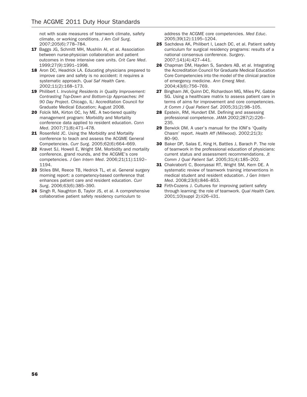not with scale measures of teamwork climate, safety climate, or working conditions. J Am Coll Surg. 2007;205(6):778–784.

- 17 Baggs JG, Schmitt MH, Mushlin AI, et al. Association between nurse-physician collaboration and patient outcomes in three intensive care units. Crit Care Med. 1999;27(9):1991–1998.
- 18 Aron DC, Headrick LA. Educating physicians prepared to improve care and safety is no accident: it requires a systematic approach. Qual Saf Health Care. 2002;11(2):168–173.
- 19 Philibert I. Involving Residents in Quality Improvement: Contrasting Top-Down and Bottom-Up Approaches: IHI 90 Day Project. Chicago, IL: Accreditation Council for Graduate Medical Education; August 2008.
- 20 Folcik MA, Kirton OC, Ivy ME. A two-tiered quality management program: Morbidity and Mortality conference data applied to resident education. Conn Med. 2007;71(8):471–478.
- 21 Rosenfeld JC. Using the Morbidity and Mortality conference to teach and assess the ACGME General Competencies. Curr Surg. 2005;62(6):664–669.
- 22 Kravet SJ, Howell E, Wright SM. Morbidity and mortality conference, grand rounds, and the ACGME's core competencies. J Gen Intern Med. 2006;21(11):1192– 1194.
- 23 Stiles BM, Reece TB, Hedrick TL, et al. General surgery morning report: a competency-based conference that enhances patient care and resident education. Curr Surg. 2006;63(6):385–390.
- 24 Singh R, Naughton B, Taylor JS, et al. A comprehensive collaborative patient safety residency curriculum to

address the ACGME core competencies. Med Educ. 2005;39(12):1195–1204.

- 25 Sachdeva AK, Philibert I, Leach DC, et al. Patient safety curriculum for surgical residency programs: results of a national consensus conference. Surgery. 2007;141(4):427–441.
- 26 Chapman DM, Hayden S, Sanders AB, et al. Integrating the Accreditation Council for Graduate Medical Education Core Competencies into the model of the clinical practice of emergency medicine. Ann Emerg Med. 2004;43(6):756–769.
- 27 Bingham JW, Quinn DC, Richardson MG, Miles PV, Gabbe SG. Using a healthcare matrix to assess patient care in terms of aims for improvement and core competencies. Jt Comm J Qual Patient Saf. 2005;31(2):98–105.
- 28 Epstein, RM, Hundert EM. Defining and assessing professional competence. JAMA 2002;287(2):226– 235.
- 29 Berwick DM. A user's manual for the IOM's 'Quality Chasm' report. Health Aff (Millwood). 2002;21(3): 80–90.
- 30 Baker DP, Salas E, King H, Battles J, Barach P. The role of teamwork in the professional education of physicians: current status and assessment recommendations. Jt Comm J Qual Patient Saf. 2005;31(4):185–202.
- 31 Chakraborti C, Boonyasai RT, Wright SM, Kern DE. A systematic review of teamwork training interventions in medical student and resident education. J Gen Intern Med. 2008;23(6):846–853.
- 32 Firth-Cozens J. Cultures for improving patient safety through learning: the role of teamwork. Qual Health Care. 2001;10(suppl 2):ii26–ii31.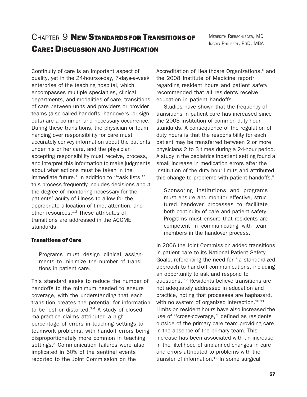MEREDITH RIEBSCHLEGER, MD INGRID PHILIBERT, PhD, MBA

Continuity of care is an important aspect of quality, yet in the 24-hours-a-day, 7-days-a-week enterprise of the teaching hospital, which encompasses multiple specialties, clinical departments, and modalities of care, transitions of care between units and providers or provider teams (also called handoffs, handovers, or signouts) are a common and necessary occurrence. During these transitions, the physician or team handing over responsibility for care must accurately convey information about the patients under his or her care, and the physician accepting responsibility must receive, process, and interpret this information to make judgments about what actions must be taken in the immediate future.<sup>1</sup> In addition to "task lists." this process frequently includes decisions about the degree of monitoring necessary for the patients' acuity of illness to allow for the appropriate allocation of time, attention, and other resources.<sup>1,2</sup> These attributes of transitions are addressed in the ACGME standards.

#### Transitions of Care

Programs must design clinical assignments to minimize the number of transitions in patient care.

This standard seeks to reduce the number of handoffs to the minimum needed to ensure coverage, with the understanding that each transition creates the potential for information to be lost or distorted. $3,4$  A study of closed malpractice claims attributed a high percentage of errors in teaching settings to teamwork problems, with handoff errors being disproportionately more common in teaching settings.<sup>5</sup> Communication failures were also implicated in 60% of the sentinel events reported to the Joint Commission on the

Accreditation of Healthcare Organizations,<sup>6</sup> and the 2008 Institute of Medicine report<sup>7</sup> regarding resident hours and patient safety recommended that all residents receive education in patient handoffs.

Studies have shown that the frequency of transitions in patient care has increased since the 2003 institution of common duty hour standards. A consequence of the regulation of duty hours is that the responsibility for each patient may be transferred between 2 or more physicians 2 to 3 times during a 24-hour period. A study in the pediatrics inpatient setting found a small increase in medication errors after the institution of the duty hour limits and attributed this change to problems with patient handoffs.<sup>8</sup>

Sponsoring institutions and programs must ensure and monitor effective, structured handover processes to facilitate both continuity of care and patient safety. Programs must ensure that residents are competent in communicating with team members in the handover process.

In 2006 the Joint Commission added transitions in patient care to its National Patient Safety Goals, referencing the need for ''a standardized approach to hand-off communications, including an opportunity to ask and respond to questions.''9 Residents believe transitions are not adequately addressed in education and practice, noting that processes are haphazard, with no system of organized interaction.<sup>10,11</sup> Limits on resident hours have also increased the use of ''cross-coverage,'' defined as residents outside of the primary care team providing care in the absence of the primary team. This increase has been associated with an increase in the likelihood of unplanned changes in care and errors attributed to problems with the transfer of information.<sup>12</sup> In some surgical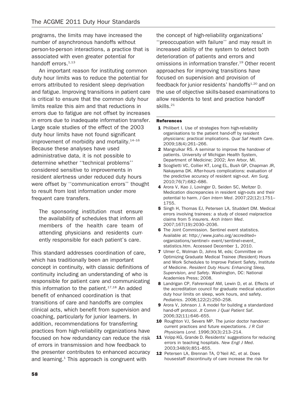programs, the limits may have increased the number of asynchronous handoffs without person-to-person interactions, a practice that is associated with even greater potential for handoff errors. $1,13$ 

An important reason for instituting common duty hour limits was to reduce the potential for errors attributed to resident sleep deprivation and fatigue. Improving transitions in patient care is critical to ensure that the common duty hour limits realize this aim and that reductions in errors due to fatigue are not offset by increases in errors due to inadequate information transfer. Large scale studies of the effect of the 2003 duty hour limits have not found significant improvement of morbidity and mortality. $14-16$ Because these analyses have used administrative data, it is not possible to determine whether ''technical problems'' considered sensitive to improvements in resident alertness under reduced duty hours were offset by ''communication errors'' thought to result from lost information under more frequent care transfers.

The sponsoring institution must ensure the availability of schedules that inform all members of the health care team of attending physicians and residents currently responsible for each patient's care.

This standard addresses coordination of care, which has traditionally been an important concept in continuity, with classic definitions of continuity including an understanding of who is responsible for patient care and communicating this information to the patient. $17,18$  An added benefit of enhanced coordination is that transitions of care and handoffs are complex clinical acts, which benefit from supervision and coaching, particularly for junior learners. In addition, recommendations for transferring practices from high-reliability organizations have focused on how redundancy can reduce the risk of errors in transmission and how feedback to the presenter contributes to enhanced accuracy and learning. $1$  This approach is congruent with

the concept of high-reliability organizations' ''preoccupation with failure'' and may result in increased ability of the system to detect both deterioration of patients and errors and omissions in information transfer.<sup>19</sup> Other recent approaches for improving transitions have focused on supervision and provision of feedback for junior residents' handoffs<sup>1,20</sup> and on the use of objective skills-based examinations to allow residents to test and practice handoff skills.21

#### References

- 1 Philibert I. Use of strategies from high-reliability organisations to the patient hand-off by resident physicians: practical implications. Qual Saf Health Care. 2009;18(4):261–266.
- 2 Mangrulkar RS. A seminar to improve the handover of patients. University of Michigan Health System, Department of Medicine; 2002; Ann Arbor, MI.
- 3 Scoglietti VC, Collier KT, Long EL, Bush GP, Chapman JR, Nakayama DK. After-hours complications: evaluation of the predictive accuracy of resident sign-out. Am Surg. 2010;76(7):682–686.
- 4 Arora V, Kao J, Lovinger D, Seiden SC, Meltzer D. Medication discrepancies in resident sign-outs and their potential to harm. J Gen Intern Med. 2007;22(12):1751– 1755.
- 5 Singh H, Thomas EJ, Petersen LA, Studdert DM. Medical errors involving trainees: a study of closed malpractice claims from 5 insurers. Arch Intern Med. 2007;167(19):2030–2036.
- **6** The Joint Commission. Sentinel event statistics. Available at: http://www.jcaho.org/accredited+ organizations/sentinel+ event/sentinel+event\_ statistics.htm. Accessed December 1, 2010.
- 7 Ulmer C, Wolman D, Johns M, eds; Committee on Optimizing Graduate Medical Trainee (Resident) Hours and Work Schedules to Improve Patient Safety, Institute of Medicine. Resident Duty Hours: Enhancing Sleep, Supervision, and Safety. Washington, DC: National Academies Press; 2008.
- 8 Landrigan CP, Fahrenkopf AM, Lewin D, et al. Effects of the accreditation council for graduate medical education duty hour limits on sleep, work hours, and safety. Pediatrics. 2008;122(2):250–258.
- 9 Arora V, Johnson J. A model for building a standardized hand-off protocol. Jt Comm J Qual Patient Saf. 2006;32(11):646–655.
- 10 Roughton VJ, Severs MP. The junior doctor handover: current practices and future expectations. J R Coll Physicians Lond. 1996;30(3):213–214.
- 11 Volpp KG, Grande D. Residents' suggestions for reducing errors in teaching hospitals. New Engl J Med. 2003;348(9):851–855.
- 12 Petersen LA, Brennan TA, O'Neil AC, et al. Does housestaff discontinuity of care increase the risk for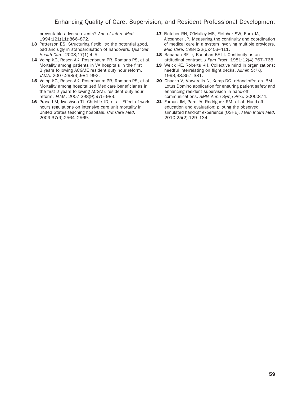preventable adverse events? Ann of Intern Med. 1994;121(11):866–872.

- 13 Patterson ES. Structuring flexibility: the potential good, bad and ugly in standardisation of handovers. Qual Saf Health Care. 2008;17(1):4–5.
- 14 Volpp KG, Rosen AK, Rosenbaum PR, Romano PS, et al. Mortality among patients in VA hospitals in the first 2 years following ACGME resident duty hour reform. JAMA. 2007;298(9):984–992.
- 15 Volpp KG, Rosen AK, Rosenbaum PR, Romano PS, et al. Mortality among hospitalized Medicare beneficiaries in the first 2 years following ACGME resident duty hour reform. JAMA. 2007;298(9):975–983.
- 16 Prasad M, Iwashyna TJ, Christie JD, et al. Effect of workhours regulations on intensive care unit mortality in United States teaching hospitals. Crit Care Med. 2009;37(9):2564–2569.
- 17 Fletcher RH, O'Malley MS, Fletcher SW, Earp JA, Alexander JP. Measuring the continuity and coordination of medical care in a system involving multiple providers. Med Care. 1984;22(5):403–411.
- 18 Banahan BF Jr, Banahan BF III. Continuity as an attitudinal contract. J Fam Pract. 1981;12(4):767–768.
- 19 Weick KE, Roberts KH. Collective mind in organizations: heedful interrelating on flight decks. Admin Sci Q. 1993;38:357–381.
- 20 Chacko V, Varvarelis N, Kemp DG. eHand-offs: an IBM Lotus Domino application for ensuring patient safety and enhancing resident supervision in hand-off communications. AMIA Annu Symp Proc. 2006:874.
- 21 Farnan JM, Paro JA, Rodriguez RM, et al. Hand-off education and evaluation: piloting the observed simulated hand-off experience (OSHE). J Gen Intern Med. 2010;25(2):129–134.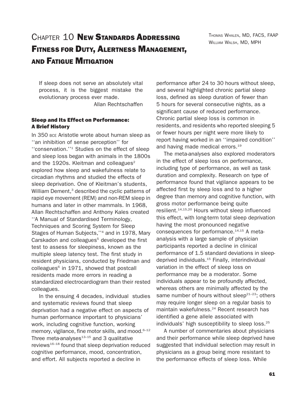## CHAPTER 10 **New Standards Addressing** FITNESS FOR DUTY, ALERTNESS MANAGEMENT, AND FATIGUE MITIGATION

THOMAS WHALEN, MD, FACS, FAAP WILLIAM WALSH, MD, MPH

If sleep does not serve an absolutely vital process, it is the biggest mistake the evolutionary process ever made.

Allan Rechtschaffen

## Sleep and Its Effect on Performance: A Brief History

In 350 BCE Aristotle wrote about human sleep as ''an inhibition of sense perception'' for ''conservation.''1 Studies on the effect of sleep and sleep loss began with animals in the 1800s and the 1920s. Kleitman and colleagues $2$ explored how sleep and wakefulness relate to circadian rhythms and studied the effects of sleep deprivation. One of Kleitman's students, William Dement,<sup>3</sup> described the cyclic patterns of rapid eye movement (REM) and non-REM sleep in humans and later in other mammals. In 1968, Allan Rechtschaffen and Anthony Kales created ''A Manual of Standardised Terminology, Techniques and Scoring System for Sleep Stages of Human Subjects,''4 and in 1978, Mary Carskadon and colleagues<sup>5</sup> developed the first test to assess for sleepiness, known as the multiple sleep latency test. The first study in resident physicians, conducted by Friedman and  $coll$ eagues $6$  in 1971, showed that postcall residents made more errors in reading a standardized electrocardiogram than their rested colleagues.

In the ensuing 4 decades, individual studies and systematic reviews found that sleep deprivation had a negative effect on aspects of human performance important to physicians' work, including cognitive function, working memory, vigilance, fine motor skills, and mood.<sup>6-12</sup> Three meta-analyses $13-15$  and 3 qualitative reviews<sup>16–18</sup> found that sleep deprivation reduced cognitive performance, mood, concentration, and effort. All subjects reported a decline in

performance after 24 to 30 hours without sleep, and several highlighted chronic partial sleep loss, defined as sleep duration of fewer than 5 hours for several consecutive nights, as a significant cause of reduced performance. Chronic partial sleep loss is common in residents, and residents who reported sleeping 5 or fewer hours per night were more likely to report having worked in an ''impaired condition'' and having made medical errors.<sup>19</sup>

The meta-analyses also explored moderators in the effect of sleep loss on performance, including type of performance, as well as task duration and complexity. Research on type of performance found that vigilance appears to be affected first by sleep loss and to a higher degree than memory and cognitive function, with gross motor performance being quite resilient.14,15,20 Hours without sleep influenced this effect, with long-term total sleep deprivation having the most pronounced negative consequences for performance.<sup>14,15</sup> A metaanalysis with a large sample of physician participants reported a decline in clinical performance of 1.5 standard deviations in sleepdeprived individuals.15 Finally, interindividual variation in the effect of sleep loss on performance may be a moderator. Some individuals appear to be profoundly affected, whereas others are minimally affected by the same number of hours without sleep $2^{2+23}$ ; others may require longer sleep on a regular basis to maintain wakefulness.<sup>24</sup> Recent research has identified a gene allele associated with individuals' high susceptibility to sleep loss.<sup>25</sup>

A number of commentaries about physicians and their performance while sleep deprived have suggested that individual selection may result in physicians as a group being more resistant to the performance effects of sleep loss. While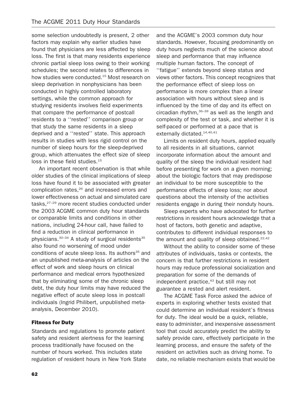some selection undoubtedly is present, 2 other factors may explain why earlier studies have found that physicians are less affected by sleep loss. The first is that many residents experience chronic partial sleep loss owing to their working schedules; the second relates to differences in how studies were conducted.<sup>15</sup> Most research on sleep deprivation in nonphysicians has been conducted in highly controlled laboratory settings, while the common approach for studying residents involves field experiments that compare the performance of postcall residents to a ''rested'' comparison group or that study the same residents in a sleep deprived and a ''rested'' state. This approach results in studies with less rigid control on the number of sleep hours for the sleep-deprived group, which attenuates the effect size of sleep loss in these field studies.<sup>15</sup>

An important recent observation is that while older studies of the clinical implications of sleep loss have found it to be associated with greater complication rates,<sup>26</sup> and increased errors and lower effectiveness on actual and simulated care tasks,27–29 more recent studies conducted under the 2003 ACGME common duty hour standards or comparable limits and conditions in other nations, including 24-hour call, have failed to find a reduction in clinical performance in physicians. $30-34$  A study of surgical residents<sup>35</sup> also found no worsening of mood under conditions of acute sleep loss. Its authors $35$  and an unpublished meta-analysis of articles on the effect of work and sleep hours on clinical performance and medical errors hypothesized that by eliminating some of the chronic sleep debt, the duty hour limits may have reduced the negative effect of acute sleep loss in postcall individuals (Ingrid Philibert, unpublished metaanalysis, December 2010).

## Fitness for Duty

Standards and regulations to promote patient safety and resident alertness for the learning process traditionally have focused on the number of hours worked. This includes state regulation of resident hours in New York State and the ACGME's 2003 common duty hour standards. However, focusing predominantly on duty hours neglects much of the science about sleep and performance that may influence multiple human factors. The concept of ''fatigue'' extends beyond sleep status and views other factors. This concept recognizes that the performance effect of sleep loss on performance is more complex than a linear association with hours without sleep and is influenced by the time of day and its effect on circadian rhythm,  $36-39$  as well as the length and complexity of the test or task, and whether it is self-paced or performed at a pace that is externally dictated.<sup>14,40,41</sup>

Limits on resident duty hours, applied equally to all residents in all situations, cannot incorporate information about the amount and quality of the sleep the individual resident had before presenting for work on a given morning; about the biologic factors that may predispose an individual to be more susceptible to the performance effects of sleep loss; nor about questions about the intensity of the activities residents engage in during their nonduty hours.

Sleep experts who have advocated for further restrictions in resident hours acknowledge that a host of factors, both genetic and adaptive, contributes to different individual responses to the amount and quality of sleep obtained. $22,42$ 

Without the ability to consider some of these attributes of individuals, tasks or contexts, the concern is that further restrictions in resident hours may reduce professional socialization and preparation for some of the demands of independent practice,<sup>43</sup> but still may not guarantee a rested and alert resident.

The ACGME Task Force asked the advice of experts in exploring whether tests existed that could determine an individual resident's fitness for duty. The ideal would be a quick, reliable, easy to administer, and inexpensive assessment tool that could accurately predict the ability to safely provide care, effectively participate in the learning process, and ensure the safety of the resident on activities such as driving home. To date, no reliable mechanism exists that would be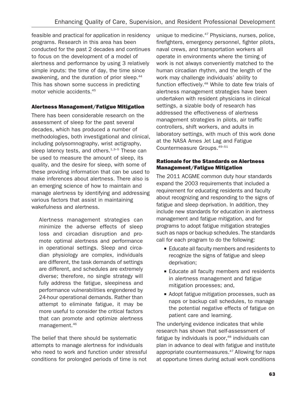feasible and practical for application in residency programs. Research in this area has been conducted for the past 2 decades and continues to focus on the development of a model of alertness and performance by using 3 relatively simple inputs: the time of day, the time since awakening, and the duration of prior sleep.<sup>44</sup> This has shown some success in predicting motor vehicle accidents.45

## Alertness Management/Fatigue Mitigation

There has been considerable research on the assessment of sleep for the past several decades, which has produced a number of methodologies, both investigational and clinical, including polysomnography, wrist actigraphy, sleep latency tests, and others. $1,3-5$  These can be used to measure the amount of sleep, its quality, and the desire for sleep, with some of these providing information that can be used to make inferences about alertness. There also is an emerging science of how to maintain and manage alertness by identifying and addressing various factors that assist in maintaining wakefulness and alertness.

Alertness management strategies can minimize the adverse effects of sleep loss and circadian disruption and promote optimal alertness and performance in operational settings. Sleep and circadian physiology are complex, individuals are different, the task demands of settings are different, and schedules are extremely diverse; therefore, no single strategy will fully address the fatigue, sleepiness and performance vulnerabilities engendered by 24-hour operational demands. Rather than attempt to eliminate fatigue, it may be more useful to consider the critical factors that can promote and optimize alertness management.46

The belief that there should be systematic attempts to manage alertness for individuals who need to work and function under stressful conditions for prolonged periods of time is not

unique to medicine.<sup>47</sup> Physicians, nurses, police, firefighters, emergency personnel, fighter pilots, naval crews, and transportation workers all operate in environments where the timing of work is not always conveniently matched to the human circadian rhythm, and the length of the work may challenge individuals' ability to function effectively.<sup>48</sup> While to date few trials of alertness management strategies have been undertaken with resident physicians in clinical settings, a sizable body of research has addressed the effectiveness of alertness management strategies in pilots, air traffic controllers, shift workers, and adults in laboratory settings, with much of this work done at the NASA Ames Jet Lag and Fatigue Countermeasure Groups.49–51

## Rationale for the Standards on Alertness Management/Fatigue Mitigation

The 2011 ACGME common duty hour standards expand the 2003 requirements that included a requirement for educating residents and faculty about recognizing and responding to the signs of fatigue and sleep deprivation. In addition, they include new standards for education in alertness management and fatigue mitigation, and for programs to adopt fatigue mitigation strategies such as naps or backup schedules. The standards call for each program to do the following:

- **Educate all faculty members and residents to** recognize the signs of fatigue and sleep deprivation;
- **Educate all faculty members and residents** in alertness management and fatigue mitigation processes; and,
- & Adopt fatigue mitigation processes, such as naps or backup call schedules, to manage the potential negative effects of fatigue on patient care and learning.

The underlying evidence indicates that while research has shown that self-assessment of fatigue by individuals is poor, $48$  individuals can plan in advance to deal with fatigue and institute appropriate countermeasures.<sup>47</sup> Allowing for naps at opportune times during actual work conditions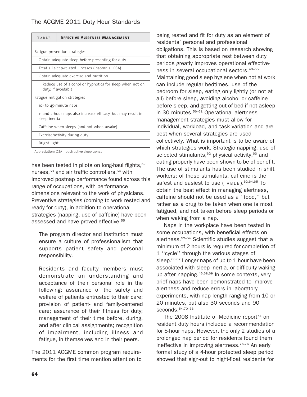| TABLE                                                                          | <b>EFFECTIVE ALERTNESS MANAGEMENT</b> |
|--------------------------------------------------------------------------------|---------------------------------------|
|                                                                                |                                       |
| Fatigue prevention strategies                                                  |                                       |
| Obtain adequate sleep before presenting for duty                               |                                       |
| Treat all sleep-related illnesses (insomnia, OSA)                              |                                       |
| Obtain adequate exercise and nutrition                                         |                                       |
| Reduce use of alcohol or hypnotics for sleep when not on<br>duty, if avoidable |                                       |
| Fatigue mitigation strategies                                                  |                                       |
| 10- to 45-minute naps                                                          |                                       |
| 1- and 2-hour naps also increase efficacy, but may result in<br>sleep inertia  |                                       |
| Caffeine when sleepy (and not when awake)                                      |                                       |
| Exercise/activity during duty                                                  |                                       |
| Bright light                                                                   |                                       |

Abbreviation: OSA - obstructive sleep apnea

has been tested in pilots on long-haul flights,<sup>52</sup> nurses,<sup>53</sup> and air traffic controllers,<sup>54</sup> with improved postnap performance found across this range of occupations, with performance dimensions relevant to the work of physicians. Preventive strategies (coming to work rested and ready for duty), in addition to operational strategies (napping, use of caffeine) have been assessed and have proved effective.<sup>55</sup>

The program director and institution must ensure a culture of professionalism that supports patient safety and personal responsibility.

Residents and faculty members must demonstrate an understanding and acceptance of their personal role in the following: assurance of the safety and welfare of patients entrusted to their care; provision of patient- and family-centered care; assurance of their fitness for duty; management of their time before, during, and after clinical assignments; recognition of impairment, including illness and fatigue, in themselves and in their peers.

The 2011 ACGME common program requirements for the first time mention attention to being rested and fit for duty as an element of residents' personal and professional obligations. This is based on research showing that obtaining appropriate rest between duty periods greatly improves operational effectiveness in several occupational sectors.49–55 Maintaining good sleep hygiene when not at work can include regular bedtimes, use of the bedroom for sleep, eating only lightly (or not at all) before sleep, avoiding alcohol or caffeine before sleep, and getting out of bed if not asleep in 30 minutes.<sup>56-61</sup> Operational alertness management strategies must allow for individual, workload, and task variation and are best when several strategies are used collectively. What is important is to be aware of which strategies work. Strategic napping, use of selected stimulants, $62$  physical activity, $63$  and eating properly have been shown to be of benefit. The use of stimulants has been studied in shift workers; of these stimulants, caffeine is the safest and easiest to use (TABLE). 62,64,65 To obtain the best effect in managing alertness, caffeine should not be used as a ''food,'' but rather as a drug to be taken when one is most fatigued, and not taken before sleep periods or when waking from a nap.

Naps in the workplace have been tested in some occupations, with beneficial effects on alertness.52–54 Scientific studies suggest that a minimum of 2 hours is required for completion of 1 ''cycle'' through the various stages of sleep. $66,67$  Longer naps of up to 1 hour have been associated with sleep inertia, or difficulty waking up after napping. 46,68,69 In some contexts, very brief naps have been demonstrated to improve alertness and reduce errors in laboratory experiments, with nap length ranging from 10 or 20 minutes, but also 30 seconds and 90 seconds.54,70–73

The 2008 Institute of Medicine report $74$  on resident duty hours included a recommendation for 5-hour naps. However, the only 2 studies of a prolonged nap period for residents found them ineffective in improving alertness.<sup>75,76</sup> An early formal study of a 4-hour protected sleep period showed that sign-out to night-float residents for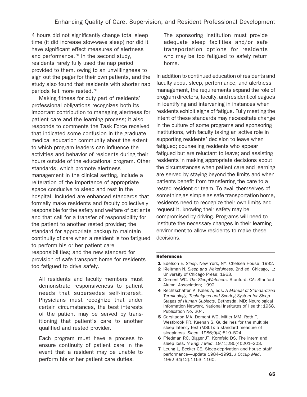4 hours did not significantly change total sleep time (it did increase slow-wave sleep) nor did it have significant effect measures of alertness and performance.<sup>75</sup> In the second study, residents rarely fully used the nap period provided to them, owing to an unwillingness to sign out the pager for their own patients, and the study also found that residents with shorter nap periods felt more rested.76

Making fitness for duty part of residents' professional obligations recognizes both its important contribution to managing alertness for patient care and the learning process; it also responds to comments the Task Force received that indicated some confusion in the graduate medical education community about the extent to which program leaders can influence the activities and behavior of residents during their hours outside of the educational program. Other standards, which promote alertness management in the clinical setting, include a reiteration of the importance of appropriate space conducive to sleep and rest in the hospital. Included are enhanced standards that formally make residents and faculty collectively responsible for the safety and welfare of patients and that call for a transfer of responsibility for the patient to another rested provider; the standard for appropriate backup to maintain continuity of care when a resident is too fatigued to perform his or her patient care responsibilities; and the new standard for provision of safe transport home for residents too fatigued to drive safely.

All residents and faculty members must demonstrate responsiveness to patient needs that supersedes self-interest. Physicians must recognize that under certain circumstances, the best interests of the patient may be served by transitioning that patient's care to another qualified and rested provider.

Each program must have a process to ensure continuity of patient care in the event that a resident may be unable to perform his or her patient care duties.

The sponsoring institution must provide adequate sleep facilities and/or safe transportation options for residents who may be too fatigued to safely return home.

In addition to continued education of residents and faculty about sleep, performance, and alertness management, the requirements expand the role of program directors, faculty, and resident colleagues in identifying and intervening in instances when residents exhibit signs of fatigue. Fully meeting the intent of these standards may necessitate change in the culture of some programs and sponsoring institutions, with faculty taking an active role in supporting residents' decision to leave when fatigued; counseling residents who appear fatigued but are reluctant to leave; and assisting residents in making appropriate decisions about the circumstances when patient care and learning are served by staying beyond the limits and when patients benefit from transferring the care to a rested resident or team. To avail themselves of something as simple as safe transportation home, residents need to recognize their own limits and request it, knowing their safety may be compromised by driving. Programs will need to institute the necessary changes in their learning environment to allow residents to make these decisions.

#### References

- 1 Edelson E. Sleep. New York, NY: Chelsea House; 1992.
- 2 Kleitman N. Sleep and Wakefulness. 2nd ed. Chicago, IL: University of Chicago Press; 1963.
- 3 Dement WC. The SleepWatchers. Stanford, CA: Stanford Alumni Association; 1992.
- 4 Rechtschaffen A, Kales A, eds. A Manual of Standardized Terminology, Techniques and Scoring System for Sleep Stages of Human Subjects. Bethesda, MD: Neurological Information Network, National Institutes of Health; 1968. Publication No. 204.
- 5 Carskadon MA, Dement WC, Mitler MM, Roth T, Westbrook PR, Keenan S. Guidelines for the multiple sleep latency test (MSLT): a standard measure of sleepiness. Sleep. 1986;9(4):519–524.
- 6 Friedman RC, Bigger JT, Kornfeld DS. The intern and sleep loss. N Engl J Med. 1971;285(4):201–203.
- **7** Leung L, Becker CE. Sleep-deprivation and house staff performance—update 1984–1991. J Occup Med. 1992;34(12):1153–1160.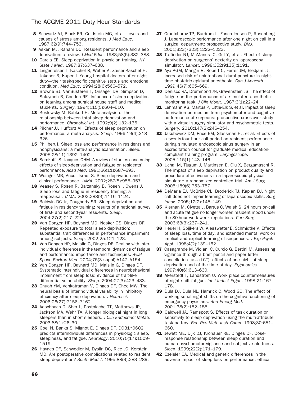- 8 Schwartz AJ, Black ER, Goldstein MG, et al. Levels and causes of stress among residents. J Med Educ. 1987;62(9):744–753.
- 9 Asken MJ, Raham DC. Resident performance and sleep deprivation: a review. J Med Educ. 1983;58(5):382–388.
- 10 Garcia EE. Sleep deprivation in physician training. NY State J Med. 1987;87:637–638.
- 11 Lingenfelser T, Kaschel R, Weber A, Zaiser-Kaschel H, Jakober B, Kuper J. Young hospital doctors after night duty—their task-specific cognitive status and emotional condition. Med Educ. 1994;28(6):566–572.
- 12 Browne BJ, VanSusteren T, Onsager DR, Simpson D, Salaymeh B, Condon RE. Influence of sleep-deprivation on learning among surgical house staff and medical students. Surgery. 1994;115(5):604–610.
- 13 Koslowsky M, Babkoff H. Meta-analysis of the relationship between total sleep deprivation and performance. Chronobiol Int. 1992;9(2):132–136.
- 14 Pilcher JJ, Huffcutt AI. Effects of sleep deprivation on performance: a meta-analysis. Sleep. 1996;19(4):318– 326.
- 15 Philibert I. Sleep loss and performance in residents and nonphysicians: a meta-analytic examination. Sleep. 2005;28(11):1392–1402.
- 16 Samkoff JS, Jacques CHM. A review of studies concerning effects of sleep-deprivation and fatigue on residents' performance. Acad Med. 1991;66(11):687–693.
- 17 Weinger MB, Ancoli-Israel S. Sleep deprivation and clinical performance. JAMA. 2002;287(8):955–957.
- 18 Veasey S, Rosen R, Barzansky B, Rosen I, Owens J. Sleep loss and fatigue in residency training: a reappraisal. JAMA. 2002;288(9):1116–1124.
- 19 Baldwin DC Jr, Daugherty SR. Sleep deprivation and fatigue in residency training: results of a national survey of first- and second-year residents. Sleep. 2004;27(2):217–223.
- 20 Van Dongen HP, Baynard MD, Nosker GS, Dinges DF. Repeated exposure to total sleep deprivation: substantial trait differences in performance impairment among subjects. Sleep. 2002;25:121–123.
- 21 Van Dongen HP, Maislin G, Dinges DF. Dealing with interindividual differences in the temporal dynamics of fatigue and performance: importance and techniques. Aviat Space Environ Med. 2004;75(3 suppl):A147–A154.
- 22 Van Dongen HP, Baynard MD, Maislin G, Dinges DF. Systematic interindividual differences in neurobehavioral impairment from sleep loss: evidence of trait-like differential vulnerability. Sleep. 2004;27(3):423–433.
- 23 Chuah YM, Venkatraman V, Dinges DF, Chee MW. The neural basis of interindividual variability in inhibitory efficiency after sleep deprivation. J Neurosci. 2006;26(27):7156–7162.
- 24 Aeschbach D, Sher L, Postolache TT, Matthews JR, Jackson MA, Wehr TA. A longer biological night in long sleepers than in short sleepers. J Clin Endocrinol Metab. 2003;88(1):26–30.
- 25 Goel N, Banks S, Mignot E, Dinges DF. DQB1\*0602 predicts interindividual differences in physiologic sleep, sleepiness, and fatigue. Neurology. 2010;75(17):1509– 1519.
- 26 Haynes DF, Schwedler M, Dyslin DC, Rice JC, Kerstein MD. Are postoperative complications related to resident sleep deprivation? South Med J. 1995;88(3):283–289.
- 27 Grantcharov TP, Bardram L, Funch-Jensen P, Rosenberg J. Laparoscopic performance after one night on call in a surgical department: prospective study. BMJ. 2001;323(7323):1222–1223.
- 28 Taffinder NJ, McManus IC, Gul Y, et al. Effect of sleep deprivation on surgeons' dexterity on laparoscopy simulator. Lancet. 1998;352(9135):1191.
- 29 Aya AGM, Mangin R, Robert C, Ferrer JM, Eledjam JJ. Increased risk of unintentional dural puncture in nighttime obstetric epidural anesthesia. Can J Anaesth. 1999;46(7):665–669.
- 30 Denisco RA, Drummond JN, Gravenstein JS. The effect of fatigue on the performance of a simulated anesthetic monitoring task. J Clin Monit. 1987;3(1):22–24.
- 31 Lehmann KS, Martus P, Little-Elk S, et al. Impact of sleep deprivation on medium-term psychomotor and cognitive performance of surgeons: prospective cross-over study with a virtual surgery simulator and psychometric tests. Surgery. 2010;147(2):246–254.
- 32 Jakubowicz DM, Price EM, Glassman HJ, et al. Effects of a twenty-four hour call period on resident performance during simulated endoscopic sinus surgery in an accreditation council for graduate medical educationcompliant training program. Laryngoscope. 2005;115(1):143–146.
- 33 Uchal M, Tjugum J, Martinsen E, Qiu X, Bergamaschi R. The impact of sleep deprivation on product quality and procedure effectiveness in a laparoscopic physical simulator: a randomized controlled trial. Am J Surg. 2005;189(6):753–757.
- 34 DeMaria EJ, McBride CL, Broderick TJ, Kaplan BJ. Night call does not impair learning of laparoscopic skills. Surg Innov. 2005;12(2):145–149.
- 35 Kiernan M, Civetta J, Bartus C, Walsh S. 24 hours on-call and acute fatigue no longer worsen resident mood under the 80-hour work week regulations. Curr Surg. 2006;63(3):237–241.
- 36 Heuer H, Spijkers W, Kiesswetter E, Schmidtke V. Effects of sleep loss, time of day, and extended mental work on implicit and explicit learning of sequences. J Exp Psych Appl. 1998;4(2):139–162.
- 37 Casagrande M, Violani C, Curcio G, Bertini M. Assessing vigilance through a brief pencil and paper letter cancellation task (LCT): effects of one night of sleep deprivation and of the time of day. Ergonomics. 1997;40(6):613–630.
- 38 Akerstedt T, Landstrom U. Work place countermeasures of night shift fatigue. Int J Indust Ergon. 1998;21:167– 178.
- 39 Dula DJ, Dula NL, Hamrick C, Wood GC. The effect of working serial night shifts on the cognitive functioning of emergency physicians. Ann Emerg Med. 2001;38(2):152–155.
- 40 Caldwell JA, Ramspott S. Effects of task duration on sensitivity to sleep deprivation using the multi-attribute task battery. Beh Res Meth Instr Comp. 1998;30:651– 660.
- 41 Jewett ME, Dijk DJ, Kronauer RE, Dinges DF. Doseresponse relationship between sleep duration and human psychomotor vigilance and subjective alertness. Sleep. 1999;22(2):171–179.
- 42 Czeisler CA. Medical and genetic differences in the adverse impact of sleep loss on performance: ethical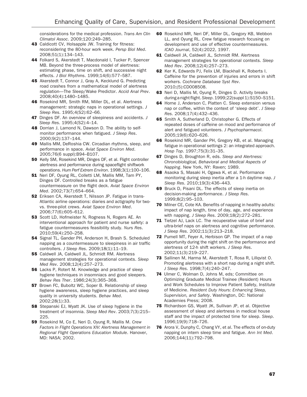considerations for the medical profession. Trans Am Clin Climatol Assoc. 2009;120:249–285.

- 43 Caldicott CV, Holsapple JW. Training for fitness: reconsidering the 80-hour work week. Persp Biol Med. 2008;51(1):134–143.
- 44 Folkard S, Akerstedt T, Macdonald I, Tucker P, Spencer MB. Beyond the three-process model of alertness: estimating phase, time on shift, and successive night effects. J Biol Rhythms. 1999;14(6):577–587.
- 45 Akerstedt T, Connor J, Gray A, Kecklund G. Predicting road crashes from a mathematical model of alertness regulation—The Sleep/Wake Predictor. Accid Anal Prev. 2008;40(4):1480–1485.
- 46 Rosekind MR, Smith RM, Miller DL, et al. Alertness management: strategic naps in operational settings. J Sleep Res. 1995;4(S2):62–66.
- **47** Dinges DF. An overview of sleepiness and accidents. J Sleep Res. 1995;4(S2):4–14.
- 48 Dorrian J, Lamond N, Dawson D. The ability to selfmonitor performance when fatigued. J Sleep Res. 2000;9(2):137–144.
- 49 Mallis MM, DeRoshia CW. Circadian rhythms, sleep, and performance in space. Aviat Space Environ Med. 2005;76(6 suppl):B94–B107.
- 50 Kelly SM, Rosekind MR, Dinges DF, et al. Flight controller alertness and performance during spaceflight shiftwork operations. Hum Perf Extrem Environ. 1998;3(1):100–106.
- 51 Neri DF, Oyung RL, Colletti LM, Mallis MM, Tam PY, Dinges DF. Controlled breaks as a fatigue countermeasure on the flight deck. Aviat Space Environ Med. 2002;73(7):654–664.
- 52 Eriksen CA, Akerstedt T, Nilsson JP. Fatigue in trans-Atlantic airline operations: diaries and actigraphy for twovs. three-pilot crews. Aviat Space Environ Med. 2006;77(6):605–612.
- 53 Scott LD, Hofmeister N, Rogness N, Rogers AE. An interventional approach for patient and nurse safety: a fatigue countermeasures feasibility study. Nurs Res. 2010;59(4):250–258.
- **54** Signal TL, Gander PH, Anderson H, Brash S, Scheduled napping as a countermeasure to sleepiness in air traffic controllers. J Sleep Res. 2009;18(1):11–19.
- 55 Caldwell JA, Caldwell JL, Schmidt RM. Alertness management strategies for operational contexts. Sleep Med Rev. 2008;12(4):257–273.
- 56 Lacks P, Rotert M. Knowledge and practice of sleep hygiene techniques in insomniacs and good sleepers. Behav Res Ther. 1986;24(3):365–368.
- 57 Brown FC, Buboltz WC, Soper B. Relationship of sleep hygiene awareness, sleep hygiene practices, and sleep quality in university students. Behav Med. 2002;28(1):33.
- **58** Stepanski EJ, Wyatt JK. Use of sleep hygiene in the treatment of insomnia. Sleep Med Rev. 2003;7(3):215– 225.
- 59 Rosekind M, Co E, Neri D, Oyung R, Mallis M. Crew Factors in Flight Operations XIV: Alertness Management in Regional Flight Operations Education Module. Hanover, MD: NASA; 2002.
- 60 Rosekind MR, Neri DF, Miller DL, Gregory KB, Webbon LL, and Oyung RL. Crew fatigue research focusing on development and use of effective countermeasures. ICAO Journal, 52(4):2022, 1997.
- 61 Caldwell JA, Caldwell JL, Schmidt RM. Alertness management strategies for operational contexts. Sleep Med Rev. 2008;12(4):257–273.
- 62 Ker K, Edwards PJ, Felix LM, Blackhall K, Roberts I. Caffeine for the prevention of injuries and errors in shift workers. Cochrane Database Syst Rev. 2010;(5):CD008508.
- 63 Neri D, Mallis M, Oyung R, Dinges D. Activity breaks during a night flight.Sleep. 1999;22(suppl 1):S150–S151.
- 64 Horne J, Anderson C, Platten C. Sleep extension versus nap or coffee, within the context of 'sleep debt'. J Sleep Res. 2008;17(4):432–436.
- 65 Smith A, Sutherland D, Christopher G. Effects of repeated doses of caffeine on mood and performance of alert and fatigued volunteers. J Psychopharmacol. 2005;19(6):620–626.
- 66 Rosekind MR, Gander PH, Gregory KB, et al. Managing fatigue in operational settings 2: an integrated approach. Hosp Top. 1997;75(3):31–35.
- **67** Dinges D, Broughton R, eds. Sleep and Alertness: Chronobiological, Behavioral and Medical Aspects of Napping. New York, NY: Raven; 1989.
- 68 Asaoka S, Masaki H, Ogawa K, et al. Performance monitoring during sleep inertia after a 1-h daytime nap. J Sleep Res. 2010;19(3):436–443.
- 69 Bruck D, Pisani DL. The effects of sleep inertia on decision-making performance. J Sleep Res. 1999;8(2):95–103.
- **70** Milner CE, Cote KA. Benefits of napping in healthy adults: impact of nap length, time of day, age, and experience with napping. J Sleep Res. 2009;18(2):272–281.
- 71 Tietzel AJ, Lack LC. The recuperative value of brief and ultra-brief naps on alertness and cognitive performance. J Sleep Res. 2002;11(3):213–218.
- 72 Purnell MT, Feyer A, Herbison GP. The impact of a nap opportunity during the night shift on the performance and alertness of 12-h shift workers. J Sleep Res. 2002;11(3):219–227.
- 73 Sallinen M, Harma M, Akerstedt T, Rosa R, Lillqvist O. Promoting alertness with a short nap during a night shift. J Sleep Res. 1998;7(4):240–247.
- 74 Ulmer C, Wolman D, Johns M, eds: Committee on Optimizing Graduate Medical Trainee (Resident) Hours and Work Schedules to Improve Patient Safety, Institute of Medicine. Resident Duty Hours: Enhancing Sleep, Supervision, and Safety. Washington, DC: National Academies Press; 2008.
- 75 Richardson GS, Wyatt JK, Sullivan JP, et al. Objective assessment of sleep and alertness in medical house staff and the impact of protected time for sleep. Sleep. 1996;19(9):718–726.
- 76 Arora V, Dunphy C, Chang VY, et al. The effects of on-duty napping on intern sleep time and fatigue. Ann Int Med. 2006;144(11):792–798.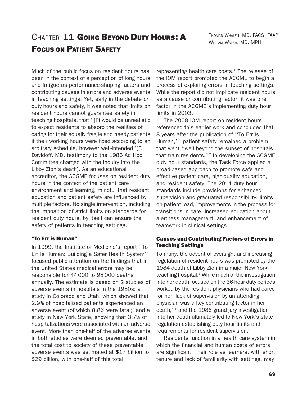THOMAS WHALEN, MD, FACS, FAAP WILLIAM WALSH, MD, MPH

## CHAPTER 11 GOING BEYOND DUTY HOURS: A FOCUS ON PATIENT SAFETY

Much of the public focus on resident hours has been in the context of a perception of long hours and fatigue as performance-shaping factors and contributing causes in errors and adverse events in teaching settings. Yet, early in the debate on duty hours and safety, it was noted that limits on resident hours cannot guarantee safety in teaching hospitals, that ''[i]t would be unrealistic to expect residents to absorb the realities of caring for their equally fragile and needy patients if their working hours were fixed according to an arbitrary schedule, however well-intended''(F. Davidoff, MD, testimony to the 1986 Ad Hoc Committee charged with the inquiry into the Libby Zion's death). As an educational accreditor, the ACGME focuses on resident duty hours in the context of the patient care environment and learning, mindful that resident education and patient safety are influenced by multiple factors. No single intervention, including the imposition of strict limits on standards for resident duty hours, by itself can ensure the safety of patients in teaching settings.

#### ''To Err is Human''

In 1999, the Institute of Medicine's report ''To Err Is Human: Building a Safer Health System''1 focused public attention on the findings that in the United States medical errors may be responsible for 44 000 to 98 000 deaths annually. The estimate is based on 2 studies of adverse events in hospitals in the 1980s: a study in Colorado and Utah, which showed that 2.9% of hospitalized patients experienced an adverse event (of which 8.8% were fatal), and a study in New York State, showing that 3.7% of hospitalizations were associated with an adverse event. More than one-half of the adverse events in both studies were deemed preventable, and the total cost to society of these preventable adverse events was estimated at \$17 billion to \$29 billion, with one-half of this total

representing health care costs. $1$  The release of the IOM report prompted the ACGME to begin a process of exploring errors in teaching settings. While the report did not implicate resident hours as a cause or contributing factor, it was one factor in the ACGME's implementing duty hour limits in 2003.

The 2008 IOM report on resident hours referenced this earlier work and concluded that 8 years after the publication of ''To Err Is Human,''1 patient safety remained a problem that went ''well beyond the subset of hospitals that train residents.''2 In developing the ACGME duty hour standards, the Task Force applied a broad-based approach to promote safe and effective patient care, high-quality education, and resident safety. The 2011 duty hour standards include provisions for enhanced supervision and graduated responsibility, limits on patient load, improvements in the process for transitions in care, increased education about alertness management, and enhancement of teamwork in clinical settings.

### Causes and Contributing Factors of Errors in Teaching Settings

To many, the advent of oversight and increasing regulation of resident hours was prompted by the 1984 death of Libby Zion in a major New York teaching hospital.<sup>3</sup> While much of the investigation into her death focused on the 36-hour duty periods worked by the resident physicians who had cared for her, lack of supervision by an attending physician was a key contributing factor in her death,4,5 and the 1986 grand jury investigation into her death ultimately led to New York's state regulation establishing duty hour limits and requirements for resident supervision.<sup>6</sup>

Residents function in a health care system in which the financial and human costs of errors are significant. Their role as learners, with short tenure and lack of familiarity with settings, may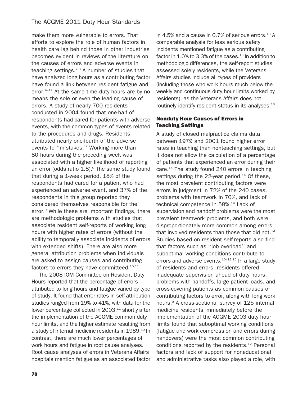make them more vulnerable to errors. That efforts to explore the role of human factors in health care lag behind those in other industries becomes evident in reviews of the literature on the causes of errors and adverse events in teaching settings.<sup>7,8</sup> A number of studies that have analyzed long hours as a contributing factor have found a link between resident fatigue and error.<sup>9-12</sup> At the same time duty hours are by no means the sole or even the leading cause of errors. A study of nearly 700 residents conducted in 2004 found that one-half of respondents had cared for patients with adverse events, with the common types of events related to the procedures and drugs. Residents attributed nearly one-fourth of the adverse events to ''mistakes.'' Working more than 80 hours during the preceding week was associated with a higher likelihood of reporting an error (odds ratio  $1.8$ ).<sup>9</sup> The same study found that during a 1-week period, 18% of the respondents had cared for a patient who had experienced an adverse event, and 37% of the respondents in this group reported they considered themselves responsible for the error.9 While these are important findings, there are methodologic problems with studies that associate resident self-reports of working long hours with higher rates of errors (without the ability to temporally associate incidents of errors with extended shifts). There are also more general attribution problems when individuals are asked to assign causes and contributing factors to errors they have committeed.<sup>10,11</sup>

The 2008 IOM Committee on Resident Duty Hours reported that the percentage of errors attributed to long hours and fatigue varied by type of study. It found that error rates in self-attribution studies ranged from 19% to 41%, with data for the lower percentage collected in  $2003$ , $^{11}$  shortly after the implementation of the ACGME common duty hour limits, and the higher estimate resulting from a study of internal medicine residents in 1989.<sup>10</sup> In contrast, there are much lower percentages of work hours and fatigue in root cause analyses. Root cause analyses of errors in Veterans Affairs hospitals mention fatigue as an associated factor in 4.5% and a cause in 0.7% of serious errors.<sup>13</sup> A comparable analysis for less serious safety incidents mentioned fatigue as a contributing factor in  $1.0\%$  to 3.3% of the cases.<sup>13</sup> In addition to methodologic differences, the self-report studies assessed solely residents, while the Veterans Affairs studies include all types of providers (including those who work hours much below the weekly and continuous duty hour limits worked by residents), as the Veterans Affairs does not routinely identify resident status in its analyses.<sup>13</sup>

## Nonduty Hour Causes of Errors in Teaching Settings

A study of closed malpractice claims data between 1979 and 2001 found higher error rates in teaching than nonteaching settings, but it does not allow the calculation of a percentage of patients that experienced an error during their care.<sup>14</sup> The study found 240 errors in teaching settings during the 22-year period. $14$  Of these, the most prevalent contributing factors were errors in judgment in 72% of the 240 cases, problems with teamwork in 70%, and lack of technical competence in 58%.<sup>14</sup> Lack of supervision and handoff problems were the most prevalent teamwork problems, and both were disproportionately more common among errors that involved residents than those that did not. $14$ Studies based on resident self-reports also find that factors such as ''job overload'' and suboptimal working conditions contribute to errors and adverse events.<sup>10-12,15</sup> In a large studv of residents and errors, residents offered inadequate supervision ahead of duty hours, problems with handoffs, large patient loads, and cross-covering patients as common causes or contributing factors to error, along with long work hours.<sup>9</sup> A cross-sectional survey of 125 internal medicine residents immediately before the implementation of the ACGME 2003 duty hour limits found that suboptimal working conditions (fatigue and work compression and errors during handovers) were the most common contributing conditions reported by the residents.<sup>12</sup> Personal factors and lack of support for noneducational and administrative tasks also played a role, with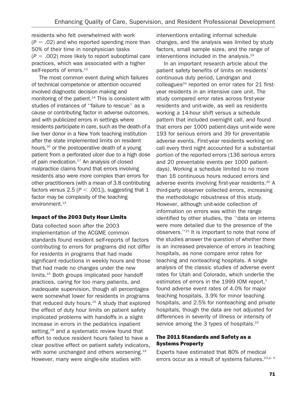residents who felt overwhelmed with work  $(P = .02)$  and who reported spending more than 50% of their time in nonphysician tasks  $(P = .002)$  more likely to report suboptimal care practices, which was associated with a higher self-reports of errors.<sup>12</sup>

The most common event during which failures of technical competence or attention occurred involved diagnostic decision making and monitoring of the patient.<sup>14</sup> This is consistent with studies of instances of ''failure to rescue'' as a cause or contributing factor in adverse outcomes, and with publicized errors in settings where residents participate in care, such as the death of a live liver donor in a New York teaching institution after the state implemented limits on resident hours,<sup>16</sup> or the postoperative death of a young patient from a perforated ulcer due to a high dose of pain medication. $17$  An analysis of closed malpractice claims found that errors involving residents also were more complex than errors for other practitioners (with a mean of 3.8 contributing factors versus 2.5 [ $P < .001$ ]), suggesting that 1 factor may be complexity of the teaching environment.<sup>14</sup>

## Impact of the 2003 Duty Hour Limits

Data collected soon after the 2003 implementation of the ACGME common standards found resident self-reports of factors contributing to errors for programs did not differ for residents in programs that had made significant reductions in weekly hours and those that had made no changes under the new limits.<sup>15</sup> Both groups implicated poor handoff practices, caring for too many patients, and inadequate supervision, though all percentages were somewhat lower for residents in programs that reduced duty hours. $15$  A study that explored the effect of duty hour limits on patient safety implicated problems with handoffs in a slight increase in errors in the pediatrics inpatient setting,<sup>18</sup> and a systematic review found that effort to reduce resident hours failed to have a clear positive effect on patient safety indicators, with some unchanged and others worsening.<sup>19</sup> However, many were single-site studies with

interventions entailing informal schedule changes, and the analysis was limited by study factors, small sample sizes, and the range of interventions included in the analysis.<sup>19</sup>

In an important research article about the patient safety benefits of limits on residents' continuous duty period, Landrigan and colleagues<sup>20</sup> reported on error rates for 21 firstyear residents in an intensive care unit. The study compared error rates across first-year residents and unit-wide, as well as residents working a 14-hour shift versus a schedule pattern that included overnight call, and found that errors per 1000 patient-days unit-wide were 193 for serious errors and 39 for preventable adverse events. First-year residents working on call every third night accounted for a substantial portion of the reported errors (136 serious errors and 20 preventable events per 1000 patientdays). Working a schedule limited to no more than 16 continuous hours reduced errors and adverse events involving first-year residents.<sup>20</sup> A third-party observer collected errors, increasing the methodologic robustness of this study. However, although unit-wide collection of information on errors was within the range identified by other studies, the ''data on interns were more detailed due to the presence of the observers.''21 It is important to note that none of the studies answer the question of whether there is an increased prevalence of errors in teaching hospitals, as none compare error rates for teaching and nonteaching hospitals. A single analysis of the classic studies of adverse event rates for Utah and Colorado, which underlie the estimates of errors in the 1999 IOM report, $1$ found adverse event rates of 4.0% for major teaching hospitals, 3.9% for minor teaching hospitals, and 2.5% for nonteaching and private hospitals, though the data are not adjusted for differences in severity of illness or intensity of service among the 3 types of hospitals.<sup>22</sup>

## The 2011 Standards and Safety as a Systems Property

Experts have estimated that 80% of medical errors occur as a result of systems failures.<sup>23,p. 5</sup>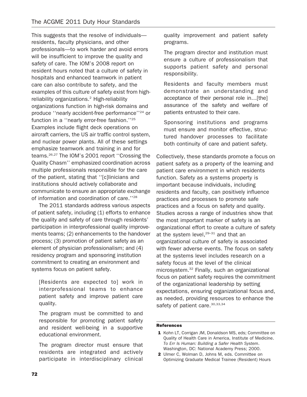This suggests that the resolve of individuals residents, faculty physicians, and other professionals—to work harder and avoid errors will be insufficient to improve the quality and safety of care. The IOM's 2008 report on resident hours noted that a culture of safety in hospitals and enhanced teamwork in patient care can also contribute to safety, and the examples of this culture of safety exist from highreliability organizations.<sup>2</sup> High-reliability organizations function in high-risk domains and produce ''nearly accident-free performance''24 or function in a ''nearly error-free fashion.''25 Examples include flight deck operations on aircraft carriers, the US air traffic control system, and nuclear power plants. All of these settings emphasize teamwork and training in and for teams.26,27 The IOM's 2001 report ''Crossing the Quality Chasm'' emphasized coordination across multiple professionals responsible for the care of the patient, stating that ''[c]linicians and institutions should actively collaborate and communicate to ensure an appropriate exchange of information and coordination of care.''28

The 2011 standards address various aspects of patient safety, including (1) efforts to enhance the quality and safety of care through residents' participation in interprofessional quality improvements teams; (2) enhancements to the handover process; (3) promotion of patient safety as an element of physician professionalism; and (4) residency program and sponsoring institution commitment to creating an environment and systems focus on patient safety.

[Residents are expected to] work in interprofessional teams to enhance patient safety and improve patient care quality.

The program must be committed to and responsible for promoting patient safety and resident well-being in a supportive educational environment.

The program director must ensure that residents are integrated and actively participate in interdisciplinary clinical quality improvement and patient safety programs.

The program director and institution must ensure a culture of professionalism that supports patient safety and personal responsibility.

Residents and faculty members must demonstrate an understanding and acceptance of their personal role in…[the] assurance of the safety and welfare of patients entrusted to their care.

Sponsoring institutions and programs must ensure and monitor effective, structured handover processes to facilitate both continuity of care and patient safety.

Collectively, these standards promote a focus on patient safety as a property of the learning and patient care environment in which residents function. Safety as a systems property is important because individuals, including residents and faculty, can positively influence practices and processes to promote safe practices and a focus on safety and quality. Studies across a range of industries show that the most important marker of safety is an organizational effort to create a culture of safety at the system level, $29-31$  and that an organizational culture of safety is associated with fewer adverse events. The focus on safety at the systems level includes research on a safety focus at the level of the clinical microsystem.32 Finally, such an organizational focus on patient safety requires the commitment of the organizational leadership by setting expectations, ensuring organizational focus and, as needed, providing resources to enhance the safety of patient care. 30,33,34

#### References

- 1 Kohn LT, Corrigan JM, Donaldson MS, eds; Committee on Quality of Health Care in America, Institute of Medicine. To Err Is Human: Building a Safer Health System. Washington, DC: National Academy Press; 2000.
- 2 Ulmer C, Wolman D, Johns M, eds. Committee on Optimizing Graduate Medical Trainee (Resident) Hours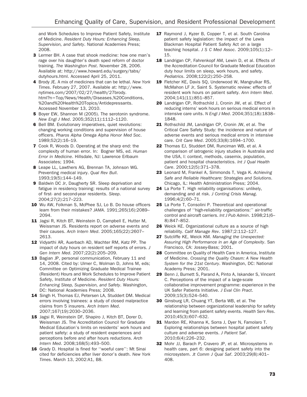and Work Schedules to Improve Patient Safety, Institute of Medicine. Resident Duty Hours: Enhancing Sleep, Supervision, and Safety. National Academies Press; 2008.

- 3 Lermer BH. A case that shook medicine: how one man's rage over his daughter's death sped reform of doctor training. The Washington Post. November 28, 2006. Available at: http://www.howard.edu/surgery/tabs/ dutyhours.html. Accessed April 25, 2011.
- 4 Brody JE. A mix of medicines that can be lethal. New York Times. February 27, 2007. Available at: http://www. nytimes.com/2007/02/27/health/27brody. html?n=Top/News/Health/Diseases,%20Conditions, %20and%20Health%20Topics/Antidepressants. Accessed November 13, 2010.
- 5 Bover EW, Shannon M (2005). The serotonin syndrome. New Engl J Med. 2005;352(11):1112–1120.
- 6 Bell BM. Evolutionary imperatives, quiet revolutions: changing working conditions and supervision of house officers. Pharos Alpha Omega Alpha Honor Med Soc. 1989;52(2):16–19.
- 7 Cook R, Woods D. Operating at the sharp end: the complexity of human error. In: Bogner MS, ed. Human Error in Medicine. Hillsdale, NJ: Lawrence Erlbaum Associates; 1994.
- 8 Leape LL, Lawthers AG, Brennan TA, Johnson WG. Preventing medical injury. Qual Rev Bull. 1993;19(5):144–149.
- 9 Baldwin DC Jr, Daugherty SR. Sleep deprivation and fatigue in residency training: results of a national survey of first- and second-year residents. Sleep. 2004;27(2):217–223.
- 10 Wu AW, Folkman S, McPhee SJ, Lo B. Do house officers learn from their mistakes? JAMA. 1991;265(16):2089– 2094.
- 11 Jagsi R, Kitch BT, Weinstein D, Campbell E, Hutter M, Weissman JS. Residents report on adverse events and their causes. Arch Intern Med. 2005;165(22):2607– 2613.
- 12 Vidyarthi AR, Auerbach AD, Wachter RM, Katz PP. The impact of duty hours on resident self reports of errors. J Gen Intern Med. 2007;22(2):205–209.
- 13 Bagian JP, personal communication, February 11 and 14, 2008. Cited by: Ulmer C, Wolman D, Johns M, eds; Committee on Optimizing Graduate Medical Trainee (Resident) Hours and Work Schedules to Improve Patient Safety, Institute of Medicine. Resident Duty Hours: Enhancing Sleep, Supervision, and Safety. Washington, DC: National Academies Press; 2008.
- 14 Singh H, Thomas EJ, Petersen LA, Studdert DM. Medical errors involving trainees: a study of closed malpractice claims from 5 insurers. Arch Intern Med. 2007;167(19):2030–2036.
- 15 Jagsi R, Weinstein DF, Shapiro J, Kitch BT, Dorer D, Weissman JS. The Accreditation Council for Graduate Medical Education's limits on residents' work hours and patient safety: a study of resident experiences and perceptions before and after hours reductions. Arch Intern Med. 2008;168(5):493–500.
- 16 Grady D. Hospital is fined for "woeful care": Mt Sinai cited for deficiencies after liver donor's death. New York Times. March 13, 2002:A1, B8.
- 17 Raymond J, Kyzer B, Copper T, et al. South Carolina patient safety legislation: the impact of the Lewis Blackman Hospital Patient Safety Act on a large teaching hospital. J S C Med Assoc. 2009;105(1):12– 15.
- 18 Landrigan CP, Fahrenkopf AM, Lewin D, et al. Effects of the Accreditation Council for Graduate Medical Education duty hour limits on sleep, work hours, and safety. Pediatrics. 2008;122(2):250–258.
- 19 Fletcher KE, Davis SQ, Underwood W, Mangrulkar RS, McMahon LF Jr, Saint S. Systematic review: effects of resident work hours on patient safety. Ann Intern Med. 2004;141(11):851–857.
- 20 Landrigan CP, Rothschild J, Cronin JW, et al. Effect of reducing interns' work hours on serious medical errors in intensive care units. N Engl J Med. 2004;351(18):1838– 1848.
- 21 Rothschild JM, Landrigan CP, Cronin JW, et al. The Critical Care Safety Study: the incidence and nature of adverse events and serious medical errors in intensive care. Crit Care Med. 2005;33(8):1694–1700.
- 22 Thomas EJ, Studdert DM, Runciman WB, et al. A comparison of iatrogenic injury studies in Australia and the USA, I: context, methods, casemix, population, patient and hospital characteristics. Int J Qual Health Care. 2000;12(5):371–378.
- 23 Leonard M, Frankel A, Simmonds T, Vega K. Achieving Safe and Reliable Healthcare: Strategies and Solutions. Chicago, IL: Health Administration Press; 2004.
- 24 La Porte T. High reliability organisations: unlikely, demanding and at risk. J Conting Crisis Manag. 1996;4(2):60–71.
- 25 La Porte T, Consolini P. Theoretical and operational challenges of ''high-reliability organizations:'' air-traffic control and aircraft carriers. Int J Pub Admin. 1998;21(6– 8):847–852.
- 26 Weick KE. Organizational culture as a source of high reliability. Calif Manage Rev. 1987;2:112–127.
- 27 Sutcliffe KE, Weick KM. Managing the Unexpected: Assuring High Performance in an Age of Complexity. San Francisco, CA: Jossey-Bass; 2001.
- 28 Committee on Quality of Health Care in America, Institute of Medicine. Crossing the Quality Chasm: A New Health System for the 21st Century. Washington, DC: National Academy Press; 2001.
- 29 Benn J, Burnett S, Parand A, Pinto A, Iskander S, Vincent C. Perceptions of the impact of a large-scale collaborative improvement programme: experience in the UK Safer Patients Initiative. J Eval Clin Pract. 2009;15(3):524–540.
- 30 Ginsburg LR, Chuang YT, Berta WB, et al. The relationship between organizational leadership for safety and learning from patient safety events. Health Serv Res. 2010;45(3):607–632.
- 31 Mardon RE, Khanna K, Sorra J, Dyer N, Famolaro T. Exploring relationships between hospital patient safety culture and adverse events. J Patient Saf. 2010;6(4):226–232.
- 32 Mohr JJ, Barach P, Cravero JP, et al. Microsystems in health care, part 6: designing patient safety into the microsystem. Jt Comm J Qual Saf. 2003;29(8):401– 408.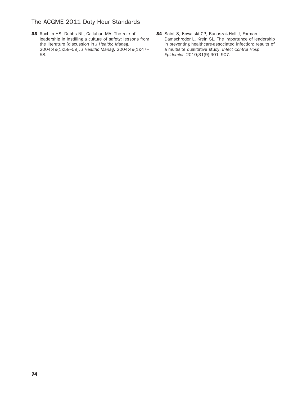- 33 Ruchlin HS, Dubbs NL, Callahan MA. The role of leadership in instilling a culture of safety: lessons from the literature [discussion in J Healthc Manag. 2004;49(1):58–59]. J Healthc Manag. 2004;49(1):47– 58.
- 34 Saint S, Kowalski CP, Banaszak-Holl J, Forman J, Damschroder L, Krein SL. The importance of leadership in preventing healthcare-associated infection: results of a multisite qualitative study. Infect Control Hosp Epidemiol. 2010;31(9):901–907.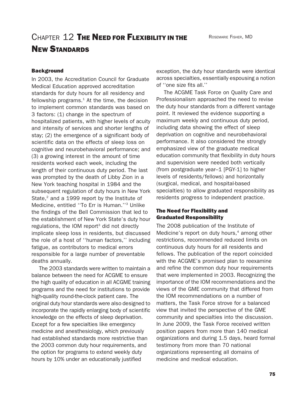# CHAPTER 12 THE NEED FOR FLEXIBILITY IN THE NEW STANDARDS

#### **Background**

In 2003, the Accreditation Council for Graduate Medical Education approved accreditation standards for duty hours for all residency and fellowship programs. $1$  At the time, the decision to implement common standards was based on 3 factors: (1) change in the spectrum of hospitalized patients, with higher levels of acuity and intensity of services and shorter lengths of stay; (2) the emergence of a significant body of scientific data on the effects of sleep loss on cognitive and neurobehavioral performance; and (3) a growing interest in the amount of time residents worked each week, including the length of their continuous duty period. The last was prompted by the death of Libby Zion in a New York teaching hospital in 1984 and the subsequent regulation of duty hours in New York State, $2$  and a 1999 report by the Institute of Medicine, entitled ''To Err is Human.''3 Unlike the findings of the Bell Commission that led to the establishment of New York State's duty hour regulations, the IOM report<sup>3</sup> did not directly implicate sleep loss in residents, but discussed the role of a host of ''human factors,'' including fatigue, as contributors to medical errors responsible for a large number of preventable deaths annually.

The 2003 standards were written to maintain a balance between the need for ACGME to ensure the high quality of education in all ACGME training programs and the need for institutions to provide high-quality round-the-clock patient care. The original duty hour standards were also designed to incorporate the rapidly enlarging body of scientific knowledge on the effects of sleep deprivation. Except for a few specialties like emergency medicine and anesthesiology, which previously had established standards more restrictive than the 2003 common duty hour requirements, and the option for programs to extend weekly duty hours by 10% under an educationally justified

exception, the duty hour standards were identical across specialties, essentially espousing a notion of ''one size fits all.''

The ACGME Task Force on Quality Care and Professionalism approached the need to revise the duty hour standards from a different vantage point. It reviewed the evidence supporting a maximum weekly and continuous duty period, including data showing the effect of sleep deprivation on cognitive and neurobehavioral performance. It also considered the strongly emphasized view of the graduate medical education community that flexibility in duty hours and supervision were needed both vertically (from postgraduate year–1 [PGY-1] to higher levels of residents/fellows) and horizontally (surgical, medical, and hospital-based specialties) to allow graduated responsibility as residents progress to independent practice.

### The Need for Flexibility and Graduated Responsibility

The 2008 publication of the Institute of Medicine's report on duty hours, $4$  among other restrictions, recommended reduced limits on continuous duty hours for all residents and fellows. The publication of the report coincided with the ACGME's promised plan to reexamine and refine the common duty hour requirements that were implemented in 2003. Recognizing the importance of the IOM recommendations and the views of the GME community that differed from the IOM recommendations on a number of matters, the Task Force strove for a balanced view that invited the perspective of the GME community and specialties into the discussion. In June 2009, the Task Force received written position papers from more than 140 medical organizations and during 1.5 days, heard formal testimony from more than 70 national organizations representing all domains of medicine and medical education.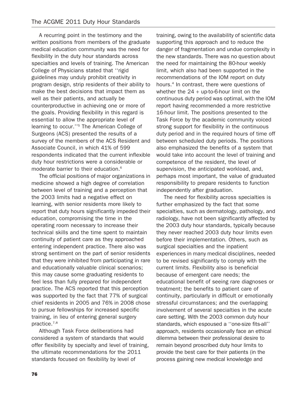A recurring point in the testimony and the written positions from members of the graduate medical education community was the need for flexibility in the duty hour standards across specialties and levels of training. The American College of Physicians stated that ''rigid guidelines may unduly prohibit creativity in program design, strip residents of their ability to make the best decisions that impact them as well as their patients, and actually be counterproductive in achieving one or more of the goals. Providing flexibility in this regard is essential to allow the appropriate level of learning to occur.''5 The American College of Surgeons (ACS) presented the results of a survey of the members of the ACS Resident and Associate Council, in which 41% of 599 respondents indicated that the current inflexible duty hour restrictions were a considerable or moderate barrier to their education.<sup>6</sup>

The official positions of major organizations in medicine showed a high degree of correlation between level of training and a perception that the 2003 limits had a negative effect on learning, with senior residents more likely to report that duty hours significantly impeded their education, compromising the time in the operating room necessary to increase their technical skills and the time spent to maintain continuity of patient care as they approached entering independent practice. There also was strong sentiment on the part of senior residents that they were inhibited from participating in rare and educationally valuable clinical scenarios; this may cause some graduating residents to feel less than fully prepared for independent practice. The ACS reported that this perception was supported by the fact that 77% of surgical chief residents in 2005 and 76% in 2008 chose to pursue fellowships for increased specific training, in lieu of entering general surgery practice.7,8

Although Task Force deliberations had considered a system of standards that would offer flexibility by specialty and level of training, the ultimate recommendations for the 2011 standards focused on flexibility by level of

training, owing to the availability of scientific data supporting this approach and to reduce the danger of fragmentation and undue complexity in the new standards. There was no question about the need for maintaining the 80-hour weekly limit, which also had been supported in the recommendations of the IOM report on duty hours.4 In contrast, there were questions of whether the  $24 + up-to-6$ -hour limit on the continuous duty period was optimal, with the IOM report having recommended a more restrictive 16-hour limit. The positions presented to the Task Force by the academic community voiced strong support for flexibility in the continuous duty period and in the required hours of time off between scheduled duty periods. The positions also emphasized the benefits of a system that would take into account the level of training and competence of the resident, the level of supervision, the anticipated workload, and, perhaps most important, the value of graduated responsibility to prepare residents to function independently after graduation.

The need for flexibility across specialties is further emphasized by the fact that some specialties, such as dermatology, pathology, and radiology, have not been significantly affected by the 2003 duty hour standards, typically because they never reached 2003 duty hour limits even before their implementation. Others, such as surgical specialties and the inpatient experiences in many medical disciplines, needed to be revised significantly to comply with the current limits. Flexibility also is beneficial because of emergent care needs; the educational benefit of seeing rare diagnoses or treatment; the benefits to patient care of continuity, particularly in difficult or emotionally stressful circumstances; and the overlapping involvement of several specialties in the acute care setting. With the 2003 common duty hour standards, which espoused a ''one-size fits-all'' approach, residents occasionally face an ethical dilemma between their professional desire to remain beyond proscribed duty hour limits to provide the best care for their patients (in the process gaining new medical knowledge and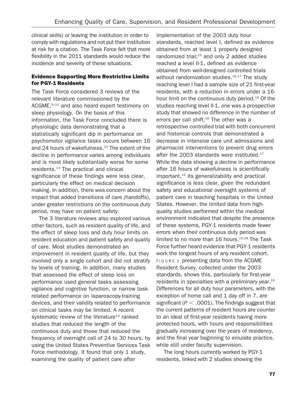clinical skills) or leaving the institution in order to comply with regulations and not put their institution at risk for a citation. The Task Force felt that more flexibility in the 2011 standards would reduce the incidence and severity of these situations.

# Evidence Supporting More Restrictive Limits for PGY-1 Residents

The Task Force considered 3 reviews of the relevant literature commissioned by the ACGME, $9-11$  and also heard expert testimony on sleep physiology. On the basis of this information, the Task Force concluded there is physiologic data demonstrating that a statistically significant dip in performance on psychomotor vigilance tasks occurs between 16 and 24 hours of wakefulness.<sup>12</sup> The extent of the decline in performance varies among individuals and is most likely substantially worse for some residents.13 The practical and clinical significance of these findings were less clear, particularly the effect on medical decision making. In addition, there was concern about the impact that added transitions of care (handoffs), under greater restrictions on the continuous duty period, may have on patient safety.

The 3 literature reviews also explored various other factors, such as resident quality of life, and the effect of sleep loss and duty hour limits on resident education and patient safety and quality of care. Most studies demonstrated an improvement in resident quality of life, but they involved only a single cohort and did not stratify by levels of training. In addition, many studies that assessed the effect of sleep loss on performance used general tasks assessing vigilance and cognitive function, or narrow taskrelated performance on laparoscopy-training devices, and their validity related to performance on clinical tasks may be limited. A recent systematic review of the literature<sup>14</sup> ranked studies that reduced the length of the continuous duty and those that reduced the frequency of overnight call of 24 to 30 hours, by using the United States Preventive Services Task Force methodology. It found that only 1 study, examining the quality of patient care after

implementation of the 2003 duty hour standards, reached level I, defined as evidence obtained from at least 1 properly designed randomized trial; $15$  and only 2 added studies reached a level II-1, defined as evidence obtained from well-designed controlled trials without randomization studies.<sup>16,17</sup> The study reaching level I had a sample size of 21 first-year residents, with a reduction in errors under a 16 hour limit on the continuous duty period.<sup>15</sup> Of the studies reaching level II-1, one was a prospective study that showed no difference in the number of errors per call shift. $16$  The other was a retrospective controlled trial with both concurrent and historical controls that demonstrated a decrease in intensive care unit admissions and pharmacist interventions to prevent drug errors after the 2003 standards were instituted.<sup>17</sup> While the data showing a decline in performance after 16 hours of wakefulness is scientifically  $important<sub>12</sub>$  its generalizability and practical significance is less clear, given the redundant safety and educational oversight systems of patient care in teaching hospitals in the United States. However, the limited data from highquality studies performed within the medical environment indicated that despite the presence of these systems, PGY-1 residents made fewer errors when their continuous duty period was limited to no more than 16 hours.<sup>15,18</sup> The Task Force further heard evidence that PGY-1 residents work the longest hours of any resident cohort. FIGURE 1 presenting data from the ACGME Resident Survey, collected under the 2003 standards, shows this, particularly for first-year residents in specialties with a preliminary year.<sup>19</sup> Differences for all duty hour parameters, with the exception of home call and 1 day off in 7, are significant ( $P < .0001$ ). The findings suggest that the current patterns of resident hours are counter to an ideal of first-year residents having more protected hours, with hours and responsibilities gradually increasing over the years of residency, and the final year beginning to emulate practice, while still under faculty supervision.

The long hours currently worked by PGY-1 residents, linked with 2 studies showing the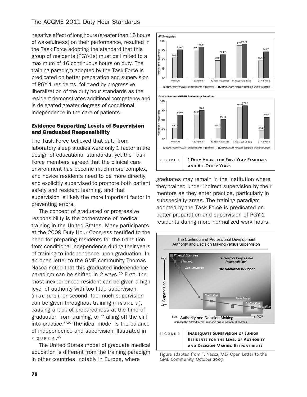negative effect of long hours (greater than 16 hours of wakefulness) on their performance, resulted in the Task Force adopting the standard that this group of residents (PGY-1s) must be limited to a maximum of 16 continuous hours on duty. The training paradigm adopted by the Task Force is predicated on better preparation and supervision of PGY-1 residents, followed by progressive liberalization of the duty hour standards as the resident demonstrates additional competency and is delegated greater degrees of conditional independence in the care of patients.

# Evidence Supporting Levels of Supervision and Graduated Responsibility

The Task Force believed that data from laboratory sleep studies were only 1 factor in the design of educational standards, yet the Task Force members agreed that the clinical care environment has become much more complex, and novice residents need to be more directly and explicitly supervised to promote both patient safety and resident learning, and that supervision is likely the more important factor in preventing errors.

The concept of graduated or progressive responsibility is the cornerstone of medical training in the United States. Many participants at the 2009 Duty Hour Congress testified to the need for preparing residents for the transition from conditional independence during their years of training to independence upon graduation. In an open letter to the GME community Thomas Nasca noted that this graduated independence paradigm can be shifted in 2 ways.<sup>20</sup> First, the most inexperienced resident can be given a high level of authority with too little supervision (FIGURE 2 ), or second, too much supervision can be given throughout training (FIGURE 3), causing a lack of preparedness at the time of graduation from training, or ''falling off the cliff into practice.''20 The ideal model is the balance of independence and supervision illustrated in FIGURE 4. $^{20}$ 

The United States model of graduate medical education is different from the training paradigm in other countries, notably in Europe, where





□ 1st yr Always / Usually compliant with requirement <br>■ 2nd+yr Always / Usually compliant with requirement

graduates may remain in the institution where they trained under indirect supervision by their mentors as they enter practice, particularly in subspecialty areas. The training paradigm adopted by the Task Force is predicated on better preparation and supervision of PGY-1 residents during more normalized work hours,



Figure adapted from T. Nasca, MD, Open Letter to the GME Community, October 2009.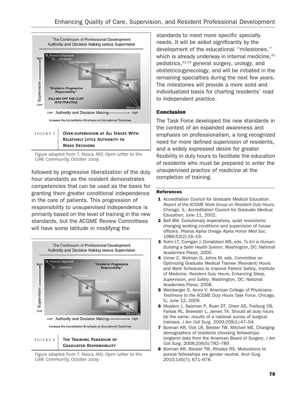

Figure adapted from T. Nasca, MD, Open Letter to the GME Community, October 2009.

followed by progressive liberalization of the duty hour standards as the resident demonstrates competencies that can be used as the basis for granting them greater conditional independence in the care of patients. This progression of responsibility to unsupervised independence is primarily based on the level of training in the new standards, but the ACGME Review Committees will have some latitude in modifying the



Figure adapted from T. Nasca, MD, Open Letter to the GME Community, October 2009.

standards to meet more specific specialty needs. It will be aided significantly by the development of the educational ''milestones,'' which is already underway in internal medicine, $21$ pediatrics,<sup>22,23</sup> general surgery, urology, and obstetrics-gynecology, and will be initiated in the remaining specialties during the next few years. The milestones will provide a more solid and individualized basis for charting residents' road to independent practice.

## Conclusion

The Task Force developed the new standards in the context of an expanded awareness and emphasis on professionalism, a long recognized need for more defined supervision of residents, and a widely expressed desire for greater flexibility in duty hours to facilitate the education of residents who must be prepared to enter the unsupervised practice of medicine at the completion of training.

#### References

- 1 Accreditation Council for Graduate Medical Education. Report of the ACGME Work Group on Resident Duty Hours. Chicago, IL: Accreditation Council for Graduate Medical Education; June 11, 2002.
- 2 Bell BM. Evolutionary imperatives, quiet revolutions: changing working conditions and supervision of house officers. Pharos Alpha Omega Alpha Honor Med Soc. 1989;52(2):16–19.
- 3 Kohn LT, Corrigan J, Donaldson MS, eds. To Err is Human: Building a Safer Health System. Washington, DC: National Academies Press; 2000.
- 4 Ulmer C, Wolman D, Johns M, eds. Committee on Optimizing Graduate Medical Trainee (Resident) Hours and Work Schedules to Improve Patient Safety, Institute of Medicine. Resident Duty Hours: Enhancing Sleep, Supervision, and Safety. Washington, DC: National Academies Press; 2008.
- **5** Weinberger S, Arora V; American College of Physicians. Testimony to the ACGME Duty Hours Task Force. Chicago, IL; June 12, 2009.
- 6 Moalem J, Salzman P, Ruan DT, Cherr GS, Freiburg CB, Farkas RL, Brewster L, James TA. Should all duty hours be the same: results of a national survey of surgical trainees. J Am Coll Surg. 2009;209(1):47–54.
- 7 Borman KR, Vick LR, Biester TW, Mitchell ME. Changing demographics of residents choosing fellowships: longterm data from the American Board of Surgery. J Am Coll Surg. 2008;206(5):782–789.
- 8 Borman KR, Biester TW, Rhodes RS. Motivations to pursue fellowships are gender neutral. Arch Surg. 2010;145(7); 671–678.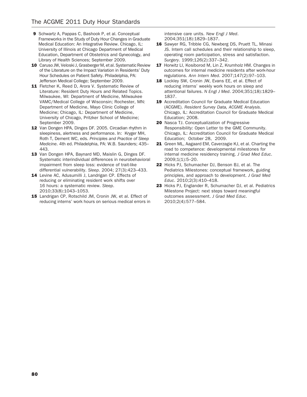- 9 Schwartz A, Pappas C, Bashook P, et al. Conceptual Frameworks in the Study of Duty Hour Changes in Graduate Medical Education: An Integrative Review. Chicago, IL: University of Illinois at Chicago Department of Medical Education, Department of Obstetrics and Gynecology, and Library of Health Sciences; September 2009.
- 10 Caruso JW, Veloski J, Grasberger M, et al. Systematic Review of the Literature on the Impact Variation in Residents' Duty Hour Schedules on Patient Safety. Philadelphia, PA: Jefferson Medical College; September 2009.
- 11 Fletcher K, Reed D, Arora V. Systematic Review of Literature: Resident Duty Hours and Related Topics. Milwaukee, WI: Department of Medicine, Milwaukee VAMC/Medical College of Wisconsin; Rochester, MN: Department of Medicine, Mayo Clinic College of Medicine; Chicago, IL: Department of Medicine, University of Chicago, Pritzker School of Medicine; September 2009.
- 12 Van Dongen HPA, Dinges DF. 2005. Circadian rhythm in sleepiness, alertness and performance. In: Kryger MH, Roth T, Dement WC, eds. Principles and Practice of Sleep Medicine. 4th ed. Philadelphia, PA: W.B. Saunders; 435– 443.
- 13 Van Dongen HPA, Baynard MD, Maislin G, Dinges DF. Systematic interindividual differences in neurobehavioral impairment from sleep loss: evidence of trait-like differential vulnerability. Sleep. 2004; 27(3):423–433.
- 14 Levine AC, Adusumilli J, Landrigan CP. Effects of reducing or eliminating resident work shifts over 16 hours: a systematic review. Sleep. 2010;33(8):1043–1053.
- 15 Landrigan CP, Rotschild JM, Cronin JW, et al. Effect of reducing interns' work hours on serious medical errors in

intensive care units. New Engl J Med. 2004;351(18):1829–1837.

- 16 Sawyer RG, Tribble CG, Newberg DS, Pruett TL, Minasi JS. Intern call schedules and their relationship to sleep, operating room participation, stress and satisfaction. Surgery. 1999;126(2):337–342.
- 17 Horwitz LI, Kosiborod M, Lin Z, Krumholz HM. Changes in outcomes for internal medicine residents after work-hour regulations. Ann Intern Med. 2007;147(2):97–103.
- 18 Lockley SW, Cronin JW, Evans EE, et al. Effect of reducing interns' weekly work hours on sleep and attentional failures. N Engl J Med. 2004;351(18):1829– 1837.
- 19 Accreditation Council for Graduate Medical Education (ACGME). Resident Survey Data, ACGME Analysis. Chicago, IL: Accreditation Council for Graduate Medical Education; 2008.
- 20 Nasca TJ. Conceptualization of Progressive Responsibility: Open Letter to the GME Community. Chicago, IL: Accreditation Council for Graduate Medical Education; October 28, 2009.
- 21 Green ML, Aagaard EM, Caverzagie KJ, et al. Charting the road to competence: developmental milestones for internal medicine residency training. J Grad Med Educ. 2009;1(1):5–20.
- 22 Hicks PJ, Schumacher DJ, Benson BJ, et al. The Pediatrics Milestones: conceptual framework, guiding principles, and approach to development. J Grad Med Educ. 2010;2(3):410–418.
- 23 Hicks PJ, Englander R, Schumacher DJ, et al. Pediatrics Milestone Project: next steps toward meaningful outcomes assessment. J Grad Med Educ. 2010;2(4):577–584.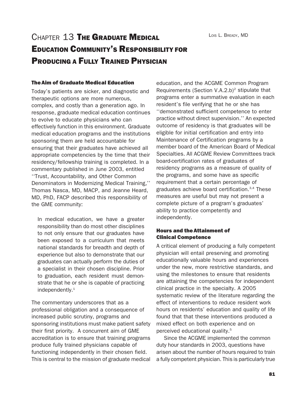LOIS L. BREADY, MD

# CHAPTER 13 THE GRADUATE MEDICAL EDUCATION COMMUNITY'S RESPONSIBILITY FOR PRODUCING A FULLY TRAINED PHYSICIAN

### The Aim of Graduate Medical Education

Today's patients are sicker, and diagnostic and therapeutic options are more numerous, complex, and costly than a generation ago. In response, graduate medical education continues to evolve to educate physicians who can effectively function in this environment. Graduate medical education programs and the institutions sponsoring them are held accountable for ensuring that their graduates have achieved all appropriate competencies by the time that their residency/fellowship training is completed. In a commentary published in June 2003, entitled ''Trust, Accountability, and Other Common Denominators in Modernizing Medical Training,'' Thomas Nasca, MD, MACP, and Jeanne Heard, MD, PhD, FACP described this responsibility of the GME community:

In medical education, we have a greater responsibility than do most other disciplines to not only ensure that our graduates have been exposed to a curriculum that meets national standards for breadth and depth of experience but also to demonstrate that our graduates can actually perform the duties of a specialist in their chosen discipline. Prior to graduation, each resident must demonstrate that he or she is capable of practicing independently.<sup>1</sup>

The commentary underscores that as a professional obligation and a consequence of increased public scrutiny, programs and sponsoring institutions must make patient safety their first priority. A concurrent aim of GME accreditation is to ensure that training programs produce fully trained physicians capable of functioning independently in their chosen field. This is central to the mission of graduate medical

education, and the ACGME Common Program Requirements (Section  $V.A.2.b)^2$  stipulate that programs enter a summative evaluation in each resident's file verifying that he or she has ''demonstrated sufficient competence to enter practice without direct supervision.'' An expected outcome of residency is that graduates will be eligible for initial certification and entry into Maintenance of Certification programs by a member board of the American Board of Medical Specialties. All ACGME Review Committees track board-certification rates of graduates of residency programs as a measure of quality of the programs, and some have as specific requirement that a certain percentage of graduates achieve board certification.3,4 These measures are useful but may not present a complete picture of a program's graduates' ability to practice competently and independently.

## Hours and the Attainment of Clinical Competence

A critical element of producing a fully competent physician will entail preserving and promoting educationally valuable hours and experiences under the new, more restrictive standards, and using the milestones to ensure that residents are attaining the competencies for independent clinical practice in the specialty. A 2005 systematic review of the literature regarding the effect of interventions to reduce resident work hours on residents' education and quality of life found that that these interventions produced a mixed effect on both experience and on perceived educational quality.5

Since the ACGME implemented the common duty hour standards in 2003, questions have arisen about the number of hours required to train a fully competent physician. This is particularly true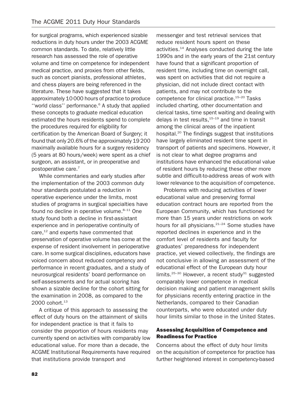for surgical programs, which experienced sizable reductions in duty hours under the 2003 ACGME common standards. To date, relatively little research has assessed the role of operative volume and time on competence for independent medical practice, and proxies from other fields, such as concert pianists, professional athletes, and chess players are being referenced in the literature. These have suggested that it takes approximately 10 000 hours of practice to produce "world class" performance.<sup>6</sup> A study that applied these concepts to graduate medical education estimated the hours residents spend to complete the procedures required for eligibility for certification by the American Board of Surgery; it found that only 20.6% of the approximately 19 200 maximally available hours for a surgery residency (5 years at 80 hours/week) were spent as a chief surgeon, an assistant, or in preoperative and postoperative care.<sup>7</sup>

While commentaries and early studies after the implementation of the 2003 common duty hour standards postulated a reduction in operative experience under the limits, most studies of programs in surgical specialties have found no decline in operative volume. $8-11$  One study found both a decline in first-assistant experience and in perioperative continuity of care,<sup>12</sup> and experts have commented that preservation of operative volume has come at the expense of resident involvement in perioperative care. In some surgical disciplines, educators have voiced concern about reduced competency and performance in recent graduates, and a study of neurosurgical residents' board performance on self-assessments and for actual scoring has shown a sizable decline for the cohort sitting for the examination in 2008, as compared to the 2000 cohort.<sup>13</sup>

A critique of this approach to assessing the effect of duty hours on the attainment of skills for independent practice is that it fails to consider the proportion of hours residents may currently spend on activities with comparably low educational value. For more than a decade, the ACGME Institutional Requirements have required that institutions provide transport and

messenger and test retrieval services that reduce resident hours spent on these activities.14 Analyses conducted during the late 1990s and in the early years of the 21st century have found that a significant proportion of resident time, including time on overnight call, was spent on activities that did not require a physician, did not include direct contact with patients, and may not contribute to the competence for clinical practice.<sup>15-20</sup> Tasks included charting, other documentation and clerical tasks, time spent waiting and dealing with delays in test results, $15-19$  and time in transit among the clinical areas of the inpatient hospital.20 The findings suggest that institutions have largely eliminated resident time spent in transport of patients and specimens. However, it is not clear to what degree programs and institutions have enhanced the educational value of resident hours by reducing these other more subtle and difficult-to-address areas of work with lower relevance to the acquisition of competence.

Problems with reducing activities of lower educational value and preserving formal education contract hours are reported from the European Community, which has functioned for more than 15 years under restrictions on work hours for all physicians.<sup>21-24</sup> Some studies have reported declines in experience and in the comfort level of residents and faculty for graduates' preparedness for independent practice, yet viewed collectively, the findings are not conclusive in allowing an assessment of the educational effect of the European duty hour limits.<sup>25-30</sup> However, a recent study<sup>31</sup> suggested comparably lower competence in medical decision making and patient management skills for physicians recently entering practice in the Netherlands, compared to their Canadian counterparts, who were educated under duty hour limits similar to those in the United States.

### Assessing Acquisition of Competence and Readiness for Practice

Concerns about the effect of duty hour limits on the acquisition of competence for practice has further heightened interest in competency-based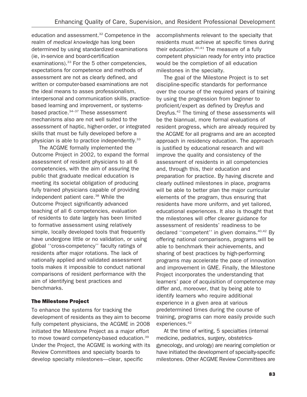education and assessment.32 Competence in the realm of medical knowledge has long been determined by using standardized examinations (ie, in-service and board-certification examinations). $33$  For the 5 other competencies, expectations for competence and methods of assessment are not as clearly defined, and written or computer-based examinations are not the ideal means to asses professionalism, interpersonal and communication skills, practicebased learning and improvement, or systemsbased practice.<sup>34-37</sup> These assessment mechanisms also are not well suited to the assessment of haptic, higher-order, or integrated skills that must be fully developed before a physician is able to practice independently.<sup>33</sup>

The ACGME formally implemented the Outcome Project in 2002, to expand the formal assessment of resident physicians to all 6 competencies, with the aim of assuring the public that graduate medical education is meeting its societal obligation of producing fully trained physicians capable of providing independent patient care.<sup>38</sup> While the Outcome Project significantly advanced teaching of all 6 competencies, evaluation of residents to date largely has been limited to formative assessment using relatively simple, locally developed tools that frequently have undergone little or no validation, or using global ''cross-competency'' faculty ratings of residents after major rotations. The lack of nationally applied and validated assessment tools makes it impossible to conduct national comparisons of resident performance with the aim of identifying best practices and benchmarks.

## The Milestone Project

To enhance the systems for tracking the development of residents as they aim to become fully competent physicians, the ACGME in 2008 initiated the Milestone Project as a major effort to move toward competency-based education.<sup>39</sup> Under the Project, the ACGME is working with its Review Committees and specialty boards to develop specialty milestones—clear, specific

accomplishments relevant to the specialty that residents must achieve at specific times during their education.<sup>40,41</sup> The measure of a fully competent physician ready for entry into practice would be the completion of all education milestones in the specialty.

The goal of the Milestone Project is to set discipline-specific standards for performance over the course of the required years of training by using the progression from beginner to proficient/expert as defined by Dreyfus and Dreyfus.42 The timing of these assessments will be the biannual, more formal evaluations of resident progress, which are already required by the ACGME for all programs and are an accepted approach in residency education. The approach is justified by educational research and will improve the quality and consistency of the assessment of residents in all competencies and, through this, their education and preparation for practice. By having discrete and clearly outlined milestones in place, programs will be able to better plan the major curricular elements of the program, thus ensuring that residents have more uniform, and yet tailored, educational experiences. It also is thought that the milestones will offer clearer guidance for assessment of residents' readiness to be declared ''competent'' in given domains.40,42 By offering national comparisons, programs will be able to benchmark their achievements, and sharing of best practices by high-performing programs may accelerate the pace of innovation and improvement in GME. Finally, the Milestone Project incorporates the understanding that learners' pace of acquisition of competence may differ and, moreover, that by being able to identify learners who require additional experience in a given area at various predetermined times during the course of training, programs can more easily provide such experiences.<sup>42</sup>

At the time of writing, 5 specialties (internal medicine, pediatrics, surgery, obstetricsgynecology, and urology) are nearing completion or have initiated the development of specialty-specific milestones. Other ACGME Review Committees are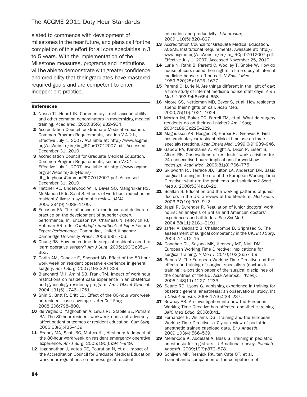slated to commence with development of milestones in the near future, and plans call for the completion of this effort for all core specialties in 3 to 5 years. With the implementation of the Milestone measures, programs and institutions will be able to demonstrate with greater confidence and credibility that their graduates have mastered required goals and are competent to enter independent practice.

#### References

- 1 Nasca TJ, Heard JK. Commentary: trust, accountability, and other common denominators in modernizing medical training. Acad Med. 2010;85(6):932–934.
- 2 Accreditation Council for Graduate Medical Education. Common Program Requirements, section V.A.2.b, Effective July 1, 2007. Available at: http://www.acgme. org/acWebsite/irc/irc\_IRCpr07012007.pdf. Accessed December 31, 2010.
- 3 Accreditation Council for Graduate Medical Education. Common Program Requirements, section V.C.1.c. Effective July 1, 2007. Available at: http://www.acgme. org/acWebsite/dutyHours/ dh\_dutyhoursCommonPR07012007.pdf. Accessed December 31, 2010.
- 4 Fletcher KE, Underwood W III, Davis SQ, Mangrulkar RS, McMahon LF Jr, Saint S. Effects of work hour reduction on residents' lives: a systematic review. JAMA. 2005;294(9):1088–1100.
- **5** Ericsson KA. The influence of experience and deliberate practice on the development of superior expert performance. In Ericsson KA, Charness N, Feltovich PJ, Hoffman RR, eds. Cambridge Handbook of Expertise and Expert Performance. Cambridge, United Kingdom: Cambridge University Press; 2006:685–706.
- 6 Chung RS. How much time do surgical residents need to learn operative surgery? Am J Surg. 2005;190(3):351– 353.
- 7 Carlin AM, Gasevic E, Shepard AD. Effect of the 80-hour work week on resident operative experience in general surgery. Am J Surg. 2007;193:326–329.
- 8 Blanchard MH, Amini SB, Frank TM, Impact of work hour restrictions on resident case experience in an obstetrics and gynecology residency program. Am J Obstet Gynecol. 2004;191(5):1746–1751.
- 9 Shin S, Britt R, Britt LD. Effect of the 80-hour work week on resident case coverage. J Am Coll Surg. 2008;206:798–800.
- 10 de Virgilio C, Yaghoubian A, Lewis RJ, Stabile BE, Putnam BA. The 80-hour resident workweek does not adversely affect patient outcomes or resident education. Curr Surg. 2006;63(6):435–439.
- 11 Feanny MA, Scott BG, Mattox KL, Hirshberg A. Impact of the 80-hour work week on resident emergency operative experience. Am J Surg. 2005;190(6):947–949.
- 12 Jagannathan J, Vates GE, Pouratian N, et al. Impact of the Accreditation Council for Graduate Medical Education work-hour regulations on neurosurgical resident

education and productivity. J Neurosurg. 2009;110(5):820–827.

- 13 Accreditation Council for Graduate Medical Education. ACGME Institutional Requirements. Available at: http:// www.acgme.org/acWebsite/irc/irc\_IRCpr07012007.pdf. Effective July 1, 2007. Accessed November 25, 2010.
- 14 Lurie N, Rank B, Parenti C, Woolley T, Snoke W. How do house officers spend their nights: a time study of internal medicine house staff on call. N Engl J Med. 1989;320(25):1673–1677.
- 15 Parenti C, Lurie N. Are things different in the light of day: a time study of internal medicine house staff days. Am J Med. 1993;94(6):654–658.
- 16 Moore SS, Nettleman MD, Beyer S, et al. How residents spend their nights on call. Acad Med. 2000;75(10):1021–1024.
- 17 Morton JM, Baker CC, Farrell TM, et al. What do surgery residents do on their call nights? Am J Surg. 2004;188(3):225–229.
- 18 Magnusson AR, Hedges JR, Harper RJ, Greaves P. Firstpostgraduate-year resident clinical time use on three specialty rotations. Acad Emerg Med. 1999;6(9):939–946.
- 19 Gabow PA, Karkhanis A, Knight A, Dixon P, Eisert S, Albert RK. Observations of residents' work activities for 24 consecutive hours: implications for workflow redesign. Acad Med. 2006;81(8):766–775.
- 20 Skipworth RJ, Terrace JD, Fulton LA, Anderson DN. Basic surgical training in the era of the European Working Time Directive: what are the problems and solutions? Scott Med J. 2008;53(4):18–21.
- 21 Scallan S. Education and the working patterns of junior doctors in the UK: a review of the literature. Med Educ. 2003;37(10):907–912.
- 22 Jagsi R, Surender R. Regulation of junior doctors' work hours: an analysis of British and American doctors' experiences and attitudes. Soc Sci Med. 2004;58(11):2181–2191.
- 23 Jaffer A, Bednarz B, Challacombe B, Sriprasad S. The assessment of surgical competency in the UK. Int J Surg. 2009;7(1):12–15.
- 24 Donohoe CL, Sayana MK, Kennedy MT, Niall DM. European Working Time Directive: implications for surgical training. Ir Med J. 2010;103(2):57–59.
- 25 Benes V. The European Working Time Directive and the effects on training of surgical specialists (doctors in training): a position paper of the surgical disciplines of the countries of the EU. Acta Neurochir (Wien). 2006;148(11):1227–1233.
- 26 Searle RD, Lyons G. Vanishing experience in training for obstetric general anesthesia: an observational study. Int J Obstet Anesth. 2008;17(3):233–237.
- 27 Bowhay AR. An investigation into how the European Working Time Directive has affected anesthetic training. BMC Med Educ. 2008;8:41.
- 28 Fernandez E, Williams DG. Training and the European Working Time Directive: a 7 year review of pediatric anesthetic trainee caseload data. Br J Anaesth. 2009;103(4):566–569.
- 29 Melarkode K, Abdelaal A, Bass S. Training in pediatric anesthesia for registrars—UK national survey. Paediatr Anaesth. 2009;19(9):872–878.
- 30 Schijven MP, Reznick RK, ten Cate OT, et al. Transatlantic comparison of the competence of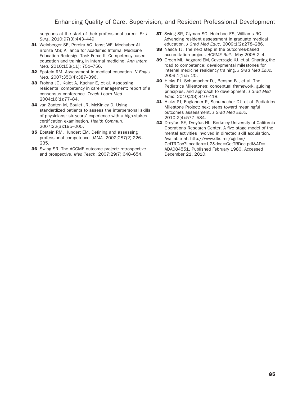surgeons at the start of their professional career. Br J Surg. 2010;97(3):443–449.

- 31 Weinberger SE, Pereira AG, Iobst WF, Mechaber AJ, Bronze MS; Alliance for Academic Internal Medicine Education Redesign Task Force II. Competency-based education and training in internal medicine. Ann Intern Med. 2010;153(11): 751–756.
- 32 Epstein RM. Assessment in medical education. N Engl J Med. 2007;356(4):387–396.
- 33 Frohna JG, Kalet A, Kachur E, et al. Assessing residents' competency in care management: report of a consensus conference. Teach Learn Med. 2004;16(1):77–84.
- 34 van Zanten M, Boulet JR, McKinley D. Using standardized patients to assess the interpersonal skills of physicians: six years' experience with a high-stakes certification examination. Health Commun. 2007;22(3):195–205.
- 35 Epstein RM, Hundert EM. Defining and assessing professional competence. JAMA. 2002;287(2):226– 235.
- 36 Swing SR. The ACGME outcome project: retrospective and prospective. Med Teach. 2007;29(7):648–654.
- 37 Swing SR, Clyman SG, Holmboe ES, Williams RG. Advancing resident assessment in graduate medical education. J Grad Med Educ. 2009;1(2):278–286.
- 38 Nasca TJ. The next step in the outcomes-based accreditation project. ACGME Bull. May 2008:2–4.
- 39 Green ML, Aagaard EM, Caverzagie KJ, et al. Charting the road to competence: developmental milestones for internal medicine residency training. J Grad Med Educ. 2009;1(1):5–20.
- 40 Hicks PJ, Schumacher DJ, Benson BJ, et al. The Pediatrics Milestones: conceptual framework, guiding principles, and approach to development. J Grad Med Educ. 2010;2(3):410–418.
- 41 Hicks PJ, Englander R, Schumacher DJ, et al. Pediatrics Milestone Project: next steps toward meaningful outcomes assessment. J Grad Med Educ. 2010;2(4):577–584.
- 42 Dreyfus SE, Dreyfus HL; Berkeley University of California Operations Research Center. A five stage model of the mental activities involved in directed skill acquisition. Available at: http://www.dtic.mil/cgi-bin/ GetTRDoc?Location=U2&doc=GetTRDoc.pdf&AD= ADA084551. Published February 1980. Accessed December 21, 2010.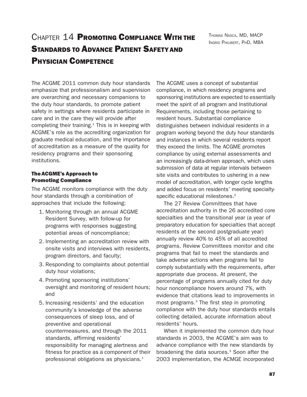# CHAPTER 14 PROMOTING COMPLIANCE WITH THE STANDARDS TO ADVANCE PATIENT SAFETY AND PHYSICIAN COMPETENCE

THOMAS NASCA, MD, MACP INGRID PHILIBERT, PHD, MBA

The ACGME 2011 common duty hour standards emphasize that professionalism and supervision are overarching and necessary companions to the duty hour standards, to promote patient safety in settings where residents participate in care and in the care they will provide after completing their training.<sup>1</sup> This is in keeping with ACGME's role as the accrediting organization for graduate medical education, and the importance of accreditation as a measure of the quality for residency programs and their sponsoring institutions.

# The ACGME's Approach to Promoting Compliance

The ACGME monitors compliance with the duty hour standards through a combination of approaches that include the following:

- 1. Monitoring through an annual ACGME Resident Survey, with follow-up for programs with responses suggesting potential areas of noncompliance;
- 2. Implementing an accreditation review with onsite visits and interviews with residents, program directors, and faculty;
- 3. Responding to complaints about potential duty hour violations;
- 4. Promoting sponsoring institutions' oversight and monitoring of resident hours; and
- 5. Increasing residents' and the education community's knowledge of the adverse consequences of sleep loss, and of preventive and operational countermeasures, and through the 2011 standards, affirming residents' responsibility for managing alertness and fitness for practice as a component of their professional obligations as physicians. $1$

The ACGME uses a concept of substantial compliance, in which residency programs and sponsoring institutions are expected to essentially meet the spirit of all program and Institutional Requirements, including those pertaining to resident hours. Substantial compliance distinguishes between individual residents in a program working beyond the duty hour standards and instances in which several residents report they exceed the limits. The ACGME promotes compliance by using external assessments and an increasingly data-driven approach, which uses submission of data at regular intervals between site visits and contributes to ushering in a new model of accreditation, with longer cycle lengths and added focus on residents' meeting specialtyspecific educational milestones.<sup>2</sup>

The 27 Review Committees that have accreditation authority in the 26 accredited core specialties and the transitional year (a year of preparatory education for specialties that accept residents at the second postgraduate year) annually review 40% to 45% of all accredited programs. Review Committees monitor and cite programs that fail to meet the standards and take adverse actions when programs fail to comply substantially with the requirements, after appropriate due process. At present, the percentage of programs annually cited for duty hour noncompliance hovers around 7%, with evidence that citations lead to improvements in most programs.<sup>3</sup> The first step in promoting compliance with the duty hour standards entails collecting detailed, accurate information about residents' hours.

When it implemented the common duty hour standards in 2003, the ACGME's aim was to advance compliance with the new standards by broadening the data sources.<sup>3</sup> Soon after the 2003 implementation, the ACMGE incorporated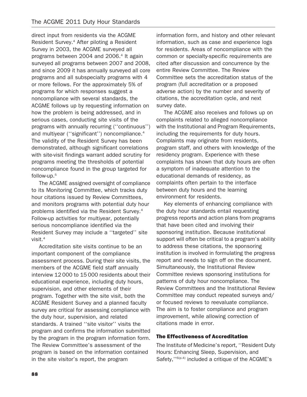direct input from residents via the ACGME Resident Survey.<sup>4</sup> After piloting a Resident Survey in 2003, the ACGME surveyed all programs between 2004 and 2006.<sup>4</sup> It again surveyed all programs between 2007 and 2008, and since 2009 it has annually surveyed all core programs and all subspecialty programs with 4 or more fellows. For the approximately 5% of programs for which responses suggest a noncompliance with several standards, the ACGME follows up by requesting information on how the problem is being addressed, and in serious cases, conducting site visits of the programs with annually recurring (''continuous'') and multiyear ("significant") noncompliance.<sup>4</sup> The validity of the Resident Survey has been demonstrated, although significant correlations with site-visit findings warrant added scrutiny for programs meeting the thresholds of potential noncompliance found in the group targeted for follow-up.5

The ACGME assigned oversight of compliance to its Monitoring Committee, which tracks duty hour citations issued by Review Committees, and monitors programs with potential duty hour problems identified via the Resident Survey.4 Follow-up activities for multiyear, potentially serious noncompliance identified via the Resident Survey may include a ''targeted'' site visit.4

Accreditation site visits continue to be an important component of the compliance assessment process. During their site visits, the members of the ACGME field staff annually interview 12 000 to 15 000 residents about their educational experience, including duty hours, supervision, and other elements of their program. Together with the site visit, both the ACGME Resident Survey and a planned faculty survey are critical for assessing compliance with the duty hour, supervision, and related standards. A trained ''site visitor'' visits the program and confirms the information submitted by the program in the program information form. The Review Committee's assessment of the program is based on the information contained in the site visitor's report, the program

information form, and history and other relevant information, such as case and experience logs for residents. Areas of noncompliance with the common or specialty-specific requirements are cited after discussion and concurrence by the entire Review Committee. The Review Committee sets the accreditation status of the program (full accreditation or a proposed adverse action) by the number and severity of citations, the accreditation cycle, and next survey date.

The ACGME also receives and follows up on complaints related to alleged noncompliance with the Institutional and Program Requirements, including the requirements for duty hours. Complaints may originate from residents, program staff, and others with knowledge of the residency program. Experience with these complaints has shown that duty hours are often a symptom of inadequate attention to the educational demands of residency, as complaints often pertain to the interface between duty hours and the learning environment for residents.

Key elements of enhancing compliance with the duty hour standards entail requesting progress reports and action plans from programs that have been cited and involving their sponsoring institution. Because institutional support will often be critical to a program's ability to address these citations, the sponsoring institution is involved in formulating the progress report and needs to sign off on the document. Simultaneously, the Institutional Review Committee reviews sponsoring institutions for patterns of duty hour noncompliance. The Review Committees and the Institutional Review Committee may conduct repeated surveys and/ or focused reviews to reevaluate compliance. The aim is to foster compliance and program improvement, while allowing correction of citations made in error.

## The Effectiveness of Accreditation

The Institute of Medicine's report, ''Resident Duty Hours: Enhancing Sleep, Supervision, and Safety,"<sup>6(p.4)</sup> included a critique of the ACGME's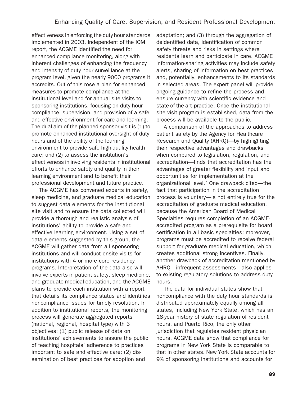effectiveness in enforcing the duty hour standards implemented in 2003. Independent of the IOM report, the ACGME identified the need for enhanced compliance monitoring, along with inherent challenges of enhancing the frequency and intensity of duty hour surveillance at the program level, given the nearly 9000 programs it accredits. Out of this rose a plan for enhanced measures to promote compliance at the institutional level and for annual site visits to sponsoring institutions, focusing on duty hour compliance, supervision, and provision of a safe and effective environment for care and learning. The dual aim of the planned sponsor visit is  $(1)$  to promote enhanced institutional oversight of duty hours and of the ability of the learning environment to provide safe high-quality health care; and (2) to assess the institution's effectiveness in involving residents in institutional efforts to enhance safety and quality in their learning environment and to benefit their professional development and future practice.

The ACGME has convened experts in safety, sleep medicine, and graduate medical education to suggest data elements for the institutional site visit and to ensure the data collected will provide a thorough and realistic analysis of institutions' ability to provide a safe and effective learning environment. Using a set of data elements suggested by this group, the ACGME will gather data from all sponsoring institutions and will conduct onsite visits for institutions with 4 or more core residency programs. Interpretation of the data also will involve experts in patient safety, sleep medicine, and graduate medical education, and the ACGME plans to provide each institution with a report that details its compliance status and identifies noncompliance issues for timely resolution. In addition to institutional reports, the monitoring process will generate aggregated reports (national, regional, hospital type) with 3 objectives: (1) public release of data on institutions' achievements to assure the public of teaching hospitals' adherence to practices important to safe and effective care; (2) dissemination of best practices for adoption and

adaptation; and (3) through the aggregation of deidentified data, identification of common safety threats and risks in settings where residents learn and participate in care. ACGME information-sharing activities may include safety alerts, sharing of information on best practices and, potentially, enhancements to its standards in selected areas. The expert panel will provide ongoing guidance to refine the process and ensure currency with scientific evidence and state-of-the-art practice. Once the institutional site visit program is established, data from the process will be available to the public.

A comparison of the approaches to address patient safety by the Agency for Healthcare Research and Quality (AHRQ)—by highlighting their respective advantages and drawbacks when compared to legislation, regulation, and accreditation—finds that accreditation has the advantages of greater flexibility and input and opportunities for implementation at the organizational level.7 One drawback cited—the fact that participation in the accreditation process is voluntary—is not entirely true for the accreditation of graduate medical education, because the American Board of Medical Specialties requires completion of an ACGMEaccredited program as a prerequisite for board certification in all basic specialties; moreover, programs must be accredited to receive federal support for graduate medical education, which creates additional strong incentives. Finally, another drawback of accreditation mentioned by AHRQ—infrequent assessments—also applies to existing regulatory solutions to address duty hours.

The data for individual states show that noncompliance with the duty hour standards is distributed approximately equally among all states, including New York State, which has an 18-year history of state regulation of resident hours, and Puerto Rico, the only other jurisdiction that regulates resident physician hours. ACGME data show that compliance for programs in New York State is comparable to that in other states. New York State accounts for 9% of sponsoring institutions and accounts for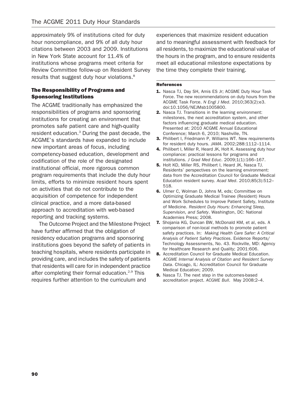approximately 9% of institutions cited for duty hour noncompliance, and 9% of all duty hour citations between 2003 and 2009. Institutions in New York State account for 11.4% of institutions whose programs meet criteria for Review Committee follow-up on Resident Survey results that suggest duty hour violations.<sup>8</sup>

## The Responsibility of Programs and Sponsoring Institutions

The ACGME traditionally has emphasized the responsibilities of programs and sponsoring institutions for creating an environment that promotes safe patient care and high-quality resident education.3 During the past decade, the ACGME's standards have expanded to include new important areas of focus, including competency-based education, development and codification of the role of the designated institutional official, more rigorous common program requirements that include the duty hour limits, efforts to minimize resident hours spent on activities that do not contribute to the acquisition of competence for independent clinical practice, and a more data-based approach to accreditation with web-based reporting and tracking systems.

The Outcome Project and the Milestone Project have further affirmed that the obligation of residency education programs and sponsoring institutions goes beyond the safety of patients in teaching hospitals, where residents participate in providing care, and includes the safety of patients that residents will care for in independent practice after completing their formal education.<sup>2,9</sup> This requires further attention to the curriculum and

experiences that maximize resident education and to meaningful assessment with feedback for all residents, to maximize the educational value of the hours in the program, and to ensure residents meet all educational milestone expectations by the time they complete their training.

#### References

- 1. Nasca TJ, Day SH, Amis ES Jr; ACGME Duty Hour Task Force. The new recommendations on duty hours from the ACGME Task Force. N Engl J Med. 2010;363(2):e3. doi:10.1056/NEJMsb1005800.
- 2. Nasca TJ. Transitions in the learning environment: milestones, the next accreditation system, and other factors influencing graduate medical education. Presented at: 2010 ACGME Annual Educational Conference; March 6, 2010; Nashville, TN.
- **3.** Philibert I, Friedmann P, Williams WT. New requirements for resident duty hours. JAMA. 2002;288:1112–1114.
- 4. Philibert I, Miller R, Heard JK, Holt K. Assessing duty hour compliance: practical lessons for programs and institutions. J Grad Med Educ. 2009;1(1):166–167.
- 5. Holt KD, Miller RS, Philibert I, Heard JK, Nasca TJ. Residents' perspectives on the learning environment: data from the Accreditation Council for Graduate Medical Education resident survey. Acad Med. 2010;85(3):512– 518.
- 6. Ulmer C, Wolman D, Johns M, eds; Committee on Optimizing Graduate Medical Trainee (Resident) Hours and Work Schedules to lmprove Patient Safety, Institute of Medicine. Resident Duty Hours: Enhancing Sleep, Supervision, and Safety. Washington, DC: National Academies Press; 2008.
- 7. Shojania KG, Duncan BW, McDonald KM, et al, eds. A comparison of non-local methods to promote patient safety practices. In: Making Health Care Safer: A Critical Analysis of Patient Safety Practices. Evidence Reports/ Technology Assessments, No. 43. Rockville, MD: Agency for Healthcare Research and Quality; 2001:606.
- 8. Accreditation Council for Graduate Medical Education. ACGME Internal Analysis of Citation and Resident Survey Data. Chicago, IL: Accreditation Council for Graduate Medical Education; 2009.
- 9. Nasca TJ. The next step in the outcomes-based accreditation project. ACGME Bull. May 2008:2–4.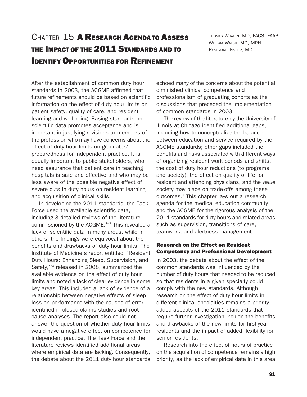# CHAPTER 15 A RESEARCH AGENDA TO ASSESS THE IMPACT OF THE 2011 STANDARDS AND TO IDENTIFY OPPORTUNITIES FOR REFINEMENT

THOMAS WHALEN, MD, FACS, FAAP WILLIAM WALSH, MD, MPH ROSEMARIE FISHER, MD

After the establishment of common duty hour standards in 2003, the ACGME affirmed that future refinements should be based on scientific information on the effect of duty hour limits on patient safety, quality of care, and resident learning and well-being. Basing standards on scientific data promotes acceptance and is important in justifying revisions to members of the profession who may have concerns about the effect of duty hour limits on graduates' preparedness for independent practice. It is equally important to public stakeholders, who need assurance that patient care in teaching hospitals is safe and effective and who may be less aware of the possible negative effect of severe cuts in duty hours on resident learning and acquisition of clinical skills.

In developing the 2011 standards, the Task Force used the available scientific data, including 3 detailed reviews of the literature commissioned by the ACGME.<sup>1-3</sup> This revealed a lack of scientific data in many areas, while in others, the findings were equivocal about the benefits and drawbacks of duty hour limits. The Institute of Medicine's report entitled ''Resident Duty Hours: Enhancing Sleep, Supervision, and Safety,''4 released in 2008, summarized the available evidence on the effect of duty hour limits and noted a lack of clear evidence in some key areas. This included a lack of evidence of a relationship between negative effects of sleep loss on performance with the causes of error identified in closed claims studies and root cause analyses. The report also could not answer the question of whether duty hour limits would have a negative effect on competence for independent practice. The Task Force and the literature reviews identified additional areas where empirical data are lacking. Consequently, the debate about the 2011 duty hour standards

echoed many of the concerns about the potential diminished clinical competence and professionalism of graduating cohorts as the discussions that preceded the implementation of common standards in 2003.

The review of the literature by the University of Illinois at Chicago identified additional gaps, including how to conceptualize the balance between education and service required by the ACGME standards; other gaps included the benefits and risks associated with different ways of organizing resident work periods and shifts, the cost of duty hour reductions (to programs and society), the effect on quality of life for resident and attending physicians, and the value society may place on trade-offs among these outcomes.<sup>1</sup> This chapter lays out a research agenda for the medical education community and the ACGME for the rigorous analysis of the 2011 standards for duty hours and related areas such as supervision, transitions of care, teamwork, and alertness management.

#### Research on the Effect on Resident Competency and Professional Development

In 2003, the debate about the effect of the common standards was influenced by the number of duty hours that needed to be reduced so that residents in a given specialty could comply with the new standards. Although research on the effect of duty hour limits in different clinical specialties remains a priority, added aspects of the 2011 standards that require further investigation include the benefits and drawbacks of the new limits for first-year residents and the impact of added flexibility for senior residents.

Research into the effect of hours of practice on the acquisition of competence remains a high priority, as the lack of empirical data in this area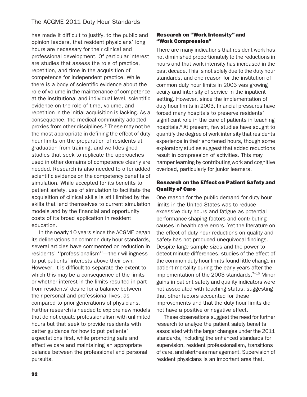has made it difficult to justify, to the public and opinion leaders, that resident physicians' long hours are necessary for their clinical and professional development. Of particular interest are studies that assess the role of practice, repetition, and time in the acquisition of competence for independent practice. While there is a body of scientific evidence about the role of volume in the maintenance of competence at the institutional and individual level, scientific evidence on the role of time, volume, and repetition in the initial acquisition is lacking. As a consequence, the medical community adopted proxies from other disciplines.<sup>5</sup> These may not be the most appropriate in defining the effect of duty hour limits on the preparation of residents at graduation from training, and well-designed studies that seek to replicate the approaches used in other domains of competence clearly are needed. Research is also needed to offer added scientific evidence on the competency benefits of simulation. While accepted for its benefits to patient safety, use of simulation to facilitate the acquisition of clinical skills is still limited by the skills that lend themselves to current simulation models and by the financial and opportunity costs of its broad application in resident education.

In the nearly 10 years since the ACGME began its deliberations on common duty hour standards, several articles have commented on reduction in residents' ''professionalism''—their willingness to put patients' interests above their own. However, it is difficult to separate the extent to which this may be a consequence of the limits or whether interest in the limits resulted in part from residents' desire for a balance between their personal and professional lives, as compared to prior generations of physicians. Further research is needed to explore new models that do not equate professionalism with unlimited hours but that seek to provide residents with better guidance for how to put patients' expectations first, while promoting safe and effective care and maintaining an appropriate balance between the professional and personal pursuits.

## Research on ''Work Intensity'' and ''Work Compression''

There are many indications that resident work has not diminished proportionately to the reductions in hours and that work intensity has increased in the past decade. This is not solely due to the duty hour standards, and one reason for the institution of common duty hour limits in 2003 was growing acuity and intensity of service in the inpatient setting. However, since the implementation of duty hour limits in 2003, financial pressures have forced many hospitals to preserve residents' significant role in the care of patients in teaching hospitals.<sup>6</sup> At present, few studies have sought to quantify the degree of work intensity that residents experience in their shortened hours, though some exploratory studies suggest that added reductions result in compression of activities. This may hamper learning by contributing work and cognitive overload, particularly for junior learners.

# Research on the Effect on Patient Safety and Quality of Care

One reason for the public demand for duty hour limits in the United States was to reduce excessive duty hours and fatigue as potential performance-shaping factors and contributing causes in health care errors. Yet the literature on the effect of duty hour reductions on quality and safety has not produced unequivocal findings. Despite large sample sizes and the power to detect minute differences, studies of the effect of the common duty hour limits found little change in patient mortality during the early years after the implementation of the 2003 standards. $7-10$  Minor gains in patient safety and quality indicators were not associated with teaching status, suggesting that other factors accounted for these improvements and that the duty hour limits did not have a positive or negative effect.

These observations suggest the need for further research to analyze the patient safety benefits associated with the larger changes under the 2011 standards, including the enhanced standards for supervision, resident professionalism, transitions of care, and alertness management. Supervision of resident physicians is an important area that,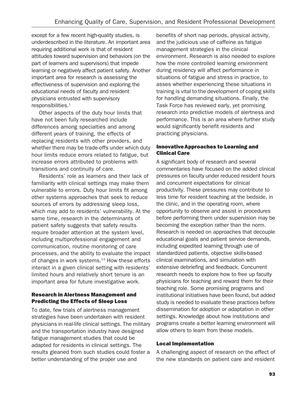except for a few recent high-quality studies, is underdescribed in the literature. An important area requiring additional work is that of resident attitudes toward supervision and behaviors (on the part of learners and supervisors) that impede learning or negatively affect patient safety. Another important area for research is assessing the effectiveness of supervision and exploring the educational needs of faculty and resident physicians entrusted with supervisory responsibilities.<sup>1</sup>

Other aspects of the duty hour limits that have not been fully researched include differences among specialties and among different years of training, the effects of replacing residents with other providers, and whether there may be trade-offs under which duty hour limits reduce errors related to fatigue, but increase errors attributed to problems with transitions and continuity of care.

Residents' role as learners and their lack of familiarity with clinical settings may make them vulnerable to errors. Duty hour limits fit among other systems approaches that seek to reduce sources of errors by addressing sleep loss, which may add to residents' vulnerability. At the same time, research in the determinants of patient safety suggests that safety results require broader attention at the system level, including multiprofessional engagement and communication, routine monitoring of care processes, and the ability to evaluate the impact of changes in work systems. $11$  How these efforts interact in a given clinical setting with residents' limited hours and relatively short tenure is an important area for future investigative work.

## Research in Alertness Management and Predicting the Effects of Sleep Loss

To date, few trials of alertness management strategies have been undertaken with resident physicians in real-life clinical settings. The military and the transportation industry have designed fatigue management studies that could be adapted for residents in clinical settings. The results gleaned from such studies could foster a better understanding of the proper use and

benefits of short nap periods, physical activity, and the judicious use of caffeine as fatigue management strategies in the clinical environment. Research is also needed to explore how the more controlled learning environment during residency will affect performance in situations of fatigue and stress in practice, to asses whether experiencing these situations in training is vital to the development of coping skills for handling demanding situations. Finally, the Task Force has reviewed early, yet promising research into predictive models of alertness and performance. This is an area where further study would significantly benefit residents and practicing physicians.

# Innovative Approaches to Learning and Clinical Care

A significant body of research and several commentaries have focused on the added clinical pressures on faculty under reduced resident hours and concurrent expectations for clinical productivity. These pressures may contribute to less time for resident teaching at the bedside, in the clinic, and in the operating room, where opportunity to observe and assist in procedures before performing them under supervision may be becoming the exception rather than the norm. Research is needed on approaches that decouple educational goals and patient service demands, including expedited learning through use of standardized patients, objective skills-based clinical examinations, and simulation with extensive debriefing and feedback. Concurrent research needs to explore how to free up faculty physicians for teaching and reward them for their teaching role. Some promising programs and institutional initiatives have been found, but added study is needed to evaluate these practices before dissemination for adoption or adaptation in other settings. Knowledge about how institutions and programs create a better learning environment will allow others to learn from these models.

## Local Implementation

A challenging aspect of research on the effect of the new standards on patient care and resident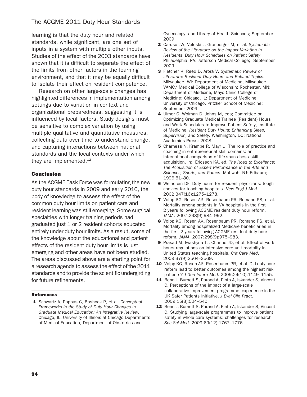learning is that the duty hour and related standards, while significant, are one set of inputs in a system with multiple other inputs. Studies of the effect of the 2003 standards have shown that it is difficult to separate the effect of the limits from other factors in the learning environment, and that it may be equally difficult to isolate their effect on resident competence.

Research on other large-scale changes has highlighted differences in implementation among settings due to variation in context and organizational preparedness, suggesting it is influenced by local factors. Study designs must be sensitive to complex variation by using multiple qualitative and quantitative measures, collecting data over time to understand change, and capturing interactions between national standards and the local contexts under which they are implemented.<sup>12</sup>

### Conclusion

As the ACGME Task Force was formulating the new duty hour standards in 2009 and early 2010, the body of knowledge to assess the effect of the common duty hour limits on patient care and resident learning was still emerging. Some surgical specialties with longer training periods had graduated just 1 or 2 resident cohorts educated entirely under duty hour limits. As a result, some of the knowledge about the educational and patient effects of the resident duty hour limits is just emerging and other areas have not been studied. The areas discussed above are a starting point for a research agenda to assess the effect of the 2011 standards and to provide the scientific undergirding for future refinements.

#### References

1 Schwartz A, Pappas C, Bashook P, et al. Conceptual Frameworks in the Study of Duty Hour Changes in Graduate Medical Education: An Integrative Review. Chicago, IL: University of Illinois at Chicago Departments of Medical Education, Department of Obstetrics and

Gynecology, and Library of Health Sciences; September 2009.

- 2 Caruso JW, Veloski J, Grasberger M, et al. Systematic Review of the Literature on the Impact Variation in Residents' Duty Hour Schedules on Patient Safety. Philadelphia, PA: Jefferson Medical College; September 2009.
- 3 Fletcher K, Reed D, Arora V. Systematic Review of Literature: Resident Duty Hours and Related Topics. Milwaukee, WI: Department of Medicine, Milwaukee VAMC/ Medical College of Wisconsin; Rochester, MN: Department of Medicine, Mayo Clinic College of Medicine; Chicago, IL: Department of Medicine, University of Chicago, Pritzker School of Medicine; September 2009.
- 4 Ulmer C, Wolman D, Johns M, eds; Committee on Optimizing Graduate Medical Trainee (Resident) Hours and Work Schedules to Improve Patient Safety, Institute of Medicine. Resident Duty Hours: Enhancing Sleep, Supervision, and Safety. Washington, DC: National Academies Press; 2008.
- 5 Charness N, Krampe R, Mayr U. The role of practice and coaching in entrepreneurial skill domains: an international comparison of life-span chess skill acquisition. In: Ericsson KA, ed. The Road to Excellence: The Acquisition of Expert Performance in the Arts and Sciences, Sports, and Games. Mahwah, NJ: Erlbaum; 1996:51–80.
- 6 Weinstein DF. Duty hours for resident physicians: tough choices for teaching hospitals. New Engl J Med. 2002;347(16):1275–1278.
- 7 Volpp KG, Rosen AK, Rosenbaum PR, Romano PS, et al. Mortality among patients in VA hospitals in the first 2 years following ACGME resident duty hour reform. JAMA. 2007;298(9):984–992.
- 8 Volpp KG, Rosen AK, Rosenbaum PR, Romano PS, et al. Mortality among hospitalized Medicare beneficiaries in the first 2 years following ACGME resident duty hour reform. JAMA. 2007;298(9):975–983.
- 9 Prasad M, Iwashyna TJ, Christie JD, et al. Effect of workhours regulations on intensive care unit mortality in United States teaching hospitals. Crit Care Med. 2009;37(9):2564–2569.
- 10 Volpp KG, Rosen AK, Rosenbaum PR, et al. Did duty hour reform lead to better outcomes among the highest risk patients? J Gen Intern Med. 2009;24(10):1149–1155.
- 11 Benn J, Burnett S, Parand A, Pinto A, Iskander S, Vincent C. Perceptions of the impact of a large-scale collaborative improvement programme: experience in the UK Safer Patients Initiative. J Eval Clin Pract. 2009;15(3):524–540.
- 12 Benn J, Burnett S, Parand A, Pinto A, Iskander S, Vincent C. Studying large-scale programmes to improve patient safety in whole care systems: challenges for research. Soc Sci Med. 2009;69(12):1767–1776.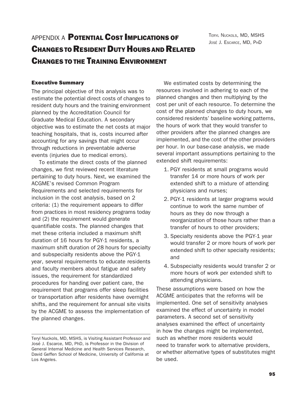# APPENDIX A **POTENTIAL COST IMPLICATIONS OF** CHANGES TO RESIDENT DUTY HOURS AND RELATED CHANGES TO THE TRAINING ENVIRONMENT

TERYL NUCKOLS, MD, MSHS JOSÉ J. ESCARCE, MD. PHD

# Executive Summary

The principal objective of this analysis was to estimate the potential direct costs of changes to resident duty hours and the training environment planned by the Accreditation Council for Graduate Medical Education. A secondary objective was to estimate the net costs at major teaching hospitals, that is, costs incurred after accounting for any savings that might occur through reductions in preventable adverse events (injuries due to medical errors).

To estimate the direct costs of the planned changes, we first reviewed recent literature pertaining to duty hours. Next, we examined the ACGME's revised Common Program Requirements and selected requirements for inclusion in the cost analysis, based on 2 criteria: (1) the requirement appears to differ from practices in most residency programs today and (2) the requirement would generate quantifiable costs. The planned changes that met these criteria included a maximum shift duration of 16 hours for PGY-1 residents, a maximum shift duration of 28 hours for specialty and subspecialty residents above the PGY-1 year, several requirements to educate residents and faculty members about fatigue and safety issues, the requirement for standardized procedures for handing over patient care, the requirement that programs offer sleep facilities or transportation after residents have overnight shifts, and the requirement for annual site visits by the ACGME to assess the implementation of the planned changes.

We estimated costs by determining the resources involved in adhering to each of the planned changes and then multiplying by the cost per unit of each resource. To determine the cost of the planned changes to duty hours, we considered residents' baseline working patterns, the hours of work that they would transfer to other providers after the planned changes are implemented, and the cost of the other providers per hour. In our base-case analysis, we made several important assumptions pertaining to the extended shift requirements:

- 1. PGY residents at small programs would transfer 14 or more hours of work per extended shift to a mixture of attending physicians and nurses;
- 2. PGY-1 residents at larger programs would continue to work the same number of hours as they do now through a reorganization of those hours rather than a transfer of hours to other providers;
- 3. Specialty residents above the PGY-1 year would transfer 2 or more hours of work per extended shift to other specialty residents; and
- 4. Subspecialty residents would transfer 2 or more hours of work per extended shift to attending physicians.

These assumptions were based on how the ACGME anticipates that the reforms will be implemented. One set of sensitivity analyses examined the effect of uncertainty in model parameters. A second set of sensitivity analyses examined the effect of uncertainty in how the changes might be implemented, such as whether more residents would need to transfer work to alternative providers, or whether alternative types of substitutes might be used.

Teryl Nuckols, MD, MSHS, is Visiting Assistant Professor and José J. Escarce, MD, PhD, is Professor in the Division of General Internal Medicine and Health Services Research, David Geffen School of Medicine, University of California at Los Angeles.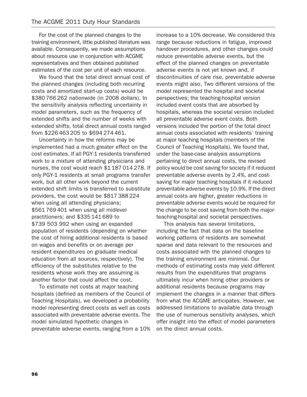For the cost of the planned changes to the training environment, little published literature was available. Consequently, we made assumptions about resource use in conjunction with ACGME representatives and then obtained published estimates of the cost per unit of each resource.

We found that the total direct annual cost of the planned changes (including both recurring costs and amortized start-up costs) would be \$380 766 262 nationwide (in 2008 dollars). In the sensitivity analysis reflecting uncertainty in model parameters, such as the frequency of extended shifts and the number of weeks with extended shifts, total direct annual costs ranged from \$226 463 205 to \$694 274 461.

Uncertainty in how the reforms may be implemented had a much greater effect on the cost estimates. If all PGY-1 residents transferred work to a mixture of attending physicians and nurses, the cost would reach \$1 187 014 278. If only PGY-1 residents at small programs transfer work, but all other work beyond the current extended shift limits is transferred to substitute providers, the cost would be \$817 388 224 when using all attending physicians; \$561 769 401 when using all midlevel practitioners; and \$335 141 689 to \$739 503 992 when using an expanded population of residents (depending on whether the cost of hiring additional residents is based on wages and benefits or on average per resident expenditures on graduate medical education from all sources, respectively). The efficiency of the substitutes relative to the residents whose work they are assuming is another factor that could affect the cost.

To estimate net costs at major teaching hospitals (defined as members of the Council of Teaching Hospitals), we developed a probability model representing direct costs as well as costs associated with preventable adverse events. The model simulated hypothetic changes in preventable adverse events, ranging from a 10% increase to a 10% decrease. We considered this range because reductions in fatigue, improved handover procedures, and other changes could reduce preventable adverse events, but the effect of the planned changes on preventable adverse events is not yet known and, if discontinuities of care rise, preventable adverse events might also. Two different versions of the model represented the hospital and societal perspectives; the teaching-hospital version included event costs that are absorbed by hospitals, whereas the societal version included all preventable adverse event costs. Both versions included the portion of the total direct annual costs associated with residents' training at major teaching hospitals (members of the Council of Teaching Hospitals). We found that, under the base-case analysis assumptions pertaining to direct annual costs, the revised policy would be cost saving for society if it reduced preventable adverse events by 2.4%, and costsaving for major teaching hospitals if it reduced preventable adverse events by 10.9%. If the direct annual costs are higher, greater reductions in preventable adverse events would be required for the change to be cost saving from both the majorteaching-hospital and societal perspectives.

This analysis has several limitations, including the fact that data on the baseline working patterns of residents are somewhat sparse and data relevant to the resources and costs associated with the planned changes to the training environment are minimal. Our methods of estimating costs may yield different results from the expenditures that programs ultimately incur when hiring other providers or additional residents because programs may implement the changes in a manner that differs from what the ACGME anticipates. However, we addressed limitations to available data through the use of numerous sensitivity analyses, which offer insight into the effect of model parameters on the direct annual costs.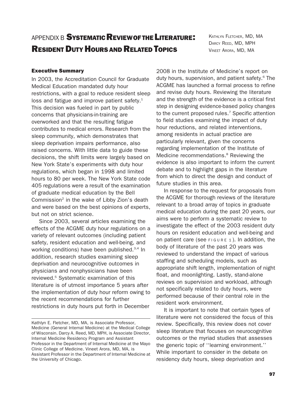# APPENDIX B SYSTEMATIC REVIEW OF THE LITERATURE! **RESIDENT DUTY HOURS AND RELATED TOPICS**

KATHLYN FLETCHER, MD, MA DARCY REED, MD, MPH VINEET ARORA, MD, MA

### Executive Summary

In 2003, the Accreditation Council for Graduate Medical Education mandated duty hour restrictions, with a goal to reduce resident sleep loss and fatigue and improve patient safety.<sup>1</sup> This decision was fueled in part by public concerns that physicians-in-training are overworked and that the resulting fatigue contributes to medical errors. Research from the sleep community, which demonstrates that sleep deprivation impairs performance, also raised concerns. With little data to guide these decisions, the shift limits were largely based on New York State's experiments with duty hour regulations, which began in 1998 and limited hours to 80 per week. The New York State code 405 regulations were a result of the examination of graduate medical education by the Bell Commission<sup>2</sup> in the wake of Libby Zion's death and were based on the best opinions of experts, but not on strict science.

Since 2003, several articles examining the effects of the ACGME duty hour regulations on a variety of relevant outcomes (including patient safety, resident education and well-being, and working conditions) have been published.3,4 In addition, research studies examining sleep deprivation and neurocognitive outcomes in physicians and nonphysicians have been reviewed.<sup>5</sup> Systematic examination of this literature is of utmost importance 5 years after the implementation of duty hour reform owing to the recent recommendations for further restrictions in duty hours put forth in December

2008 in the Institute of Medicine's report on duty hours, supervision, and patient safety.<sup>6</sup> The ACGME has launched a formal process to refine and revise duty hours. Reviewing the literature and the strength of the evidence is a critical first step in designing evidence-based policy changes to the current proposed rules.<sup>7</sup> Specific attention to field studies examining the impact of duty hour reductions, and related interventions, among residents in actual practice are particularly relevant, given the concerns regarding implementation of the Institute of Medicine recommendations.<sup>8</sup> Reviewing the evidence is also important to inform the current debate and to highlight gaps in the literature from which to direct the design and conduct of future studies in this area.

In response to the request for proposals from the ACGME for thorough reviews of the literature relevant to a broad array of topics in graduate medical education during the past 20 years, our aims were to perform a systematic review to investigate the effect of the 2003 resident duty hours on resident education and well-being and on patient care (see  $F1GURE 1$ ). In addition, the body of literature of the past 20 years was reviewed to understand the impact of various staffing and scheduling models, such as appropriate shift length, implementation of night float, and moonlighting. Lastly, stand-alone reviews on supervision and workload, although not specifically related to duty hours, were performed because of their central role in the resident work environment.

It is important to note that certain types of literature were not considered the focus of this review. Specifically, this review does not cover sleep literature that focuses on neurocognitive outcomes or the myriad studies that assesses the generic topic of ''learning environment.'' While important to consider in the debate on residency duty hours, sleep deprivation and

Kathlyn E. Fletcher, MD, MA, is Associate Professor, Medicine (General Internal Medicine) at the Medical College of Wisconsin. Darcy A. Reed, MD, MPH, is Associate Director, Internal Medicine Residency Program and Assistant Professor in the Department of Internal Medicine at the Mayo Clinic College of Medicine. Vineet Arora, MD, MA, is Assistant Professor in the Department of Internal Medicine at the University of Chicago.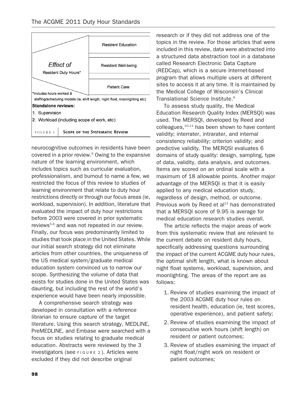

2. Workload (including scope of work, etc)

FIGURE 1 SCOPE OF THE SYSTEMATIC REVIEW

neurocognitive outcomes in residents have been covered in a prior review.<sup>5</sup> Owing to the expansive nature of the learning environment, which includes topics such as curricular evaluation, professionalism, and burnout to name a few, we restricted the focus of this review to studies of learning environment that relate to duty hour restrictions directly or through our focus areas (ie, workload, supervision). In addition, literature that evaluated the impact of duty hour restrictions before 2003 were covered in prior systematic reviews<sup>3,4</sup> and was not repeated in our review. Finally, our focus was predominantly limited to studies that took place in the United States. While our initial search strategy did not eliminate articles from other countries, the uniqueness of the US medical system/graduate medical education system convinced us to narrow our scope. Synthesizing the volume of data that exists for studies done in the United States was daunting, but including the rest of the world's experience would have been nearly impossible.

A comprehensive search strategy was developed in consultation with a reference librarian to ensure capture of the target literature. Using this search strategy, MEDLINE, PreMEDLINE, and Embase were searched with a focus on studies relating to graduate medical education. Abstracts were reviewed by the 3 investigators (see FIGURE 2 ). Articles were excluded if they did not describe original

research or if they did not address one of the topics in the review. For those articles that were included in this review, data were abstracted into a structured data abstraction tool in a database called Research Electronic Data Capture (REDCap), which is a secure Internet-based program that allows multiple users at different sites to access it at any time. It is maintained by the Medical College of Wisconsin's Clinical Translational Science Institute.<sup>9</sup>

To assess study quality, the Medical Education Research Quality Index (MERSQI) was used. The MERSQI, developed by Reed and colleagues, $10,11$  has been shown to have content validity; interrater, intrarater, and internal consistency reliability; criterion validity; and predictive validity. The MERQSI evaluates 6 domains of study quality: design, sampling, type of data, validity, data analysis, and outcomes. Items are scored on an ordinal scale with a maximum of 18 allowable points. Another major advantage of the MERSQI is that it is easily applied to any medical education study, regardless of design, method, or outcome. Previous work by Reed et al<sup>11</sup> has demonstrated that a MERSQI score of 9.95 is average for medical education research studies overall.

The article reflects the major areas of work from this systematic review that are relevant to the current debate on resident duty hours, specifically addressing questions surrounding the impact of the current ACGME duty hour rules, the optimal shift length, what is known about night float systems, workload, supervision, and moonlighting. The areas of the report are as follows:

- 1. Review of studies examining the impact of the 2003 ACGME duty hour rules on resident health, education (ie, test scores, operative experience), and patient safety;
- 2. Review of studies examining the impact of consecutive work hours (shift length) on resident or patient outcomes;
- 3. Review of studies examining the impact of night float/night work on resident or patient outcomes;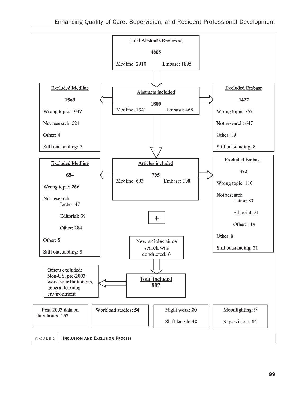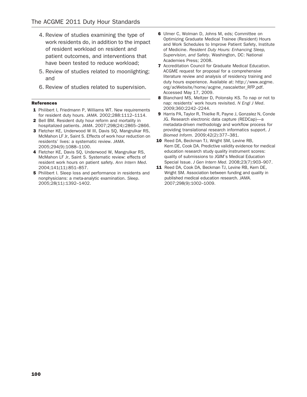- 4. Review of studies examining the type of work residents do, in addition to the impact of resident workload on resident and patient outcomes, and interventions that have been tested to reduce workload;
- 5. Review of studies related to moonlighting; and
- 6. Review of studies related to supervision.

#### References

- 1 Philibert I, Friedmann P, Williams WT. New requirements for resident duty hours. JAMA. 2002;288:1112–1114.
- 2 Bell BM. Resident duty hour reform and mortality in hospitalized patients. JAMA. 2007;298(24):2865–2866.
- 3 Fletcher KE, Underwood W III, Davis SQ, Mangrulkar RS, McMahon LF Jr, Saint S. Effects of work hour reduction on residents' lives: a systematic review. JAMA. 2005;294(9):1088–1100.
- 4 Fletcher KE, Davis SQ, Underwood W, Mangrulkar RS, McMahon LF Jr, Saint S. Systematic review: effects of resident work hours on patient safety. Ann Intern Med. 2004;141(11):851–857.
- **5** Philibert I. Sleep loss and performance in residents and nonphysicians: a meta-analytic examination. Sleep. 2005;28(11):1392–1402.
- 6 Ulmer C, Wolman D, Johns M, eds; Committee on Optimizing Graduate Medical Trainee (Resident) Hours and Work Schedules to Improve Patient Safety, Institute of Medicine. Resident Duty Hours: Enhancing Sleep, Supervision, and Safety. Washington, DC: National Academies Press; 2008.
- 7 Accreditation Council for Graduate Medical Education. ACGME request for proposal for a comprehensive literature review and analysis of residency training and duty hours experience. Available at: http://www.acgme. org/acWebsite/home/acgme\_nascaletter\_RFP.pdf. Accessed May 17, 2009.
- 8 Blanchard MS, Meltzer D, Polonsky KS. To nap or not to nap: residents' work hours revisited. N Engl J Med. 2009;360:2242–2244.
- 9 Harris PA, Taylor R, Thielke R, Payne J, Gonzalez N, Conde JG. Research electronic data capture (REDCap)—a metadata-driven methodology and workflow process for providing translational research informatics support. J Biomed Inform. 2009;42(2):377–381.
- 10 Reed DA, Beckman TJ, Wright SM, Levine RB, Kern DE, Cook DA. Predictive validity evidence for medical education research study quality instrument scores: quality of submissions to JGIM's Medical Education Special Issue. J Gen Intern Med. 2008;23(7):903–907.
- 11 Reed DA, Cook DA, Beckman TJ, Levine RB, Kern DE, Wright SM. Association between funding and quality in published medical education research. JAMA. 2007;298(9):1002–1009.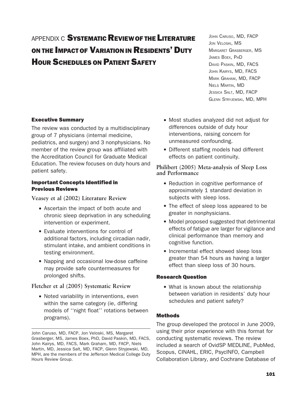# APPENDIX C SYSTEMATIC REVIEW OF THE LITERATURE ON THE IMPACT OF VARIATION IN RESIDENTS' DUTY HOUR SCHEDULES ON PATIENT SAFETY

JOHN CARUSO, MD, FACP JON VELOSKI, MS MARGARET GRASBERGER, MS JAMES BOEX, PHD DAVID PASKIN, MD, FACS JOHN KAIRYS, MD, FACS MARK GRAHAM, MD, FACP NIELS MARTIN, MD JESSICA SALT, MD, FACP GLENN STRYJEWSKI, MD, MPH

## Executive Summary

The review was conducted by a multidisciplinary group of 7 physicians (internal medicine, pediatrics, and surgery) and 3 nonphysicians. No member of the review group was affiliated with the Accreditation Council for Graduate Medical Education. The review focuses on duty hours and patient safety.

### Important Concepts Identified in Previous Reviews

Veasey et al (2002) Literature Review

- . Ascertain the impact of both acute and chronic sleep deprivation in any scheduling intervention or experiment.
- . Evaluate interventions for control of additional factors, including circadian nadir, stimulant intake, and ambient conditions in testing environment.
- . Napping and occasional low-dose caffeine may provide safe countermeasures for prolonged shifts.

# Fletcher et al (2005) Systematic Review

. Noted variability in interventions, even within the same category (ie, differing models of ''night float'' rotations between programs).

- . Most studies analyzed did not adjust for differences outside of duty hour interventions, raising concern for unmeasured confounding.
- . Different staffing models had different effects on patient continuity.

# Philibert (2005) Meta-analysis of Sleep Loss and Performance

- Reduction in cognitive performance of approximately 1 standard deviation in subjects with sleep loss.
- . The effect of sleep loss appeared to be greater in nonphysicians.
- . Model proposed suggested that detrimental effects of fatigue are larger for vigilance and clinical performance than memory and cognitive function.
- . Incremental effect showed sleep loss greater than 54 hours as having a larger effect than sleep loss of 30 hours.

## Research Question

. What is known about the relationship between variation in residents' duty hour schedules and patient safety?

## Methods

The group developed the protocol in June 2009, using their prior experience with this format for conducting systematic reviews. The review included a search of OvidSP MEDLINE, PubMed, Scopus, CINAHL, ERIC, PsycINFO, Campbell Collaboration Library, and Cochrane Database of

John Caruso, MD, FACP, Jon Veloski, MS, Margaret Grasberger, MS, James Boex, PhD, David Paskin, MD, FACS, John Kairys, MD, FACS, Mark Graham, MD, FACP, Niels Martin, MD, Jessica Salt, MD, FACP, Glenn Stryjewski, MD, MPH, are the members of the Jefferson Medical College Duty Hours Review Group.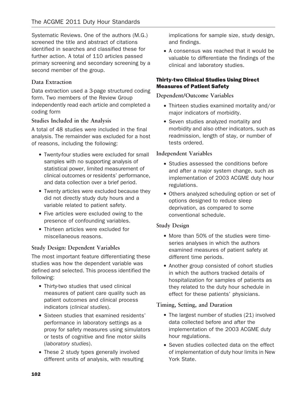Systematic Reviews. One of the authors (M.G.) screened the title and abstract of citations identified in searches and classified these for further action. A total of 110 articles passed primary screening and secondary screening by a second member of the group.

# Data Extraction

Data extraction used a 3-page structured coding form. Two members of the Review Group independently read each article and completed a coding form

# Studies Included in the Analysis

A total of 48 studies were included in the final analysis. The remainder was excluded for a host of reasons, including the following:

- . Twenty-four studies were excluded for small samples with no supporting analysis of statistical power, limited measurement of clinical outcomes or residents' performance, and data collection over a brief period.
- . Twenty articles were excluded because they did not directly study duty hours and a variable related to patient safety.
- . Five articles were excluded owing to the presence of confounding variables.
- . Thirteen articles were excluded for miscellaneous reasons.

# Study Design: Dependent Variables

The most important feature differentiating these studies was how the dependent variable was defined and selected. This process identified the following:

- . Thirty-two studies that used clinical measures of patient care quality such as patient outcomes and clinical process indicators (clinical studies).
- . Sixteen studies that examined residents' performance in laboratory settings as a proxy for safety measures using simulators or tests of cognitive and fine motor skills (laboratory studies).
- . These 2 study types generally involved different units of analysis, with resulting

implications for sample size, study design, and findings.

. A consensus was reached that it would be valuable to differentiate the findings of the clinical and laboratory studies.

# Thirty-two Clinical Studies Using Direct Measures of Patient Safety

# Dependent/Outcome Variables

- . Thirteen studies examined mortality and/or major indicators of morbidity.
- . Seven studies analyzed mortality and morbidity and also other indicators, such as readmission, length of stay, or number of tests ordered.

# Independent Variables

- . Studies assessed the conditions before and after a major system change, such as implementation of 2003 ACGME duty hour regulations.
- . Others analyzed scheduling option or set of options designed to reduce sleep deprivation, as compared to some conventional schedule.

## Study Design

- . More than 50% of the studies were timeseries analyses in which the authors examined measures of patient safety at different time periods.
- . Another group consisted of cohort studies in which the authors tracked details of hospitalization for samples of patients as they related to the duty hour schedule in effect for these patients' physicians.

# Timing, Setting, and Duration

- The largest number of studies (21) involved data collected before and after the implementation of the 2003 ACGME duty hour regulations.
- . Seven studies collected data on the effect of implementation of duty hour limits in New York State.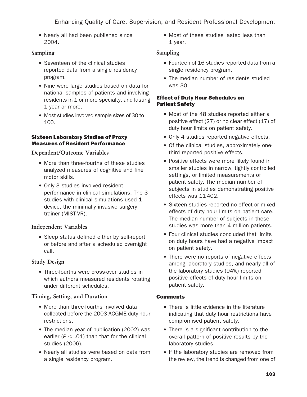. Nearly all had been published since 2004.

# Sampling

- . Seventeen of the clinical studies reported data from a single residency program.
- . Nine were large studies based on data for national samples of patients and involving residents in 1 or more specialty, and lasting 1 year or more.
- . Most studies involved sample sizes of 30 to 100.

# Sixteen Laboratory Studies of Proxy Measures of Resident Performance

Dependent/Outcome Variables

- . More than three-fourths of these studies analyzed measures of cognitive and fine motor skills.
- Only 3 studies involved resident performance in clinical simulations. The 3 studies with clinical simulations used 1 device, the minimally invasive surgery trainer (MIST-VR).

# Independent Variables

. Sleep status defined either by self-report or before and after a scheduled overnight call.

# Study Design

. Three-fourths were cross-over studies in which authors measured residents rotating under different schedules.

# Timing, Setting, and Duration

- More than three-fourths involved data collected before the 2003 ACGME duty hour restrictions.
- The median year of publication (2002) was earlier ( $P < .01$ ) than that for the clinical studies (2006).
- . Nearly all studies were based on data from a single residency program.

. Most of these studies lasted less than 1 year.

# Sampling

- . Fourteen of 16 studies reported data from a single residency program.
- . The median number of residents studied was 30.

# Effect of Duty Hour Schedules on Patient Safety

- . Most of the 48 studies reported either a positive effect (27) or no clear effect (17) of duty hour limits on patient safety.
- . Only 4 studies reported negative effects.
- . Of the clinical studies, approximately onethird reported positive effects.
- . Positive effects were more likely found in smaller studies in narrow, tightly controlled settings, or limited measurements of patient safety. The median number of subjects in studies demonstrating positive effects was 11 402.
- . Sixteen studies reported no effect or mixed effects of duty hour limits on patient care. The median number of subjects in these studies was more than 4 million patients.
- . Four clinical studies concluded that limits on duty hours have had a negative impact on patient safety.
- There were no reports of negative effects among laboratory studies, and nearly all of the laboratory studies (94%) reported positive effects of duty hour limits on patient safety.

# **Comments**

- . There is little evidence in the literature indicating that duty hour restrictions have compromised patient safety.
- . There is a significant contribution to the overall pattern of positive results by the laboratory studies.
- . If the laboratory studies are removed from the review, the trend is changed from one of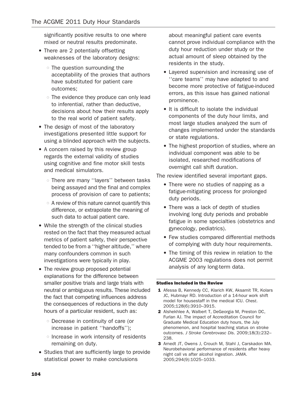significantly positive results to one where mixed or neutral results predominate.

- There are 2 potentially offsetting weaknesses of the laboratory designs:
	- $\circ$  The question surrounding the acceptability of the proxies that authors have substituted for patient care outcomes;
	- $\circ$  The evidence they produce can only lead to inferential, rather than deductive, decisions about how their results apply to the real world of patient safety.
- The design of most of the laboratory investigations presented little support for using a blinded approach with the subjects.
- . A concern raised by this review group regards the external validity of studies using cognitive and fine motor skill tests and medical simulators.
	- o There are many "layers" between tasks being assayed and the final and complex process of provision of care to patients;
	- $\circ$  A review of this nature cannot quantify this difference, or extrapolate the meaning of such data to actual patient care.
- . While the strength of the clinical studies rested on the fact that they measured actual metrics of patient safety, their perspective tended to be from a ''higher altitude,'' where many confounders common in such investigations were typically in play.
- The review group proposed potential explanations for the difference between smaller positive trials and large trials with neutral or ambiguous results. These included the fact that competing influences address the consequences of reductions in the duty hours of a particular resident, such as:
	- $\circ$  Decrease in continuity of care (or increase in patient ''handoffs'');
	- $\circ$  Increase in work intensity of residents remaining on duty.
- . Studies that are sufficiently large to provide statistical power to make conclusions

about meaningful patient care events cannot prove individual compliance with the duty hour reduction under study or the actual amount of sleep obtained by the residents in the study.

- . Layered supervision and increasing use of ''care teams'' may have adapted to and become more protective of fatigue-induced errors, as this issue has gained national prominence.
- . It is difficult to isolate the individual components of the duty hour limits, and most large studies analyzed the sum of changes implemented under the standards or state regulations.
- . The highest proportion of studies, where an individual component was able to be isolated, researched modifications of overnight call shift duration.

The review identified several important gaps.

- . There were no studies of napping as a fatigue-mitigating process for prolonged duty periods.
- . There was a lack of depth of studies involving long duty periods and probable fatigue in some specialties (obstetrics and gynecology, pediatrics).
- . Few studies compared differential methods of complying with duty hour requirements.
- . The timing of this review in relation to the ACGME 2003 regulations does not permit analysis of any long-term data.

#### Studies Included in the Review

- 1 Afessa B, Kennedy CC, Klarich KW, Aksamit TR, Kolars JC, Hubmayr RD. Introduction of a 14-hour work shift model for housestaff in the medical ICU. Chest. 2005;128(6):3910–3915.
- 2 Alshekhlee A, Walbert T, DeGeorgia M, Preston DC, Furlan AJ. The impact of Accreditation Council for Graduate Medical Education duty hours, the July phenomenon, and hospital teaching status on stroke outcomes. J Stroke Cerebrovasc Dis. 2009;18(3):232– 238.
- 3 Arnedt JT, Owens J, Crouch M, Stahl J, Carskadon MA. Neurobehavioral performance of residents after heavy night call vs after alcohol ingestion. JAMA. 2005;294(9):1025–1033.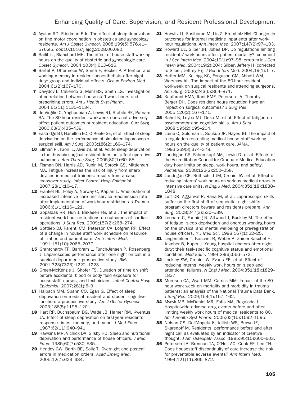- 4 Ayalon RD, Friedman F Jr. The effect of sleep deprivation on fine motor coordination in obstetrics and gynecology residents. Am J Obstet Gynecol. 2008;199(5):576.e1– 576.e5. doi:10.1016/j.ajog.2008.06.080.
- 5 Bailit JL, Blanchard MH. The effect of house staff working hours on the quality of obstetric and gynecologic care. Obstet Gynecol. 2004;103(4):613–616.
- 6 Bartel P, Offermeier W, Smith F, Becker P. Attention and working memory in resident anaesthetists after night duty: group and individual effects. Occup Environ Med. 2004;61(2):167–170.
- 7 Davydov L, Caliendo G, Mehl BS, Smith LG. Investigation of correlation between house-staff work hours and prescribing errors. Am J Health Syst Pharm. 2004;61(11):1130–1134.
- 8 de Virgilio C, Yaghoubian A, Lewis RJ, Stabile BE, Putnam BA. The 80-hour resident workweek does not adversely affect patient outcomes or resident education. Curr Surg. 2006;63(6):435–439.
- 9 Eastridge BJ, Hamilton EC, O'Keefe GE, et al. Effect of sleep deprivation on the performance of simulated laparoscopic surgical skill. Am J Surg. 2003;186(2):169–174.
- 10 Ellman PI, Kron IL, Alvis JS, et al. Acute sleep deprivation in the thoracic surgical resident does not affect operative outcomes. Ann Thorac Surg. 2005;80(1):60–65.
- 11 Fisman DN, Harris AD, Rubin M, Sorock GS, Mittleman MA. Fatigue increases the risk of injury from sharp devices in medical trainees: results from a casecrossover study. Infect Control Hosp Epidemiol. 2007;28(1):10–17.
- 12 Frankel HL, Foley A, Norway C, Kaplan L. Amelioration of increased intensive care unit service readmission rate after implementation of work-hour restrictions. J Trauma. 2006;61(1):116–121.
- 13 Gopaldas RR, Huh J, Bakaeen FG, et al. The impact of resident work-hour restrictions on outcomes of cardiac operations. J Surg Res. 2009;157(2):268–274.
- 14 Gottlieb DJ, Parenti CM, Peterson CA, Lofgren RP. Effect of a change in house staff work schedule on resource utilization and patient care. Arch Intern Med. 1991;151(10):2065–2070.
- 15 Grantcharov TP, Bardram L, Funch-Jensen P, Rosenberg J. Laparoscopic performance after one night on call in a surgical department: prospective study. BMJ. 2001;323(7323):1222–1223.
- 16 Green-McKenzie J, Shofer FS. Duration of time on shift before accidental blood or body fluid exposure for housestaff, nurses, and technicians. Infect Control Hosp Epidemiol. 2007;28(1):5–9.
- 17 Halbach MM, Spann CO, Egan G. Effect of sleep deprivation on medical resident and student cognitive function: a prospective study. Am J Obstet Gynecol. 2003;188(5):1198–1201.
- 18 Hart RP, Buchsbaum DG, Wade JB, Hamer RM, Kwentus JA. Effect of sleep deprivation on first-year residents' response times, memory, and mood. J Med Educ. 1987;62(11):940–941.
- 19 Hawkins MR, Vichick DA, Silsby HD. Sleep and nutritional deprivation and performance of house officers. J Med Educ. 1985;60(7):530–535.
- 20 Hendey GW, Barth BE, Soliz T. Overnight and postcall errors in medication orders. Acad Emerg Med. 2005;12(7):629–634.
- 21 Horwitz LI, Kosiborod M, Lin Z, Krumholz HM. Changes in outcomes for internal medicine inpatients after workhour regulations. Ann Intern Med. 2007;147(2):97–103.
- 22 Howard DL, Silber JH, Jobes DR. Do regulations limiting residents' work hours affect patient mortality? [comment in J Gen Intern Med. 2004;19(1):97–98; erratum in J Gen Intern Med. 2004;19(2):204; Silber, Jeffery H (corrected to Silber, Jeffrey H)]. J Gen Intern Med. 2004;19(1):1–7.
- 23 Hutter MM, Kellogg KC, Ferguson CM, Abbott WM, Warshaw AL. The impact of the 80-hour resident workweek on surgical residents and attending surgeons. Ann Surg. 2006;243(6):864–871.
- 24 Kaafarani HMA, Itani KMF, Petersen LA, Thornby J, Berger DH. Does resident hours reduction have an impact on surgical outcomes? J Surg Res. 2005;126(2):167–171.
- 25 Kahol K, Leyba MJ, Deka M, et al. Effect of fatigue on psychomotor and cognitive skills. Am J Surg. 2008;195(2):195–204.
- 26 Laine C, Goldman L, Soukup JR, Hayes JG. The impact of a regulation restricting medical house staff working hours on the quality of patient care. JAMA. 1993;269(3):374–378.
- 27 Landrigan CP, Fahrenkopf AM, Lewin D, et al. Effects of the Accreditation Council for Graduate Medical Education duty hour limits on sleep, work hours, and safety. Pediatrics. 2008;122(2):250–258.
- 28 Landrigan CP, Rothschild JM, Cronin JW, et al. Effect of reducing interns' work hours on serious medical errors in intensive care units. N Engl J Med. 2004;351(18):1838– 1848.
- 29 Leff DR, Aggarwal R, Rana M, et al. Laparoscopic skills suffer on the first shift of sequential night shifts: program directors beware and residents prepare. Ann Surg. 2008;247(3):530–539.
- 30 Leonard C, Fanning N, Attwood J, Buckley M. The effect of fatigue, sleep deprivation and onerous working hours on the physical and mental wellbeing of pre-registration house officers. Ir J Med Sci. 1998;167(1):22–25.
- 31 Lingenfelser T, Kaschel R, Weber A, Zaiser-Kaschel H, Jakober B, Kuper J. Young hospital doctors after night duty: their task-specific cognitive status and emotional condition. Med Educ. 1994;28(6):566–572.
- 32 Lockley SW, Cronin JW, Evans EE, et al. Effect of reducing interns' weekly work hours on sleep and attentional failures. N Engl J Med. 2004;351(18):1829– 1837.
- 33 Morrison CA, Wyatt MM, Carrick MM. Impact of the 80 hour work week on mortality and morbidity in trauma patients: an analysis of the National Trauma Data Bank. J Surg Res. 2009;154(1):157–162.
- 34 Mycyk MB, McDaniel MR, Fotis MA, Regalado J. Hospitalwide adverse drug events before and after limiting weekly work hours of medical residents to 80. Am J Health Syst Pharm. 2005;62(15):1592–1595.
- 35 Nelson CS, Dell'Angela K, Jellish WS, Brown IE, Skaredoff M. Residents' performance before and after night call as evaluated by an indicator of creative thought. J Am Osteopath Assoc. 1995;95(10):600–603.
- 36 Petersen LA, Brennan TA, O'Neil AC, Cook EF, Lee TH. Does housestaff discontinuity of care increase the risk for preventable adverse events? Ann Intern Med. 1994;121(11):866–872.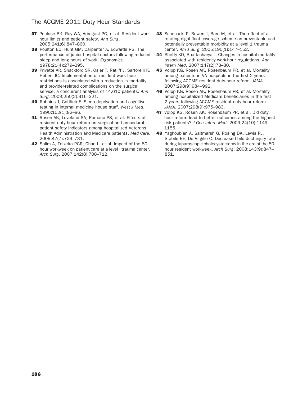- 37 Poulose BK, Ray WA, Arbogast PG, et al. Resident work hour limits and patient safety. Ann Surg. 2005;241(6):847–860.
- 38 Poulton EC, Hunt GM, Carpenter A, Edwards RS. The performance of junior hospital doctors following reduced sleep and long hours of work. Ergonomics. 1978;21(4):279–295.
- 39 Privette AR, Shackford SR, Osler T, Ratliff J, Sartorelli K, Hebert JC. Implementation of resident work hour restrictions is associated with a reduction in mortality and provider-related complications on the surgical service: a concurrent analysis of 14,610 patients. Ann Surg. 2009;250(2):316–321.
- 40 Robbins J, Gottlieb F. Sleep deprivation and cognitive testing in internal medicine house staff. West J Med. 1990;152(1):82–86.
- 41 Rosen AK, Loveland SA, Romano PS, et al. Effects of resident duty hour reform on surgical and procedural patient safety indicators among hospitalized Veterans Health Administration and Medicare patients. Med Care. 2009;47(7):723–731.
- 42 Salim A, Teixeira PGR, Chan L, et al. Impact of the 80 hour workweek on patient care at a level I trauma center. Arch Surg. 2007;142(8):708–712.
- 43 Schenarts P, Bowen J, Bard M, et al. The effect of a rotating night-float coverage scheme on preventable and potentially preventable morbidity at a level 1 trauma center. Am J Surg. 2005;190(1):147–152.
- 44 Shetty KD, Bhattacharya J. Changes in hospital mortality associated with residency work-hour regulations. Ann Intern Med. 2007;147(2):73–80.
- 45 Volpp KG, Rosen AK, Rosenbaum PR, et al. Mortality among patients in VA hospitals in the first 2 years following ACGME resident duty hour reform. JAMA. 2007;298(9):984–992.
- 46 Volpp KG, Rosen AK, Rosenbaum PR, et al. Mortality among hospitalized Medicare beneficiaries in the first 2 years following ACGME resident duty hour reform. JAMA. 2007;298(9):975–983.
- 47 Volpp KG, Rosen AK, Rosenbaum PR, et al. Did duty hour reform lead to better outcomes among the highest risk patients? J Gen Intern Med. 2009;24(10):1149– 1155.
- 48 Yaghoubian A, Saltmarsh G, Rosing DK, Lewis RJ, Stabile BE, De Virgilio C. Decreased bile duct injury rate during laparoscopic cholecystectomy in the era of the 80 hour resident workweek. Arch Surg. 2008;143(9):847– 851.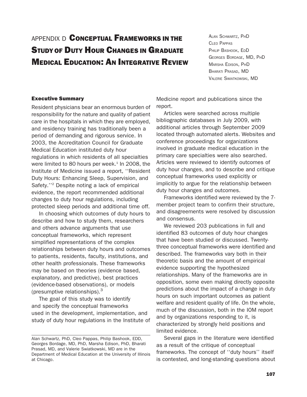# APPENDIX D **CONCEPTUAL FRAMEWORKS IN THE** STUDY OF DUTY HOUR CHANGES IN GRADUATE MEDICAL EDUCATION: AN INTEGRATIVE REVIEW

ALAN SCHWARTZ, PHD CLEO PAPPAS PHILIP BASHOOK, EDD GEORGES BORDAGE, MD, PHD MARSHA EDISON, PHD BHARATI PRASAD, MD VALERIE SWIATKOWSKI, MD

### Executive Summary

Resident physicians bear an enormous burden of responsibility for the nature and quality of patient care in the hospitals in which they are employed, and residency training has traditionally been a period of demanding and rigorous service. In 2003, the Accreditation Council for Graduate Medical Education instituted duty hour regulations in which residents of all specialties were limited to 80 hours per week. $1$  In 2008, the Institute of Medicine issued a report, ''Resident Duty Hours: Enhancing Sleep, Supervision, and Safety.''2 Despite noting a lack of empirical evidence, the report recommended additional changes to duty hour regulations, including protected sleep periods and additional time off.

In choosing which outcomes of duty hours to describe and how to study them, researchers and others advance arguments that use conceptual frameworks, which represent simplified representations of the complex relationships between duty hours and outcomes to patients, residents, faculty, institutions, and other health professionals. These frameworks may be based on theories (evidence based, explanatory, and predictive), best practices (evidence-based observations), or models (presumptive relationships). $3$ 

The goal of this study was to identify and specify the conceptual frameworks used in the development, implementation, and study of duty hour regulations in the Institute of

Medicine report and publications since the report.

Articles were searched across multiple bibliographic databases in July 2009, with additional articles through September 2009 located through automated alerts. Websites and conference proceedings for organizations involved in graduate medical education in the primary care specialties were also searched. Articles were reviewed to identify outcomes of duty hour changes, and to describe and critique conceptual frameworks used explicitly or implicitly to argue for the relationship between duty hour changes and outcomes.

Frameworks identified were reviewed by the 7 member project team to confirm their structure, and disagreements were resolved by discussion and consensus.

We reviewed 203 publications in full and identified 83 outcomes of duty hour changes that have been studied or discussed. Twentythree conceptual frameworks were identified and described. The frameworks vary both in their theoretic basis and the amount of empirical evidence supporting the hypothesized relationships. Many of the frameworks are in opposition, some even making directly opposite predictions about the impact of a change in duty hours on such important outcomes as patient welfare and resident quality of life. On the whole, much of the discussion, both in the IOM report and by organizations responding to it, is characterized by strongly held positions and limited evidence.

Several gaps in the literature were identified as a result of the critique of conceptual frameworks. The concept of ''duty hours'' itself is contested, and long-standing questions about

Alan Schwartz, PhD, Cleo Pappas, Philip Bashook, EDD, Georges Bordage, MD, PhD, Marsha Edison, PhD, Bharati Prasad, MD, and Valerie Swiatkowski, MD are in the Department of Medical Education at the University of Illinois at Chicago.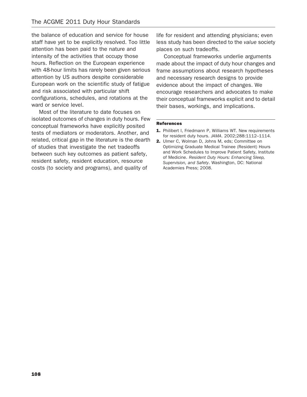the balance of education and service for house staff have yet to be explicitly resolved. Too little attention has been paid to the nature and intensity of the activities that occupy those hours. Reflection on the European experience with 48-hour limits has rarely been given serious attention by US authors despite considerable European work on the scientific study of fatigue and risk associated with particular shift configurations, schedules, and rotations at the ward or service level.

Most of the literature to date focuses on isolated outcomes of changes in duty hours. Few conceptual frameworks have explicitly posited tests of mediators or moderators. Another, and related, critical gap in the literature is the dearth of studies that investigate the net tradeoffs between such key outcomes as patient safety, resident safety, resident education, resource costs (to society and programs), and quality of

life for resident and attending physicians; even less study has been directed to the value society places on such tradeoffs.

Conceptual frameworks underlie arguments made about the impact of duty hour changes and frame assumptions about research hypotheses and necessary research designs to provide evidence about the impact of changes. We encourage researchers and advocates to make their conceptual frameworks explicit and to detail their bases, workings, and implications.

#### References

- 1. Philibert I, Friedmann P, Williams WT. New requirements for resident duty hours. JAMA. 2002;288:1112–1114.
- 2. Ulmer C, Wolman D, Johns M, eds; Committee on Optimizing Graduate Medical Trainee (Resident) Hours and Work Schedules to Improve Patient Safety, Institute of Medicine. Resident Duty Hours: Enhancing Sleep, Supervision, and Safety. Washington, DC: National Academies Press; 2008.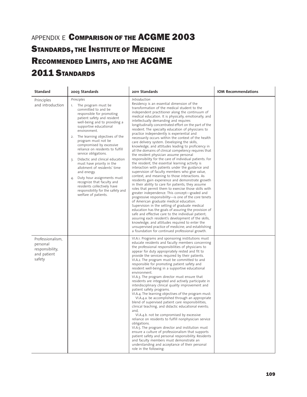# APPENDIX E COMPARISON OF THE ACGME 2003 STANDARDS, THE INSTITUTE OF MEDICINE RECOMMENDED LIMITS, AND THE ACGME 2011 STANDARDS

| Standard                                                                 | 2003 Standards                                                                                                                                                                                                                                                                                                                                                                                                                                                                                                                                                                                                                               | 2011 Standards                                                                                                                                                                                                                                                                                                                                                                                                                                                                                                                                                                                                                                                                                                                                                                                                                                                                                                                                                                                                                                                                                                                                                                                                                                                                                                                                                                                                                                                                                                                                                                                                                                                              | <b>IOM Recommendations</b> |
|--------------------------------------------------------------------------|----------------------------------------------------------------------------------------------------------------------------------------------------------------------------------------------------------------------------------------------------------------------------------------------------------------------------------------------------------------------------------------------------------------------------------------------------------------------------------------------------------------------------------------------------------------------------------------------------------------------------------------------|-----------------------------------------------------------------------------------------------------------------------------------------------------------------------------------------------------------------------------------------------------------------------------------------------------------------------------------------------------------------------------------------------------------------------------------------------------------------------------------------------------------------------------------------------------------------------------------------------------------------------------------------------------------------------------------------------------------------------------------------------------------------------------------------------------------------------------------------------------------------------------------------------------------------------------------------------------------------------------------------------------------------------------------------------------------------------------------------------------------------------------------------------------------------------------------------------------------------------------------------------------------------------------------------------------------------------------------------------------------------------------------------------------------------------------------------------------------------------------------------------------------------------------------------------------------------------------------------------------------------------------------------------------------------------------|----------------------------|
| Principles<br>and introduction                                           | Principles<br>The program must be<br>1.<br>committed to and be<br>responsible for promoting<br>patient safety and resident<br>well-being and to providing a<br>supportive educational<br>environment.<br>2. The learning objectives of the<br>program must not be<br>compromised by excessive<br>reliance on residents to fulfill<br>service obligations.<br>Didactic and clinical education<br>3.<br>must have priority in the<br>allotment of residents' time<br>and energy.<br>Duty hour assignments must<br>4.<br>recognize that faculty and<br>residents collectively have<br>responsibility for the safety and<br>welfare of patients. | Introduction<br>Residency is an essential dimension of the<br>transformation of the medical student to the<br>independent practitioner along the continuum of<br>medical education. It is physically, emotionally, and<br>intellectually demanding and requires<br>longitudinally concentrated effort on the part of the<br>resident. The specialty education of physicians to<br>practice independently is experiential and<br>necessarily occurs within the context of the health<br>care delivery system. Developing the skills,<br>knowledge, and attitudes leading to proficiency in<br>all the domains of clinical competency requires that<br>the resident physician assume personal<br>responsibility for the care of individual patients. For<br>the resident, the essential learning activity is<br>interaction with patients under the guidance and<br>supervision of faculty members who give value,<br>context, and meaning to those interactions. As<br>residents gain experience and demonstrate growth<br>in their ability to care for patients, they assume<br>roles that permit them to exercise those skills with<br>greater independence. This concept-graded and<br>progressive responsibility-is one of the core tenets<br>of American graduate medical education.<br>Supervision in the setting of graduate medical<br>education has the goals of assuring the provision of<br>safe and effective care to the individual patient;<br>assuring each resident's development of the skills,<br>knowledge, and attitudes required to enter the<br>unsupervised practice of medicine; and establishing<br>a foundation for continued professional growth. |                            |
| Professionalism,<br>personal<br>responsibility,<br>and patient<br>safety |                                                                                                                                                                                                                                                                                                                                                                                                                                                                                                                                                                                                                                              | VI.A.1. Programs and sponsoring institutions must<br>educate residents and faculty members concerning<br>the professional responsibilities of physicians to<br>appear for duty appropriately rested and fit to<br>provide the services required by their patients.<br>VI.A.2. The program must be committed to and<br>responsible for promoting patient safety and<br>resident well-being in a supportive educational<br>environment.<br>VI.A.3. The program director must ensure that<br>residents are integrated and actively participate in<br>interdisciplinary clinical quality improvement and<br>patient safety programs.<br>VI.A.4. The learning objectives of the program must:<br>VI.A.4.a. be accomplished through an appropriate<br>blend of supervised patient care responsibilities,<br>clinical teaching, and didactic educational events;<br>and,<br>VI.A.4.b. not be compromised by excessive<br>reliance on residents to fulfill nonphysician service<br>obligations.<br>VI.A.5. The program director and institution must<br>ensure a culture of professionalism that supports<br>patient safety and personal responsibility. Residents<br>and faculty members must demonstrate an<br>understanding and acceptance of their personal<br>role in the following:                                                                                                                                                                                                                                                                                                                                                                                           |                            |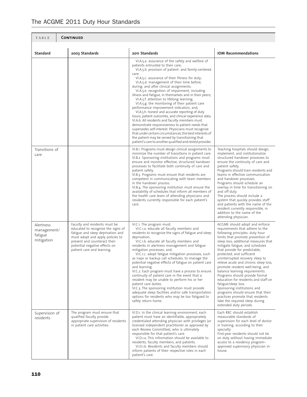## The ACGME 2011 Duty Hour Standards

| <b>CONTINUED</b><br>TABLE                         |                                                                                                                                                                                                                                             |                                                                                                                                                                                                                                                                                                                                                                                                                                                                                                                                                                                                                                                                                                                                                                                                                                                                                                                                                                                                             |                                                                                                                                                                                                                                                                                                                                                                                                                                                                                                                                                                                                                                                                                                           |
|---------------------------------------------------|---------------------------------------------------------------------------------------------------------------------------------------------------------------------------------------------------------------------------------------------|-------------------------------------------------------------------------------------------------------------------------------------------------------------------------------------------------------------------------------------------------------------------------------------------------------------------------------------------------------------------------------------------------------------------------------------------------------------------------------------------------------------------------------------------------------------------------------------------------------------------------------------------------------------------------------------------------------------------------------------------------------------------------------------------------------------------------------------------------------------------------------------------------------------------------------------------------------------------------------------------------------------|-----------------------------------------------------------------------------------------------------------------------------------------------------------------------------------------------------------------------------------------------------------------------------------------------------------------------------------------------------------------------------------------------------------------------------------------------------------------------------------------------------------------------------------------------------------------------------------------------------------------------------------------------------------------------------------------------------------|
| <b>Standard</b>                                   | 2003 Standards                                                                                                                                                                                                                              | 2011 Standards                                                                                                                                                                                                                                                                                                                                                                                                                                                                                                                                                                                                                                                                                                                                                                                                                                                                                                                                                                                              | <b>IOM Recommendations</b>                                                                                                                                                                                                                                                                                                                                                                                                                                                                                                                                                                                                                                                                                |
|                                                   |                                                                                                                                                                                                                                             | VI.A.5.a. assurance of the safety and welfare of<br>patients entrusted to their care;<br>VI.A.5.b. provision of patient- and family-centered<br>care;<br>VI.A.5.c. assurance of their fitness for duty;<br>VI.A.5.d. management of their time before,<br>during, and after clinical assignments;<br>VI.A.5.e. recognition of impairment, including<br>illness and fatigue, in themselves and in their peers;<br>VI.A.5.f. attention to lifelong learning;<br>VI.A.5.g. the monitoring of their patient care<br>performance improvement indicators; and,<br>VI.A.5.h. honest and accurate reporting of duty<br>hours, patient outcomes, and clinical experience data.<br>VI.A.6. All residents and faculty members must<br>demonstrate responsiveness to patient needs that<br>supersedes self-interest. Physicians must recognize<br>that under certain circumstances, the best interests of<br>the patient may be served by transitioning that<br>patient's care to another qualified and rested provider. |                                                                                                                                                                                                                                                                                                                                                                                                                                                                                                                                                                                                                                                                                                           |
| Transitions of<br>care                            |                                                                                                                                                                                                                                             | VI.B.1. Programs must design clinical assignments to<br>minimize the number of transitions in patient care.<br>VI.B.2. Sponsoring institutions and programs must<br>ensure and monitor effective, structured handover<br>processes to facilitate both continuity of care and<br>patient safety.<br>VI.B.3. Programs must ensure that residents are<br>competent in communicating with team members<br>in the handover process.<br>VI.B.4. The sponsoring institution must ensure the<br>availability of schedules that inform all members of<br>the health care team of attending physicians and<br>residents currently responsible for each patient's<br>care.                                                                                                                                                                                                                                                                                                                                             | Teaching hospitals should design,<br>implement, and institutionalize<br>structured handover processes to<br>ensure the continuity of care and<br>patient safety.<br>Programs should train residents and<br>teams in effective communication<br>and handover processes.<br>Programs should schedule an<br>overlap in time for transitioning on<br>and off duty.<br>The process should include a<br>system that quickly provides staff<br>and patients with the name of the<br>resident currently responsible, in<br>addition to the name of the<br>attending physician.                                                                                                                                    |
| Alertness<br>management/<br>fatigue<br>mitigation | Faculty and residents must be<br>educated to recognize the signs of<br>fatigue and sleep deprivation and<br>must adopt and apply policies to<br>prevent and counteract their<br>potential negative effects on<br>patient care and learning. | VI.C.1. The program must:<br>VI.C.1.a. educate all faculty members and<br>residents to recognize the signs of fatigue and sleep<br>deprivation;<br>VI.C.1.b. educate all faculty members and<br>residents in alertness management and fatigue<br>mitigation processes; and,<br>VI.C.1.c. adopt fatigue mitigation processes, such<br>as naps or backup call schedules, to manage the<br>potential negative effects of fatigue on patient care<br>and learning.<br>VI.C.2. Each program must have a process to ensure<br>continuity of patient care in the event that a<br>resident may be unable to perform his or her<br>patient care duties.<br>VI.C.3. The sponsoring institution must provide<br>adequate sleep facilities and/or safe transportation<br>options for residents who may be too fatigued to<br>safely return home.                                                                                                                                                                        | ACGME should adopt and enforce<br>requirements that adhere to the<br>following principles: duty hour<br>limits that promote prevention of<br>sleep loss; additional measures that<br>mitigate fatigue; and schedules<br>that provide for predictable,<br>protected, and sufficient<br>uninterrupted recovery sleep to<br>relieve acute and chronic sleep loss,<br>promote resident well-being, and<br>balance learning requirements.<br>Programs should provide formal<br>education for residents and staff on<br>fatigue/sleep loss.<br>Sponsoring institutions and<br>programs should ensure that their<br>practices promote that residents<br>take the required sleep during<br>extended duty periods. |
| Supervision of<br>residents                       | The program must ensure that<br>qualified faculty provide<br>appropriate supervision of residents<br>in patient care activities.                                                                                                            | VI.D.1. In the clinical learning environment, each<br>patient must have an identifiable, appropriately<br>credentialed attending physician with privileges (or<br>licensed independent practitioner as approved by<br>each Review Committee), who is ultimately<br>responsible for that patient's care.<br>VI.D.1.a. This information should be available to<br>residents, faculty members, and patients.<br>VI.D.1.b. Residents and faculty members should<br>inform patients of their respective roles in each<br>patient's care.                                                                                                                                                                                                                                                                                                                                                                                                                                                                         | Each RRC should establish<br>measurable standards of<br>supervision for each level of doctor<br>in training, according to their<br>specialty<br>First-year residents should not be<br>on duty without having immediate<br>access to a residency program-<br>approved supervisory physician in-<br>house.                                                                                                                                                                                                                                                                                                                                                                                                  |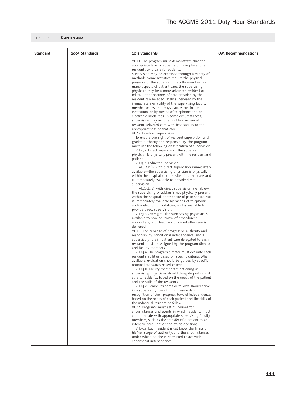| TABLE           | <b>CONTINUED</b> |                                                                                                                                                                                                                                                                                                                                                                                                                                                                                                                                                                                                                                                                                                                                                                                                                                                                                                                                                                                                                                                                                                                                                                                                                                                                                                                                                                                                                                                                                                                                                                                                                                                                                                                                                                                                                                                                                                                                                                                                                                                                                                                                                                                                                                                                                                                                                                                                                                                                                                                                                                                                                                                                                                                                                                                                                                                                                                                                                                                                                                                                                                                                                                                                                                                                                          |                            |  |
|-----------------|------------------|------------------------------------------------------------------------------------------------------------------------------------------------------------------------------------------------------------------------------------------------------------------------------------------------------------------------------------------------------------------------------------------------------------------------------------------------------------------------------------------------------------------------------------------------------------------------------------------------------------------------------------------------------------------------------------------------------------------------------------------------------------------------------------------------------------------------------------------------------------------------------------------------------------------------------------------------------------------------------------------------------------------------------------------------------------------------------------------------------------------------------------------------------------------------------------------------------------------------------------------------------------------------------------------------------------------------------------------------------------------------------------------------------------------------------------------------------------------------------------------------------------------------------------------------------------------------------------------------------------------------------------------------------------------------------------------------------------------------------------------------------------------------------------------------------------------------------------------------------------------------------------------------------------------------------------------------------------------------------------------------------------------------------------------------------------------------------------------------------------------------------------------------------------------------------------------------------------------------------------------------------------------------------------------------------------------------------------------------------------------------------------------------------------------------------------------------------------------------------------------------------------------------------------------------------------------------------------------------------------------------------------------------------------------------------------------------------------------------------------------------------------------------------------------------------------------------------------------------------------------------------------------------------------------------------------------------------------------------------------------------------------------------------------------------------------------------------------------------------------------------------------------------------------------------------------------------------------------------------------------------------------------------------------------|----------------------------|--|
| <b>Standard</b> | 2003 Standards   | 2011 Standards                                                                                                                                                                                                                                                                                                                                                                                                                                                                                                                                                                                                                                                                                                                                                                                                                                                                                                                                                                                                                                                                                                                                                                                                                                                                                                                                                                                                                                                                                                                                                                                                                                                                                                                                                                                                                                                                                                                                                                                                                                                                                                                                                                                                                                                                                                                                                                                                                                                                                                                                                                                                                                                                                                                                                                                                                                                                                                                                                                                                                                                                                                                                                                                                                                                                           | <b>IOM Recommendations</b> |  |
|                 |                  | VI.D.2. The program must demonstrate that the<br>appropriate level of supervision is in place for all<br>residents who care for patients.<br>Supervision may be exercised through a variety of<br>methods. Some activities require the physical<br>presence of the supervising faculty member. For<br>many aspects of patient care, the supervising<br>physician may be a more advanced resident or<br>fellow. Other portions of care provided by the<br>resident can be adequately supervised by the<br>immediate availability of the supervising faculty<br>member or resident physician, either in the<br>institution, or by means of telephonic and/or<br>electronic modalities. In some circumstances,<br>supervision may include post hoc review of<br>resident-delivered care with feedback as to the<br>appropriateness of that care.<br>VI.D.3. Levels of supervision<br>To ensure oversight of resident supervision and<br>graded authority and responsibility, the program<br>must use the following classification of supervision:<br>VI.D.3.a. Direct supervision: the supervising<br>physician is physically present with the resident and<br>patient.<br>VI.D.3.b. Indirect supervision:<br>VI.D.3.b.(1). with direct supervision immediately<br>available-the supervising physician is physically<br>within the hospital, or other site of patient care, and<br>is immediately available to provide direct<br>supervision.<br>VI.D.3.b.(2). with direct supervision available-<br>the supervising physician is not physically present<br>within the hospital, or other site of patient care, but<br>is immediately available by means of telephonic<br>and/or electronic modalities, and is available to<br>provide direct supervision.<br>VI.D.3.c. Oversight: The supervising physician is<br>available to provide review of procedures/<br>encounters, with feedback provided after care is<br>delivered.<br>VI.D.4. The privilege of progressive authority and<br>responsibility, conditional independence, and a<br>supervisory role in patient care delegated to each<br>resident must be assigned by the program director<br>and faculty members.<br>VI.D.4.a. The program director must evaluate each<br>resident's abilities based on specific criteria. When<br>available, evaluation should be guided by specific<br>national standards-based criteria.<br>VI.D.4.b. Faculty members functioning as<br>supervising physicians should delegate portions of<br>care to residents, based on the needs of the patient<br>and the skills of the residents.<br>VI.D.4.c. Senior residents or fellows should serve<br>in a supervisory role of junior residents in<br>recognition of their progress toward independence,<br>based on the needs of each patient and the skills of<br>the individual resident or fellow.<br>VI.D.5. Programs must set guidelines for<br>circumstances and events in which residents must<br>communicate with appropriate supervising faculty<br>members, such as the transfer of a patient to an<br>intensive care unit, or end-of-life decisions.<br>VI.D.5.a. Each resident must know the limits of<br>his/her scope of authority, and the circumstances<br>under which he/she is permitted to act with<br>conditional independence. |                            |  |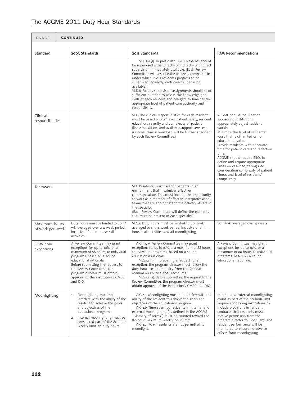| The ACGME 2011 Duty Hour Standards |
|------------------------------------|
|                                    |

| <b>CONTINUED</b><br>TABLE         |                                                                                                                                                                                                                                                                                                                 |                                                                                                                                                                                                                                                                                                                                                                                                                                                                                                                                                                               |                                                                                                                                                                                                                                                                                                                                                                                                                                                                                 |
|-----------------------------------|-----------------------------------------------------------------------------------------------------------------------------------------------------------------------------------------------------------------------------------------------------------------------------------------------------------------|-------------------------------------------------------------------------------------------------------------------------------------------------------------------------------------------------------------------------------------------------------------------------------------------------------------------------------------------------------------------------------------------------------------------------------------------------------------------------------------------------------------------------------------------------------------------------------|---------------------------------------------------------------------------------------------------------------------------------------------------------------------------------------------------------------------------------------------------------------------------------------------------------------------------------------------------------------------------------------------------------------------------------------------------------------------------------|
| <b>Standard</b>                   | 2003 Standards                                                                                                                                                                                                                                                                                                  | 2011 Standards                                                                                                                                                                                                                                                                                                                                                                                                                                                                                                                                                                | <b>IOM Recommendations</b>                                                                                                                                                                                                                                                                                                                                                                                                                                                      |
|                                   |                                                                                                                                                                                                                                                                                                                 | VI.D.5.a.(1). In particular, PGY-1 residents should<br>be supervised either directly or indirectly with direct<br>supervision immediately available. [Each Review<br>Committee will describe the achieved competencies<br>under which PGY-1 residents progress to be<br>supervised indirectly, with direct supervision<br>available.]<br>VI.D.6. Faculty supervision assignments should be of<br>sufficient duration to assess the knowledge and<br>skills of each resident and delegate to him/her the<br>appropriate level of patient care authority and<br>responsibility. |                                                                                                                                                                                                                                                                                                                                                                                                                                                                                 |
| Clinical<br>responsibilities      |                                                                                                                                                                                                                                                                                                                 | VI.E. The clinical responsibilities for each resident<br>must be based on PGY level, patient safety, resident<br>education, severity and complexity of patient<br>illness/condition, and available support services.<br>(Optimal clinical workload will be further specified<br>by each Review Committee.)                                                                                                                                                                                                                                                                    | ACGME should require that<br>sponsoring institutions<br>appropriately adjust resident<br>workload.<br>Minimize the level of residents'<br>work that is of limited or no<br>educational value.<br>Provide residents with adequate<br>time for patient care and reflection<br>time.<br>ACGME should require RRCs to<br>define and require appropriate<br>limits on caseload, taking into<br>consideration complexity of patient<br>illness and level of residents'<br>competency. |
| Teamwork                          |                                                                                                                                                                                                                                                                                                                 | VI.F. Residents must care for patients in an<br>environment that maximizes effective<br>communication. This must include the opportunity<br>to work as a member of effective interprofessional<br>teams that are appropriate to the delivery of care in<br>the specialty.<br>(Each Review Committee will define the elements<br>that must be present in each specialty.)                                                                                                                                                                                                      |                                                                                                                                                                                                                                                                                                                                                                                                                                                                                 |
| Maximum hours<br>of work per week | Duty hours must be limited to 80 h/<br>wk, averaged over a 4-week period,<br>inclusive of all in-house call<br>activities.                                                                                                                                                                                      | VI.G.1. Duty hours must be limited to 80 h/wk,<br>averaged over a 4-week period, inclusive of all in-<br>house call activities and all moonlighting.                                                                                                                                                                                                                                                                                                                                                                                                                          | 80 h/wk, averaged over 4 weeks                                                                                                                                                                                                                                                                                                                                                                                                                                                  |
| Duty hour<br>exceptions           | A Review Committee may grant<br>exceptions for up to 10%, or a<br>maximum of 88 hours, to individual<br>programs, based on a sound<br>educational rationale.<br>Before submitting the request to<br>the Review Committee, the<br>program director must obtain<br>approval of the institution's GMEC<br>and DIO. | VI.G.1.a. A Review Committee may grant<br>exceptions for up to 10%, or a maximum of 88 hours,<br>to individual programs, based on a sound<br>educational rationale.<br>VI.G.1.a.(1). In preparing a request for an<br>exception, the program director must follow the<br>duty hour exception policy from the "ACGME<br>Manual on Policies and Procedures."<br>VI.G.1.a.(2). Before submitting the request to the<br>Review Committee, the program director must<br>obtain approval of the institution's GMEC and DIO.                                                         | A Review Committee may grant<br>exceptions for up to 10%, or a<br>maximum of 88 hours, to individual<br>programs, based on a sound<br>educational rationale.                                                                                                                                                                                                                                                                                                                    |
| Moonlighting                      | Moonlighting must not<br>1.<br>interfere with the ability of the<br>resident to achieve the goals<br>and objectives of the<br>educational program.<br>Internal moonlighting must be<br>2.<br>considered part of the 80-hour<br>weekly limit on duty hours.                                                      | VI.G.2.a. Moonlighting must not interfere with the<br>ability of the resident to achieve the goals and<br>objectives of the educational program.<br>VI.G.2.b. Time spent by residents in internal and<br>external moonlighting (as defined in the ACGME<br>"Glossary of Terms") must be counted toward the<br>80-hour maximum weekly hour limit.<br>VI.G.2.c. PGY-1 residents are not permitted to<br>moonlight.                                                                                                                                                              | Internal and external moonlighting<br>count as part of the 80-hour limit.<br>Require sponsoring institutions to<br>include provisions in resident<br>contracts that residents must<br>receive permission from the<br>program director to moonlight, and<br>resident performance will be<br>monitored to ensure no adverse<br>effects from moonlighting.                                                                                                                         |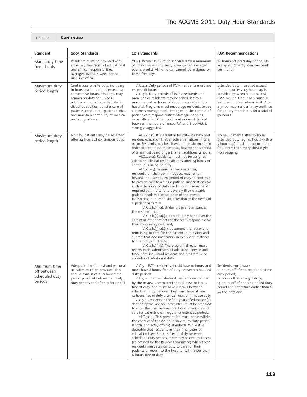| <b>Standard</b>                                          | 2003 Standards                                                                                                                                                                                                                                                                                                                | 2011 Standards                                                                                                                                                                                                                                                                                                                                                                                                                                                                                                                                                                                                                                                                                                                                                                                                                                                                                                                                                                                                                                                                                                                                                                                                                                                                                                                                                                                                                                                                                 | <b>IOM Recommendations</b>                                                                                                                                                                                                                                                 |
|----------------------------------------------------------|-------------------------------------------------------------------------------------------------------------------------------------------------------------------------------------------------------------------------------------------------------------------------------------------------------------------------------|------------------------------------------------------------------------------------------------------------------------------------------------------------------------------------------------------------------------------------------------------------------------------------------------------------------------------------------------------------------------------------------------------------------------------------------------------------------------------------------------------------------------------------------------------------------------------------------------------------------------------------------------------------------------------------------------------------------------------------------------------------------------------------------------------------------------------------------------------------------------------------------------------------------------------------------------------------------------------------------------------------------------------------------------------------------------------------------------------------------------------------------------------------------------------------------------------------------------------------------------------------------------------------------------------------------------------------------------------------------------------------------------------------------------------------------------------------------------------------------------|----------------------------------------------------------------------------------------------------------------------------------------------------------------------------------------------------------------------------------------------------------------------------|
| Mandatory time<br>free of duty                           | Residents must be provided with<br>1 day in 7 free from all educational<br>and clinical responsibilities,<br>averaged over a 4-week period,<br>inclusive of call.                                                                                                                                                             | VI.G.3. Residents must be scheduled for a minimum<br>of 1 day free of duty every week (when averaged<br>over 4 weeks). At-home call cannot be assigned on<br>these free days.                                                                                                                                                                                                                                                                                                                                                                                                                                                                                                                                                                                                                                                                                                                                                                                                                                                                                                                                                                                                                                                                                                                                                                                                                                                                                                                  | 24 hours off per 7-day period. No<br>averaging. One "golden weekend"<br>per month.                                                                                                                                                                                         |
| Maximum duty<br>period length                            | Continuous on-site duty, including<br>in-house call, must not exceed 24<br>consecutive hours. Residents may<br>remain on duty for up to 6<br>additional hours to participate in<br>didactic activities, transfer care of<br>patients, conduct outpatient clinics,<br>and maintain continuity of medical<br>and surgical care. | VI.G.4.a. Duty periods of PGY-1 residents must not<br>exceed 16 hours.<br>VI.G.4.b. Duty periods of PGY-2 residents and<br>more senior residents may be scheduled to a<br>maximum of 24 hours of continuous duty in the<br>hospital. Programs must encourage residents to use<br>alertness management strategies in the context of<br>patient care responsibilities. Strategic napping,<br>especially after 16 hours of continuous duty, and<br>between the hours of 10:00 PM and 8:00 AM, is<br>strongly suggested.                                                                                                                                                                                                                                                                                                                                                                                                                                                                                                                                                                                                                                                                                                                                                                                                                                                                                                                                                                           | Extended duty must not exceed<br>16 hours, unless a 5-hour nap is<br>provided between 10:00 PM and<br>8:00 AM. The 5-hour nap must be<br>included in the 80-hour limit. After<br>a 5-hour nap, resident may continue<br>for up to 9 more hours for a total of<br>30 hours. |
| Maximum duty<br>period length                            | No new patients may be accepted<br>after 24 hours of continuous duty.                                                                                                                                                                                                                                                         | VI.G.4.b.(1). It is essential for patient safety and<br>resident education that effective transitions in care<br>occur. Residents may be allowed to remain on-site in<br>order to accomplish these tasks; however, this period<br>of time must be no longer than an additional 4 hours.<br>VI.G.4.b.(2). Residents must not be assigned<br>additional clinical responsibilities after 24 hours of<br>continuous in-house duty.<br>VI.G.4.b.(3). In unusual circumstances,<br>residents, on their own initiative, may remain<br>beyond their scheduled period of duty to continue<br>to provide care to a single patient. Justifications for<br>such extensions of duty are limited to reasons of<br>required continuity for a severely ill or unstable<br>patient, academic importance of the events<br>transpiring, or humanistic attention to the needs of<br>a patient or family.<br>VI.G.4.b.(3).(a). Under those circumstances,<br>the resident must:<br>$VI.G.4.b.(3).(a).(i).$ appropriately hand over the<br>care of all other patients to the team responsible for<br>their continuing care; and,<br>$VI.G.4.b.(3). (a). (ii). document the reasons for$<br>remaining to care for the patient in question and<br>submit that documentation in every circumstance<br>to the program director.<br>$V.I.G.4.b.(3).(b).$ The program director must<br>review each submission of additional service and<br>track both individual resident and program-wide<br>episodes of additional duty. | No new patients after 16 hours.<br>Extended duty (eg, 30 hours with a<br>5-hour nap) must not occur more<br>frequently than every third night.<br>No averaging.                                                                                                            |
| Minimum time<br>off between<br>scheduled duty<br>periods | Adequate time for rest and personal<br>activities must be provided. This<br>should consist of a 10-hour time<br>period provided between all daily<br>duty periods and after in-house call.                                                                                                                                    | VI.G.5.a. PGY-1 residents should have 10 hours, and<br>must have 8 hours, free of duty between scheduled<br>duty periods.<br>VI.G.5.b. Intermediate-level residents (as defined<br>by the Review Committee) should have 10 hours<br>free of duty, and must have 8 hours between<br>scheduled duty periods. They must have at least<br>14 hours free of duty after 24 hours of in-house duty.<br>VI.G.5.c. Residents in the final years of education (as<br>defined by the Review Committee) must be prepared<br>to enter the unsupervised practice of medicine and<br>care for patients over irregular or extended periods.<br>VI.G.5.c.(1). This preparation must occur within<br>the context of the 80-hour maximum duty period<br>length, and 1-day-off-in-7 standards. While it is<br>desirable that residents in their final years of<br>education have 8 hours free of duty between<br>scheduled duty periods, there may be circumstances<br>(as defined by the Review Committee) when these<br>residents must stay on duty to care for their<br>patients or return to the hospital with fewer than<br>8 hours free of duty.                                                                                                                                                                                                                                                                                                                                                             | Residents must have:<br>10 hours off after a regular daytime<br>duty period;<br>12 hours off after night duty;<br>14 hours off after an extended duty<br>period and not return earlier than 6<br>AM the next day.                                                          |